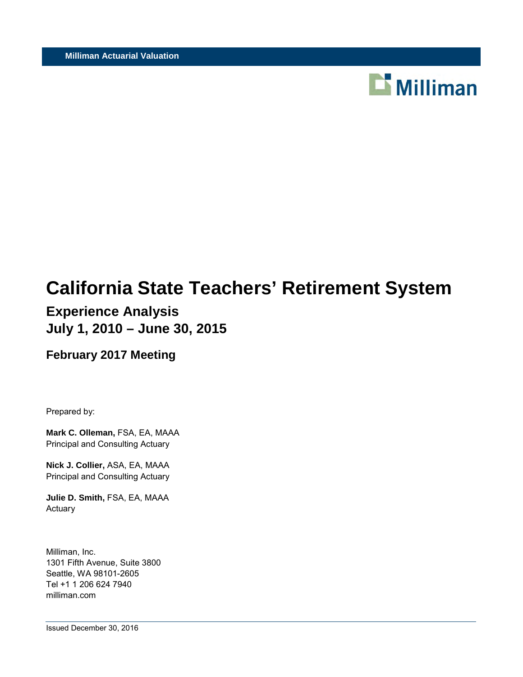

# **California State Teachers' Retirement System**

## **Experience Analysis July 1, 2010 – June 30, 2015**

**February 2017 Meeting**

Prepared by:

**Mark C. Olleman,** FSA, EA, MAAA Principal and Consulting Actuary

**Nick J. Collier,** ASA, EA, MAAA Principal and Consulting Actuary

**Julie D. Smith,** FSA, EA, MAAA Actuary

Milliman, Inc. 1301 Fifth Avenue, Suite 3800 Seattle, WA 98101-2605 Tel +1 1 206 624 7940 milliman.com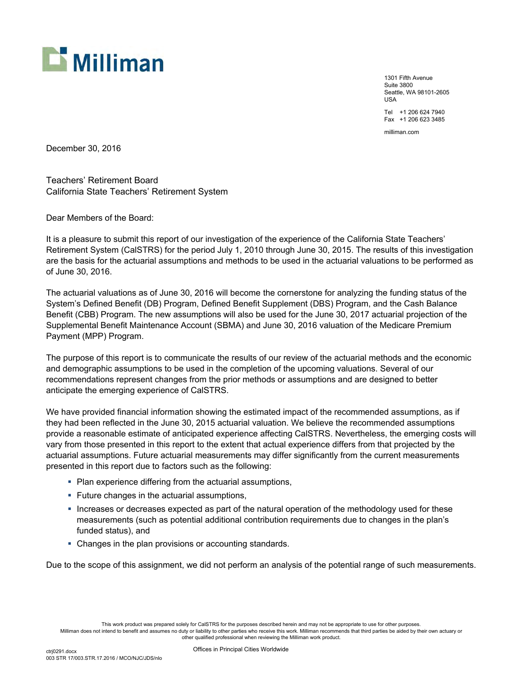

1301 Fifth Avenue Suite 3800 Seattle, WA 98101-2605 USA Tel +1 206 624 7940

Fax +1 206 623 3485

milliman.com

December 30, 2016

Teachers' Retirement Board California State Teachers' Retirement System

Dear Members of the Board:

It is a pleasure to submit this report of our investigation of the experience of the California State Teachers' Retirement System (CalSTRS) for the period July 1, 2010 through June 30, 2015. The results of this investigation are the basis for the actuarial assumptions and methods to be used in the actuarial valuations to be performed as of June 30, 2016.

The actuarial valuations as of June 30, 2016 will become the cornerstone for analyzing the funding status of the System's Defined Benefit (DB) Program, Defined Benefit Supplement (DBS) Program, and the Cash Balance Benefit (CBB) Program. The new assumptions will also be used for the June 30, 2017 actuarial projection of the Supplemental Benefit Maintenance Account (SBMA) and June 30, 2016 valuation of the Medicare Premium Payment (MPP) Program.

The purpose of this report is to communicate the results of our review of the actuarial methods and the economic and demographic assumptions to be used in the completion of the upcoming valuations. Several of our recommendations represent changes from the prior methods or assumptions and are designed to better anticipate the emerging experience of CalSTRS.

We have provided financial information showing the estimated impact of the recommended assumptions, as if they had been reflected in the June 30, 2015 actuarial valuation. We believe the recommended assumptions provide a reasonable estimate of anticipated experience affecting CalSTRS. Nevertheless, the emerging costs will vary from those presented in this report to the extent that actual experience differs from that projected by the actuarial assumptions. Future actuarial measurements may differ significantly from the current measurements presented in this report due to factors such as the following:

- Plan experience differing from the actuarial assumptions,
- **Future changes in the actuarial assumptions,**
- Increases or decreases expected as part of the natural operation of the methodology used for these measurements (such as potential additional contribution requirements due to changes in the plan's funded status), and
- Changes in the plan provisions or accounting standards.

Due to the scope of this assignment, we did not perform an analysis of the potential range of such measurements.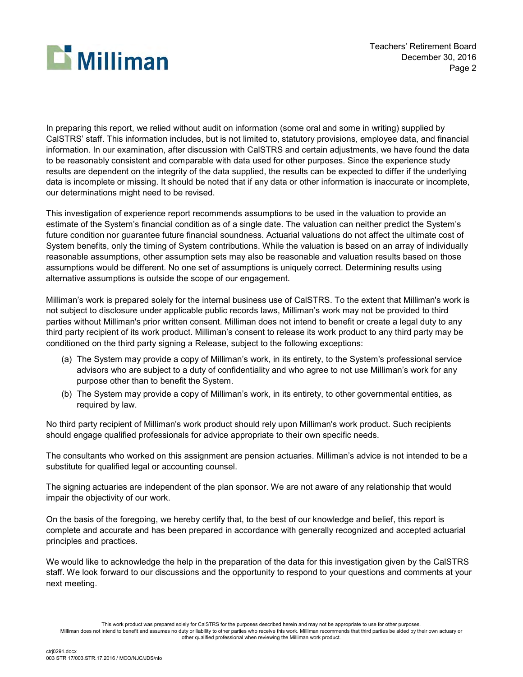

Teachers' Retirement Board December 30, 2016 Page 2

In preparing this report, we relied without audit on information (some oral and some in writing) supplied by CalSTRS' staff. This information includes, but is not limited to, statutory provisions, employee data, and financial information. In our examination, after discussion with CalSTRS and certain adjustments, we have found the data to be reasonably consistent and comparable with data used for other purposes. Since the experience study results are dependent on the integrity of the data supplied, the results can be expected to differ if the underlying data is incomplete or missing. It should be noted that if any data or other information is inaccurate or incomplete, our determinations might need to be revised.

This investigation of experience report recommends assumptions to be used in the valuation to provide an estimate of the System's financial condition as of a single date. The valuation can neither predict the System's future condition nor guarantee future financial soundness. Actuarial valuations do not affect the ultimate cost of System benefits, only the timing of System contributions. While the valuation is based on an array of individually reasonable assumptions, other assumption sets may also be reasonable and valuation results based on those assumptions would be different. No one set of assumptions is uniquely correct. Determining results using alternative assumptions is outside the scope of our engagement.

Milliman's work is prepared solely for the internal business use of CalSTRS. To the extent that Milliman's work is not subject to disclosure under applicable public records laws, Milliman's work may not be provided to third parties without Milliman's prior written consent. Milliman does not intend to benefit or create a legal duty to any third party recipient of its work product. Milliman's consent to release its work product to any third party may be conditioned on the third party signing a Release, subject to the following exceptions:

- (a) The System may provide a copy of Milliman's work, in its entirety, to the System's professional service advisors who are subject to a duty of confidentiality and who agree to not use Milliman's work for any purpose other than to benefit the System.
- (b) The System may provide a copy of Milliman's work, in its entirety, to other governmental entities, as required by law.

No third party recipient of Milliman's work product should rely upon Milliman's work product. Such recipients should engage qualified professionals for advice appropriate to their own specific needs.

The consultants who worked on this assignment are pension actuaries. Milliman's advice is not intended to be a substitute for qualified legal or accounting counsel.

The signing actuaries are independent of the plan sponsor. We are not aware of any relationship that would impair the objectivity of our work.

On the basis of the foregoing, we hereby certify that, to the best of our knowledge and belief, this report is complete and accurate and has been prepared in accordance with generally recognized and accepted actuarial principles and practices.

We would like to acknowledge the help in the preparation of the data for this investigation given by the CalSTRS staff. We look forward to our discussions and the opportunity to respond to your questions and comments at your next meeting.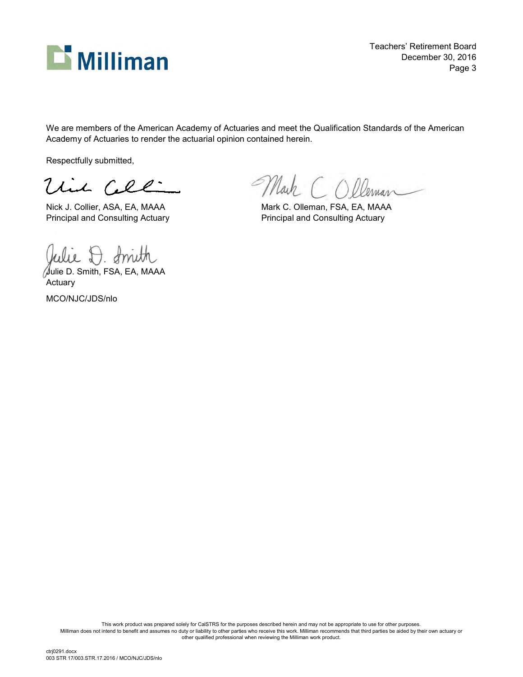

Teachers' Retirement Board December 30, 2016 Page 3

We are members of the American Academy of Actuaries and meet the Qualification Standards of the American Academy of Actuaries to render the actuarial opinion contained herein.

Respectfully submitted,

Uid Cell

Nick J. Collier, ASA, EA, MAAA Mark C. Olleman, FSA, EA, MAAA

Mark COlleman

Principal and Consulting Actuary **Principal and Consulting Actuary** Principal and Consulting Actuary

Julie D. Smith

Julie D. Smith, FSA, EA, MAAA Actuary

MCO/NJC/JDS/nlo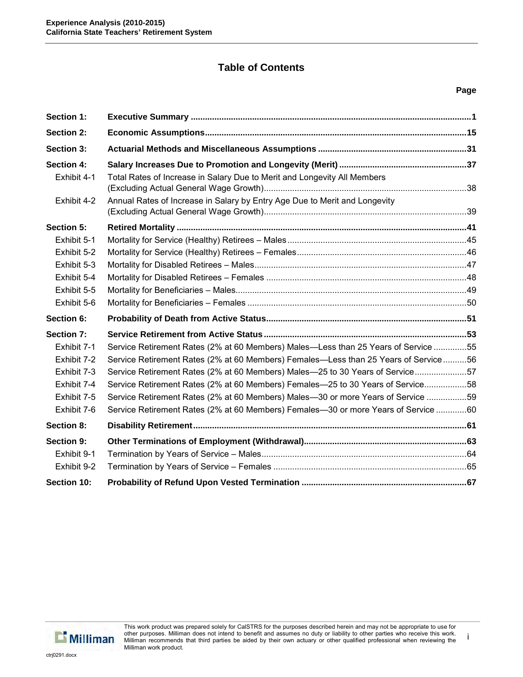### **Table of Contents**

#### **Page**

| Section 1:        |                                                                                      |  |
|-------------------|--------------------------------------------------------------------------------------|--|
| <b>Section 2:</b> |                                                                                      |  |
| <b>Section 3:</b> |                                                                                      |  |
| <b>Section 4:</b> |                                                                                      |  |
| Exhibit 4-1       | Total Rates of Increase in Salary Due to Merit and Longevity All Members             |  |
| Exhibit 4-2       | Annual Rates of Increase in Salary by Entry Age Due to Merit and Longevity           |  |
| Section 5:        |                                                                                      |  |
| Exhibit 5-1       |                                                                                      |  |
| Exhibit 5-2       |                                                                                      |  |
| Exhibit 5-3       |                                                                                      |  |
| Exhibit 5-4       |                                                                                      |  |
| Exhibit 5-5       |                                                                                      |  |
| Exhibit 5-6       |                                                                                      |  |
| Section 6:        |                                                                                      |  |
| Section 7:        |                                                                                      |  |
| Exhibit 7-1       | Service Retirement Rates (2% at 60 Members) Males-Less than 25 Years of Service 55   |  |
| Exhibit 7-2       | Service Retirement Rates (2% at 60 Members) Females—Less than 25 Years of Service 56 |  |
| Exhibit 7-3       | Service Retirement Rates (2% at 60 Members) Males-25 to 30 Years of Service57        |  |
| Exhibit 7-4       | Service Retirement Rates (2% at 60 Members) Females-25 to 30 Years of Service58      |  |
| Exhibit 7-5       | Service Retirement Rates (2% at 60 Members) Males-30 or more Years of Service 59     |  |
| Exhibit 7-6       | Service Retirement Rates (2% at 60 Members) Females-30 or more Years of Service 60   |  |
| Section 8:        |                                                                                      |  |
| Section 9:        |                                                                                      |  |
| Exhibit 9-1       |                                                                                      |  |
| Exhibit 9-2       |                                                                                      |  |
| Section 10:       |                                                                                      |  |

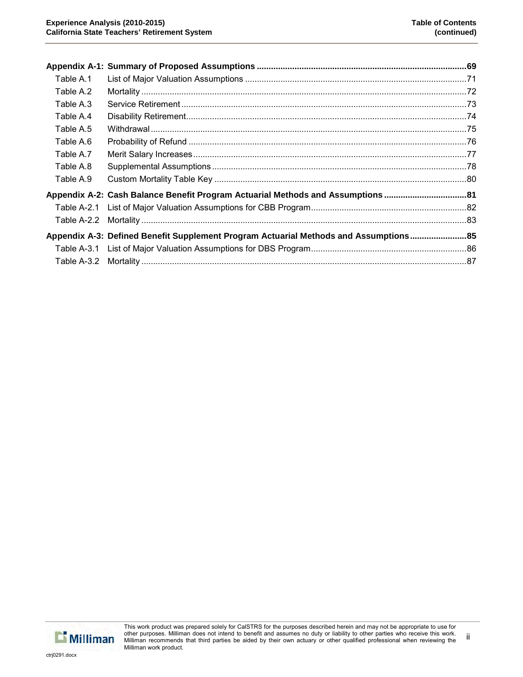| Table A.1   |                                                                                       |  |
|-------------|---------------------------------------------------------------------------------------|--|
| Table A.2   |                                                                                       |  |
| Table A.3   |                                                                                       |  |
| Table A.4   |                                                                                       |  |
| Table A.5   |                                                                                       |  |
| Table A.6   |                                                                                       |  |
| Table A.7   |                                                                                       |  |
| Table A.8   |                                                                                       |  |
| Table A.9   |                                                                                       |  |
|             | Appendix A-2: Cash Balance Benefit Program Actuarial Methods and Assumptions 81       |  |
| Table A-2.1 |                                                                                       |  |
|             |                                                                                       |  |
|             | Appendix A-3: Defined Benefit Supplement Program Actuarial Methods and Assumptions 85 |  |
| Table A-3.1 |                                                                                       |  |
|             |                                                                                       |  |



ctrj0291.docx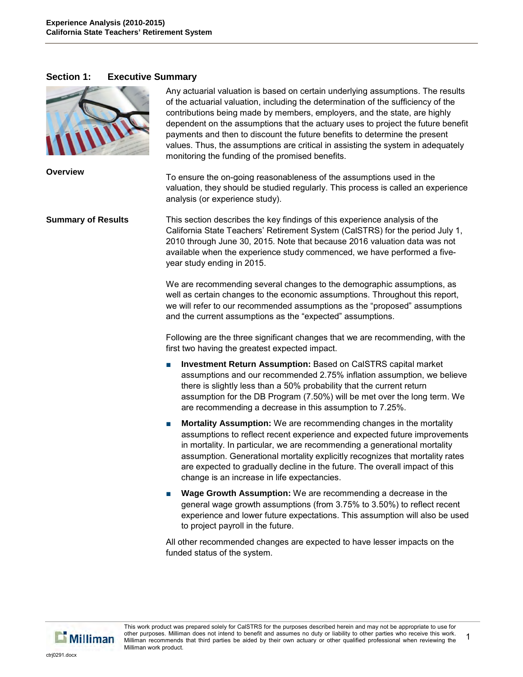#### **Section 1: Executive Summary**



**Overview**

Any actuarial valuation is based on certain underlying assumptions. The results of the actuarial valuation, including the determination of the sufficiency of the contributions being made by members, employers, and the state, are highly dependent on the assumptions that the actuary uses to project the future benefit payments and then to discount the future benefits to determine the present values. Thus, the assumptions are critical in assisting the system in adequately monitoring the funding of the promised benefits.

To ensure the on-going reasonableness of the assumptions used in the valuation, they should be studied regularly. This process is called an experience analysis (or experience study).

**Summary of Results** This section describes the key findings of this experience analysis of the California State Teachers' Retirement System (CalSTRS) for the period July 1, 2010 through June 30, 2015. Note that because 2016 valuation data was not available when the experience study commenced, we have performed a fiveyear study ending in 2015.

> We are recommending several changes to the demographic assumptions, as well as certain changes to the economic assumptions. Throughout this report, we will refer to our recommended assumptions as the "proposed" assumptions and the current assumptions as the "expected" assumptions.

Following are the three significant changes that we are recommending, with the first two having the greatest expected impact.

- **Investment Return Assumption: Based on CalSTRS capital market** assumptions and our recommended 2.75% inflation assumption, we believe there is slightly less than a 50% probability that the current return assumption for the DB Program (7.50%) will be met over the long term. We are recommending a decrease in this assumption to 7.25%.
- **Mortality Assumption:** We are recommending changes in the mortality assumptions to reflect recent experience and expected future improvements in mortality. In particular, we are recommending a generational mortality assumption. Generational mortality explicitly recognizes that mortality rates are expected to gradually decline in the future. The overall impact of this change is an increase in life expectancies.
- **Wage Growth Assumption:** We are recommending a decrease in the general wage growth assumptions (from 3.75% to 3.50%) to reflect recent experience and lower future expectations. This assumption will also be used to project payroll in the future.

All other recommended changes are expected to have lesser impacts on the funded status of the system.



ctrj0291.docx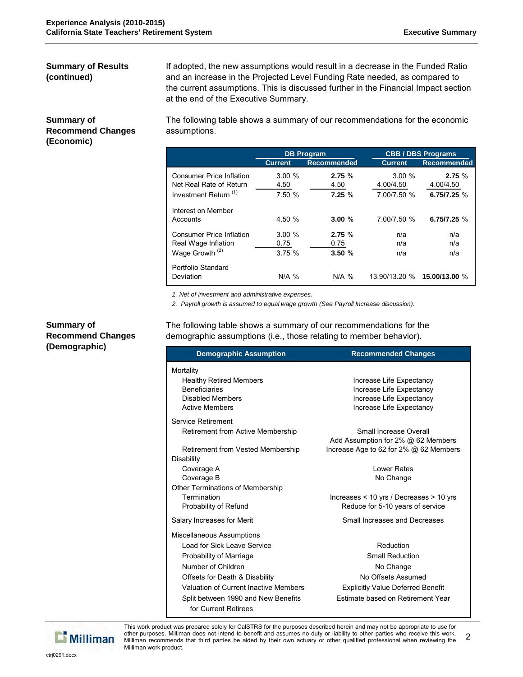#### **Summary of Results (continued)**

If adopted, the new assumptions would result in a decrease in the Funded Ratio and an increase in the Projected Level Funding Rate needed, as compared to the current assumptions. This is discussed further in the Financial Impact section at the end of the Executive Summary.

**Summary of Recommend Changes (Economic)**

The following table shows a summary of our recommendations for the economic assumptions.

|                                                                                                | <b>DB Program</b><br><b>Recommended</b><br><b>Current</b> |                        |                                   | <b>CBB / DBS Programs</b>           |
|------------------------------------------------------------------------------------------------|-----------------------------------------------------------|------------------------|-----------------------------------|-------------------------------------|
|                                                                                                |                                                           |                        | <b>Current</b>                    | <b>Recommended</b>                  |
| <b>Consumer Price Inflation</b><br>Net Real Rate of Return<br>Investment Return <sup>(1)</sup> | 3.00%<br>4.50<br>7.50 %                                   | 2.75%<br>4.50<br>7.25% | 3.00%<br>4.00/4.50<br>7.00/7.50 % | 2.75%<br>4.00/4.50<br>6.75/7.25 $%$ |
| Interest on Member<br>Accounts                                                                 | 4.50 %                                                    | 3.00%                  | 7.00/7.50 %                       | 6.75/7.25 $%$                       |
| <b>Consumer Price Inflation</b><br>Real Wage Inflation<br>Wage Growth <sup>(2)</sup>           | 3.00%<br>0.75<br>3.75%                                    | 2.75%<br>0.75<br>3.50% | n/a<br>n/a<br>n/a                 | n/a<br>n/a<br>n/a                   |
| Portfolio Standard<br>Deviation                                                                | $N/A$ %                                                   | $N/A$ %                | 13.90/13.20 %                     | 15.00/13.00 $%$                     |

*1. Net of investment and administrative expenses.*

*2. Payroll growth is assumed to equal wage growth (See Payroll Increase discussion).*

#### **Summary of Recommend Changes (Demographic)**

The following table shows a summary of our recommendations for the demographic assumptions (i.e., those relating to member behavior).

| <b>Demographic Assumption</b>            | <b>Recommended Changes</b>               |
|------------------------------------------|------------------------------------------|
| Mortality                                |                                          |
| <b>Healthy Retired Members</b>           | Increase Life Expectancy                 |
| <b>Beneficiaries</b>                     | Increase Life Expectancy                 |
| <b>Disabled Members</b>                  | Increase Life Expectancy                 |
| <b>Active Members</b>                    | Increase Life Expectancy                 |
| Service Retirement                       |                                          |
| <b>Retirement from Active Membership</b> | Small Increase Overall                   |
|                                          | Add Assumption for 2% @ 62 Members       |
| <b>Retirement from Vested Membership</b> | Increase Age to 62 for 2% @ 62 Members   |
| <b>Disability</b>                        |                                          |
| Coverage A                               | Lower Rates                              |
| Coverage B                               | No Change                                |
| Other Terminations of Membership         |                                          |
| Termination                              | Increases < 10 yrs / Decreases > 10 yrs  |
| Probability of Refund                    | Reduce for 5-10 years of service         |
| Salary Increases for Merit               | Small Increases and Decreases            |
| Miscellaneous Assumptions                |                                          |
| Load for Sick Leave Service              | Reduction                                |
| Probability of Marriage                  | <b>Small Reduction</b>                   |
| Number of Children                       | No Change                                |
| Offsets for Death & Disability           | No Offsets Assumed                       |
| Valuation of Current Inactive Members    | <b>Explicitly Value Deferred Benefit</b> |
| Split between 1990 and New Benefits      | Estimate based on Retirement Year        |
| for Current Retirees                     |                                          |



This work product was prepared solely for CalSTRS for the purposes described herein and may not be appropriate to use for other purposes. Milliman does not intend to benefit and assumes no duty or liability to other parties who receive this work. Milliman recommends that third parties be aided by their own actuary or other qualified professional when reviewing the Milliman work product. 2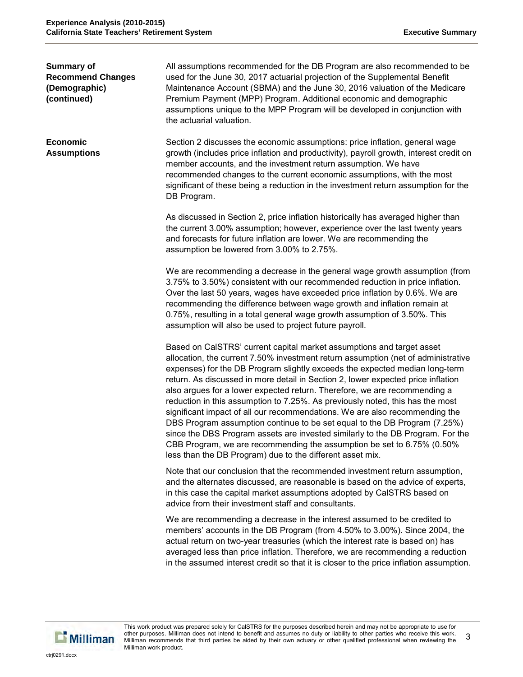| <b>Summary of</b><br><b>Recommend Changes</b><br>(Demographic)<br>(continued) | All assumptions recommended for the DB Program are also recommended to be<br>used for the June 30, 2017 actuarial projection of the Supplemental Benefit<br>Maintenance Account (SBMA) and the June 30, 2016 valuation of the Medicare<br>Premium Payment (MPP) Program. Additional economic and demographic<br>assumptions unique to the MPP Program will be developed in conjunction with<br>the actuarial valuation.                                                                                                                                                                                                                                                                                                                                                                                                                                                           |
|-------------------------------------------------------------------------------|-----------------------------------------------------------------------------------------------------------------------------------------------------------------------------------------------------------------------------------------------------------------------------------------------------------------------------------------------------------------------------------------------------------------------------------------------------------------------------------------------------------------------------------------------------------------------------------------------------------------------------------------------------------------------------------------------------------------------------------------------------------------------------------------------------------------------------------------------------------------------------------|
| <b>Economic</b><br><b>Assumptions</b>                                         | Section 2 discusses the economic assumptions: price inflation, general wage<br>growth (includes price inflation and productivity), payroll growth, interest credit on<br>member accounts, and the investment return assumption. We have<br>recommended changes to the current economic assumptions, with the most<br>significant of these being a reduction in the investment return assumption for the<br>DB Program.                                                                                                                                                                                                                                                                                                                                                                                                                                                            |
|                                                                               | As discussed in Section 2, price inflation historically has averaged higher than<br>the current 3.00% assumption; however, experience over the last twenty years<br>and forecasts for future inflation are lower. We are recommending the<br>assumption be lowered from 3.00% to 2.75%.                                                                                                                                                                                                                                                                                                                                                                                                                                                                                                                                                                                           |
|                                                                               | We are recommending a decrease in the general wage growth assumption (from<br>3.75% to 3.50%) consistent with our recommended reduction in price inflation.<br>Over the last 50 years, wages have exceeded price inflation by 0.6%. We are<br>recommending the difference between wage growth and inflation remain at<br>0.75%, resulting in a total general wage growth assumption of 3.50%. This<br>assumption will also be used to project future payroll.                                                                                                                                                                                                                                                                                                                                                                                                                     |
|                                                                               | Based on CalSTRS' current capital market assumptions and target asset<br>allocation, the current 7.50% investment return assumption (net of administrative<br>expenses) for the DB Program slightly exceeds the expected median long-term<br>return. As discussed in more detail in Section 2, lower expected price inflation<br>also argues for a lower expected return. Therefore, we are recommending a<br>reduction in this assumption to 7.25%. As previously noted, this has the most<br>significant impact of all our recommendations. We are also recommending the<br>DBS Program assumption continue to be set equal to the DB Program (7.25%)<br>since the DBS Program assets are invested similarly to the DB Program. For the<br>CBB Program, we are recommending the assumption be set to 6.75% (0.50%)<br>less than the DB Program) due to the different asset mix. |
|                                                                               | Note that our conclusion that the recommended investment return assumption,<br>and the alternates discussed, are reasonable is based on the advice of experts,<br>in this case the capital market assumptions adopted by CaISTRS based on<br>advice from their investment staff and consultants.                                                                                                                                                                                                                                                                                                                                                                                                                                                                                                                                                                                  |
|                                                                               | We are recommending a decrease in the interest assumed to be credited to<br>members' accounts in the DB Program (from 4.50% to 3.00%). Since 2004, the<br>actual return on two-year treasuries (which the interest rate is based on) has<br>averaged less than price inflation. Therefore, we are recommending a reduction<br>in the assumed interest credit so that it is closer to the price inflation assumption.                                                                                                                                                                                                                                                                                                                                                                                                                                                              |



ctrj0291.docx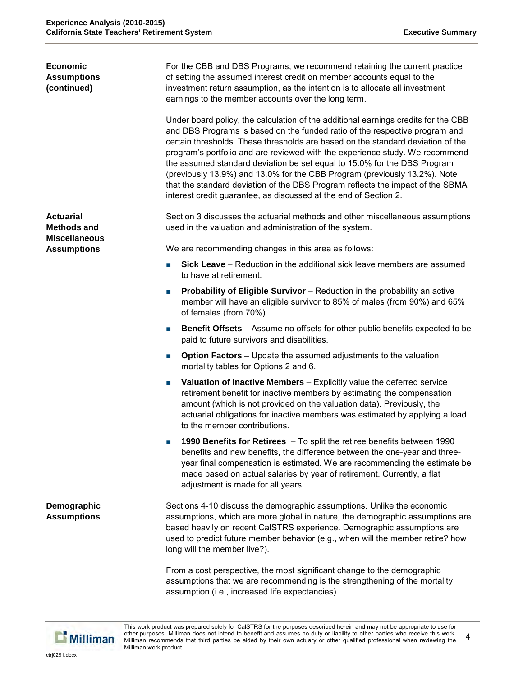| <b>Economic</b><br><b>Assumptions</b><br>(continued)           | For the CBB and DBS Programs, we recommend retaining the current practice<br>of setting the assumed interest credit on member accounts equal to the<br>investment return assumption, as the intention is to allocate all investment<br>earnings to the member accounts over the long term.                                                                                                                                                                                                                                                                                                                                                          |  |  |  |  |
|----------------------------------------------------------------|-----------------------------------------------------------------------------------------------------------------------------------------------------------------------------------------------------------------------------------------------------------------------------------------------------------------------------------------------------------------------------------------------------------------------------------------------------------------------------------------------------------------------------------------------------------------------------------------------------------------------------------------------------|--|--|--|--|
|                                                                | Under board policy, the calculation of the additional earnings credits for the CBB<br>and DBS Programs is based on the funded ratio of the respective program and<br>certain thresholds. These thresholds are based on the standard deviation of the<br>program's portfolio and are reviewed with the experience study. We recommend<br>the assumed standard deviation be set equal to 15.0% for the DBS Program<br>(previously 13.9%) and 13.0% for the CBB Program (previously 13.2%). Note<br>that the standard deviation of the DBS Program reflects the impact of the SBMA<br>interest credit guarantee, as discussed at the end of Section 2. |  |  |  |  |
| <b>Actuarial</b><br><b>Methods and</b><br><b>Miscellaneous</b> | Section 3 discusses the actuarial methods and other miscellaneous assumptions<br>used in the valuation and administration of the system.                                                                                                                                                                                                                                                                                                                                                                                                                                                                                                            |  |  |  |  |
| <b>Assumptions</b>                                             | We are recommending changes in this area as follows:                                                                                                                                                                                                                                                                                                                                                                                                                                                                                                                                                                                                |  |  |  |  |
|                                                                | Sick Leave – Reduction in the additional sick leave members are assumed<br>n.<br>to have at retirement.                                                                                                                                                                                                                                                                                                                                                                                                                                                                                                                                             |  |  |  |  |
|                                                                | Probability of Eligible Survivor - Reduction in the probability an active<br>T.<br>member will have an eligible survivor to 85% of males (from 90%) and 65%<br>of females (from 70%).                                                                                                                                                                                                                                                                                                                                                                                                                                                               |  |  |  |  |
|                                                                | <b>Benefit Offsets</b> – Assume no offsets for other public benefits expected to be<br>$\mathcal{L}_{\mathcal{A}}$<br>paid to future survivors and disabilities.                                                                                                                                                                                                                                                                                                                                                                                                                                                                                    |  |  |  |  |
|                                                                | <b>Option Factors</b> – Update the assumed adjustments to the valuation<br>T.<br>mortality tables for Options 2 and 6.                                                                                                                                                                                                                                                                                                                                                                                                                                                                                                                              |  |  |  |  |
|                                                                | Valuation of Inactive Members - Explicitly value the deferred service<br>$\mathcal{C}$<br>retirement benefit for inactive members by estimating the compensation<br>amount (which is not provided on the valuation data). Previously, the<br>actuarial obligations for inactive members was estimated by applying a load<br>to the member contributions.                                                                                                                                                                                                                                                                                            |  |  |  |  |
|                                                                | 1990 Benefits for Retirees - To split the retiree benefits between 1990<br>benefits and new benefits, the difference between the one-year and three-<br>year final compensation is estimated. We are recommending the estimate be<br>made based on actual salaries by year of retirement. Currently, a flat<br>adjustment is made for all years.                                                                                                                                                                                                                                                                                                    |  |  |  |  |
| Demographic<br><b>Assumptions</b>                              | Sections 4-10 discuss the demographic assumptions. Unlike the economic<br>assumptions, which are more global in nature, the demographic assumptions are<br>based heavily on recent CalSTRS experience. Demographic assumptions are<br>used to predict future member behavior (e.g., when will the member retire? how<br>long will the member live?).                                                                                                                                                                                                                                                                                                |  |  |  |  |
|                                                                | From a cost perspective, the most significant change to the demographic<br>assumptions that we are recommending is the strengthening of the mortality<br>assumption (i.e., increased life expectancies).                                                                                                                                                                                                                                                                                                                                                                                                                                            |  |  |  |  |

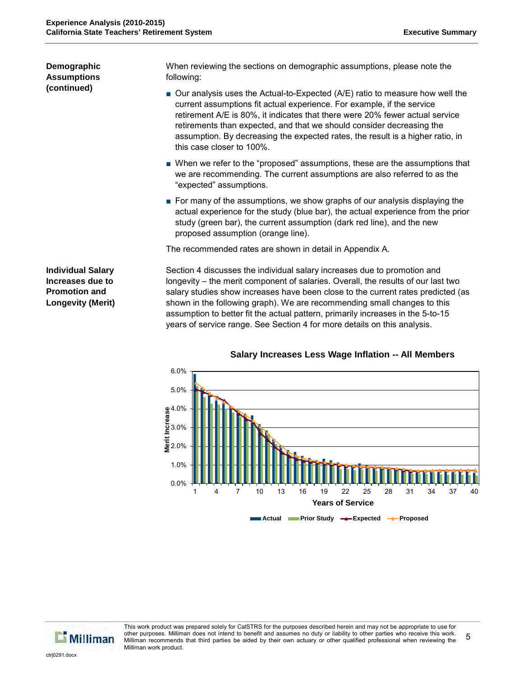#### **Demographic Assumptions (continued)**

When reviewing the sections on demographic assumptions, please note the following:

- Our analysis uses the Actual-to-Expected (A/E) ratio to measure how well the current assumptions fit actual experience. For example, if the service retirement A/E is 80%, it indicates that there were 20% fewer actual service retirements than expected, and that we should consider decreasing the assumption. By decreasing the expected rates, the result is a higher ratio, in this case closer to 100%.
- When we refer to the "proposed" assumptions, these are the assumptions that we are recommending. The current assumptions are also referred to as the "expected" assumptions.
- For many of the assumptions, we show graphs of our analysis displaying the actual experience for the study (blue bar), the actual experience from the prior study (green bar), the current assumption (dark red line), and the new proposed assumption (orange line).

The recommended rates are shown in detail in Appendix A.

**Individual Salary Increases due to Promotion and Longevity (Merit)** Section 4 discusses the individual salary increases due to promotion and longevity – the merit component of salaries. Overall, the results of our last two salary studies show increases have been close to the current rates predicted (as shown in the following graph). We are recommending small changes to this assumption to better fit the actual pattern, primarily increases in the 5-to-15 years of service range. See Section 4 for more details on this analysis.



#### **Salary Increases Less Wage Inflation -- All Members**



ctrj0291.docx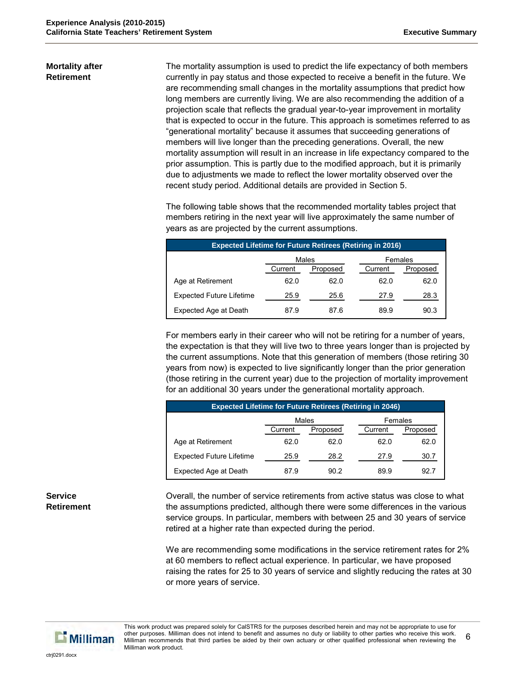#### **Mortality after Retirement**

The mortality assumption is used to predict the life expectancy of both members currently in pay status and those expected to receive a benefit in the future. We are recommending small changes in the mortality assumptions that predict how long members are currently living. We are also recommending the addition of a projection scale that reflects the gradual year-to-year improvement in mortality that is expected to occur in the future. This approach is sometimes referred to as "generational mortality" because it assumes that succeeding generations of members will live longer than the preceding generations. Overall, the new mortality assumption will result in an increase in life expectancy compared to the prior assumption. This is partly due to the modified approach, but it is primarily due to adjustments we made to reflect the lower mortality observed over the recent study period. Additional details are provided in Section 5.

The following table shows that the recommended mortality tables project that members retiring in the next year will live approximately the same number of years as are projected by the current assumptions.

| <b>Expected Lifetime for Future Retirees (Retiring in 2016)</b> |         |          |         |          |  |  |
|-----------------------------------------------------------------|---------|----------|---------|----------|--|--|
|                                                                 |         | Males    | Females |          |  |  |
|                                                                 | Current | Proposed | Current | Proposed |  |  |
| Age at Retirement                                               | 62.0    | 62.0     | 62.0    | 62.0     |  |  |
| <b>Expected Future Lifetime</b>                                 | 25.9    | 25.6     | 27.9    | 28.3     |  |  |
| <b>Expected Age at Death</b>                                    | 87.9    | 87.6     | 89.9    | 90.3     |  |  |

For members early in their career who will not be retiring for a number of years, the expectation is that they will live two to three years longer than is projected by the current assumptions. Note that this generation of members (those retiring 30 years from now) is expected to live significantly longer than the prior generation (those retiring in the current year) due to the projection of mortality improvement for an additional 30 years under the generational mortality approach.

| <b>Expected Lifetime for Future Retirees (Retiring in 2046)</b> |         |          |         |          |  |  |
|-----------------------------------------------------------------|---------|----------|---------|----------|--|--|
|                                                                 | Males   |          | Females |          |  |  |
|                                                                 | Current | Proposed | Current | Proposed |  |  |
| Age at Retirement                                               | 62.0    | 62.0     | 62.0    | 62.0     |  |  |
| <b>Expected Future Lifetime</b>                                 | 25.9    | 28.2     | 27.9    | 30.7     |  |  |
| Expected Age at Death                                           | 87.9    | 90.2     | 89.9    | 92.7     |  |  |

#### **Service Retirement**

Overall, the number of service retirements from active status was close to what the assumptions predicted, although there were some differences in the various service groups. In particular, members with between 25 and 30 years of service retired at a higher rate than expected during the period.

We are recommending some modifications in the service retirement rates for 2% at 60 members to reflect actual experience. In particular, we have proposed raising the rates for 25 to 30 years of service and slightly reducing the rates at 30 or more years of service.

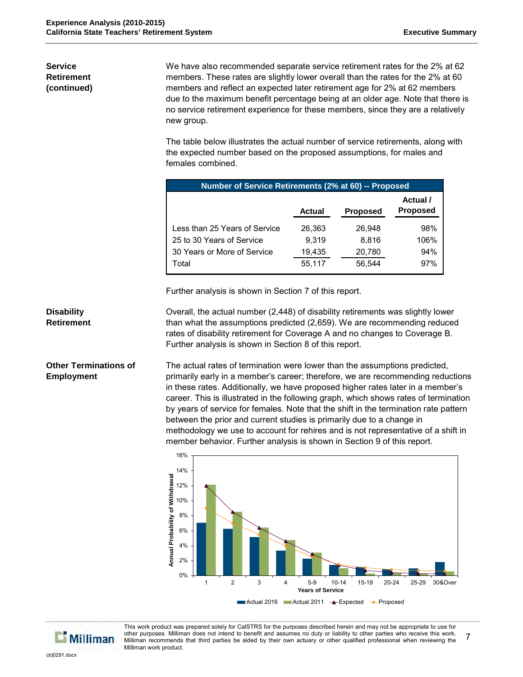| <b>Service</b><br><b>Retirement</b><br>(continued) | We have also recommended separate service retirement rates for the 2% at 62<br>members. These rates are slightly lower overall than the rates for the 2% at 60<br>members and reflect an expected later retirement age for 2% at 62 members<br>due to the maximum benefit percentage being at an older age. Note that there is<br>no service retirement experience for these members, since they are a relatively<br>new group. |               |                 |                             |  |
|----------------------------------------------------|---------------------------------------------------------------------------------------------------------------------------------------------------------------------------------------------------------------------------------------------------------------------------------------------------------------------------------------------------------------------------------------------------------------------------------|---------------|-----------------|-----------------------------|--|
|                                                    | The table below illustrates the actual number of service retirements, along with<br>the expected number based on the proposed assumptions, for males and<br>females combined.                                                                                                                                                                                                                                                   |               |                 |                             |  |
|                                                    | Number of Service Retirements (2% at 60) -- Proposed                                                                                                                                                                                                                                                                                                                                                                            |               |                 |                             |  |
|                                                    |                                                                                                                                                                                                                                                                                                                                                                                                                                 | <b>Actual</b> | <b>Proposed</b> | Actual /<br><b>Proposed</b> |  |
|                                                    | Less than 25 Years of Service                                                                                                                                                                                                                                                                                                                                                                                                   | 26,363        | 26,948          | 98%                         |  |
|                                                    | 25 to 30 Years of Service                                                                                                                                                                                                                                                                                                                                                                                                       | 9,319         | 8,816           | 106%                        |  |
|                                                    | 30 Years or More of Service                                                                                                                                                                                                                                                                                                                                                                                                     | 19,435        | 20,780          | 94%                         |  |

**Disability Retirement** Overall, the actual number (2,448) of disability retirements was slightly lower than what the assumptions predicted (2,659). We are recommending reduced rates of disability retirement for Coverage A and no changes to Coverage B. Further analysis is shown in Section 8 of this report.

**Other Terminations of Employment** The actual rates of termination were lower than the assumptions predicted, primarily early in a member's career; therefore, we are recommending reductions in these rates. Additionally, we have proposed higher rates later in a member's career. This is illustrated in the following graph, which shows rates of termination by years of service for females. Note that the shift in the termination rate pattern between the prior and current studies is primarily due to a change in methodology we use to account for rehires and is not representative of a shift in member behavior. Further analysis is shown in Section 9 of this report.



**Milliman** 

This work product was prepared solely for CalSTRS for the purposes described herein and may not be appropriate to use for other purposes. Milliman does not intend to benefit and assumes no duty or liability to other parties who receive this work. Milliman recommends that third parties be aided by their own actuary or other qualified professional when reviewing the Milliman work product. 7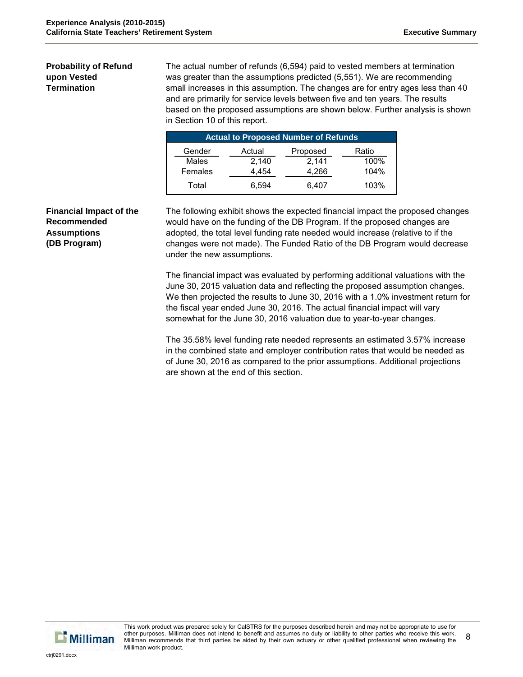#### **Probability of Refund upon Vested Termination**

The actual number of refunds (6,594) paid to vested members at termination was greater than the assumptions predicted (5,551). We are recommending small increases in this assumption. The changes are for entry ages less than 40 and are primarily for service levels between five and ten years. The results based on the proposed assumptions are shown below. Further analysis is shown in Section 10 of this report.

| <b>Actual to Proposed Number of Refunds</b> |        |          |       |  |  |  |
|---------------------------------------------|--------|----------|-------|--|--|--|
| Gender                                      | Actual | Proposed | Ratio |  |  |  |
| Males                                       | 2.140  | 2.141    | 100%  |  |  |  |
| Females                                     | 4.454  | 4,266    | 104%  |  |  |  |
| Total                                       | 6.594  | 6,407    | 103%  |  |  |  |

**Financial Impact of the Recommended Assumptions (DB Program)**

The following exhibit shows the expected financial impact the proposed changes would have on the funding of the DB Program. If the proposed changes are adopted, the total level funding rate needed would increase (relative to if the changes were not made). The Funded Ratio of the DB Program would decrease under the new assumptions.

The financial impact was evaluated by performing additional valuations with the June 30, 2015 valuation data and reflecting the proposed assumption changes. We then projected the results to June 30, 2016 with a 1.0% investment return for the fiscal year ended June 30, 2016. The actual financial impact will vary somewhat for the June 30, 2016 valuation due to year-to-year changes.

The 35.58% level funding rate needed represents an estimated 3.57% increase in the combined state and employer contribution rates that would be needed as of June 30, 2016 as compared to the prior assumptions. Additional projections are shown at the end of this section.

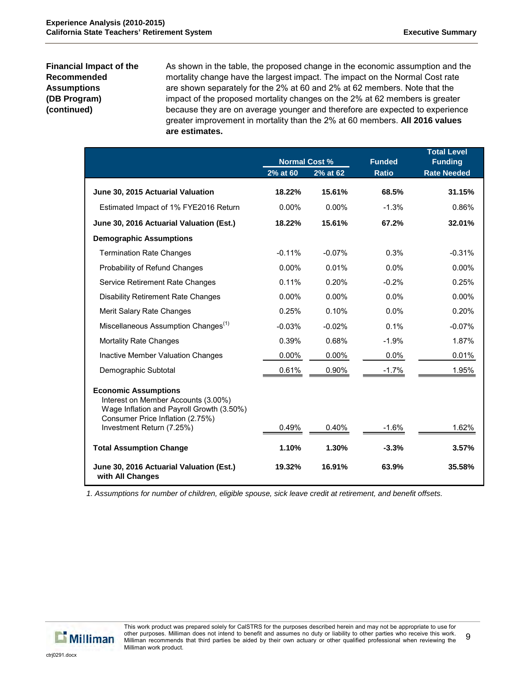#### **Financial Impact of the Recommended Assumptions (DB Program) (continued)**

As shown in the table, the proposed change in the economic assumption and the mortality change have the largest impact. The impact on the Normal Cost rate are shown separately for the 2% at 60 and 2% at 62 members. Note that the impact of the proposed mortality changes on the 2% at 62 members is greater because they are on average younger and therefore are expected to experience greater improvement in mortality than the 2% at 60 members. **All 2016 values are estimates.**

|                                                                                                                                                     | <b>Normal Cost %</b> |          | <b>Funded</b> | <b>Total Level</b><br><b>Funding</b> |
|-----------------------------------------------------------------------------------------------------------------------------------------------------|----------------------|----------|---------------|--------------------------------------|
|                                                                                                                                                     | 2% at 60             | 2% at 62 | <b>Ratio</b>  | <b>Rate Needed</b>                   |
| June 30, 2015 Actuarial Valuation                                                                                                                   | 18.22%               | 15.61%   | 68.5%         | 31.15%                               |
| Estimated Impact of 1% FYE2016 Return                                                                                                               | $0.00\%$             | $0.00\%$ | $-1.3%$       | 0.86%                                |
| June 30, 2016 Actuarial Valuation (Est.)                                                                                                            | 18.22%               | 15.61%   | 67.2%         | 32.01%                               |
| <b>Demographic Assumptions</b>                                                                                                                      |                      |          |               |                                      |
| <b>Termination Rate Changes</b>                                                                                                                     | $-0.11%$             | $-0.07%$ | 0.3%          | $-0.31%$                             |
| Probability of Refund Changes                                                                                                                       | $0.00\%$             | 0.01%    | $0.0\%$       | $0.00\%$                             |
| Service Retirement Rate Changes                                                                                                                     | 0.11%                | 0.20%    | $-0.2%$       | 0.25%                                |
| <b>Disability Retirement Rate Changes</b>                                                                                                           | 0.00%                | 0.00%    | 0.0%          | $0.00\%$                             |
| Merit Salary Rate Changes                                                                                                                           | 0.25%                | 0.10%    | 0.0%          | 0.20%                                |
| Miscellaneous Assumption Changes <sup>(1)</sup>                                                                                                     | $-0.03%$             | $-0.02%$ | 0.1%          | $-0.07%$                             |
| <b>Mortality Rate Changes</b>                                                                                                                       | 0.39%                | 0.68%    | $-1.9%$       | 1.87%                                |
| Inactive Member Valuation Changes                                                                                                                   | 0.00%                | $0.00\%$ | 0.0%          | 0.01%                                |
| Demographic Subtotal                                                                                                                                | 0.61%                | 0.90%    | $-1.7%$       | 1.95%                                |
| <b>Economic Assumptions</b><br>Interest on Member Accounts (3.00%)<br>Wage Inflation and Payroll Growth (3.50%)<br>Consumer Price Inflation (2.75%) |                      |          |               |                                      |
| Investment Return (7.25%)                                                                                                                           | 0.49%                | 0.40%    | $-1.6%$       | 1.62%                                |
| <b>Total Assumption Change</b>                                                                                                                      | 1.10%                | 1.30%    | $-3.3%$       | 3.57%                                |
| June 30, 2016 Actuarial Valuation (Est.)<br>with All Changes                                                                                        | 19.32%               | 16.91%   | 63.9%         | 35.58%                               |

*1. Assumptions for number of children, eligible spouse, sick leave credit at retirement, and benefit offsets.*

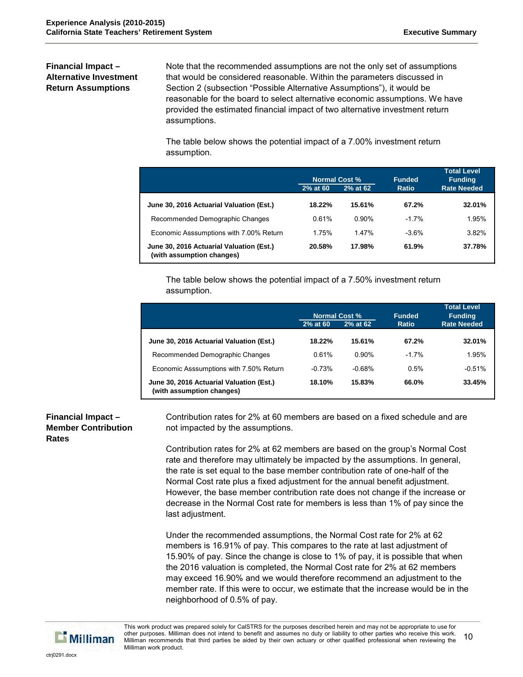#### **Financial Impact – Alternative Investment Return Assumptions**

Note that the recommended assumptions are not the only set of assumptions that would be considered reasonable. Within the parameters discussed in Section 2 (subsection "Possible Alternative Assumptions"), it would be reasonable for the board to select alternative economic assumptions. We have provided the estimated financial impact of two alternative investment return assumptions.

The table below shows the potential impact of a 7.00% investment return assumption.

|                                                                       | <b>Normal Cost %</b> |          | <b>Funded</b> | <b>Total Level</b><br><b>Funding</b> |
|-----------------------------------------------------------------------|----------------------|----------|---------------|--------------------------------------|
|                                                                       | 2% at 60             | 2% at 62 | <b>Ratio</b>  | <b>Rate Needed</b>                   |
| June 30, 2016 Actuarial Valuation (Est.)                              | 18.22%               | 15.61%   | 67.2%         | 32.01%                               |
| Recommended Demographic Changes                                       | 0.61%                | 0.90%    | $-1.7%$       | 1.95%                                |
| Economic Asssumptions with 7.00% Return                               | 1.75%                | 1.47%    | $-3.6%$       | 3.82%                                |
| June 30, 2016 Actuarial Valuation (Est.)<br>(with assumption changes) | 20.58%               | 17.98%   | 61.9%         | 37.78%                               |

The table below shows the potential impact of a 7.50% investment return assumption.

|                                                                       | <b>Normal Cost %</b> |          | <b>Funded</b> | <b>Total Level</b><br><b>Funding</b> |
|-----------------------------------------------------------------------|----------------------|----------|---------------|--------------------------------------|
|                                                                       | 2% at 60             | 2% at 62 | <b>Ratio</b>  | <b>Rate Needed</b>                   |
| June 30, 2016 Actuarial Valuation (Est.)                              | 18.22%               | 15.61%   | 67.2%         | 32.01%                               |
| Recommended Demographic Changes                                       | 0.61%                | 0.90%    | $-1.7%$       | 1.95%                                |
| Economic Asssumptions with 7.50% Return                               | $-0.73%$             | $-0.68%$ | 0.5%          | $-0.51%$                             |
| June 30, 2016 Actuarial Valuation (Est.)<br>(with assumption changes) | 18.10%               | 15.83%   | 66.0%         | 33.45%                               |

#### **Financial Impact – Member Contribution Rates**

Contribution rates for 2% at 60 members are based on a fixed schedule and are not impacted by the assumptions.

Contribution rates for 2% at 62 members are based on the group's Normal Cost rate and therefore may ultimately be impacted by the assumptions. In general, the rate is set equal to the base member contribution rate of one-half of the Normal Cost rate plus a fixed adjustment for the annual benefit adjustment. However, the base member contribution rate does not change if the increase or decrease in the Normal Cost rate for members is less than 1% of pay since the last adjustment.

Under the recommended assumptions, the Normal Cost rate for 2% at 62 members is 16.91% of pay. This compares to the rate at last adjustment of 15.90% of pay. Since the change is close to 1% of pay, it is possible that when the 2016 valuation is completed, the Normal Cost rate for 2% at 62 members may exceed 16.90% and we would therefore recommend an adjustment to the member rate. If this were to occur, we estimate that the increase would be in the neighborhood of 0.5% of pay.

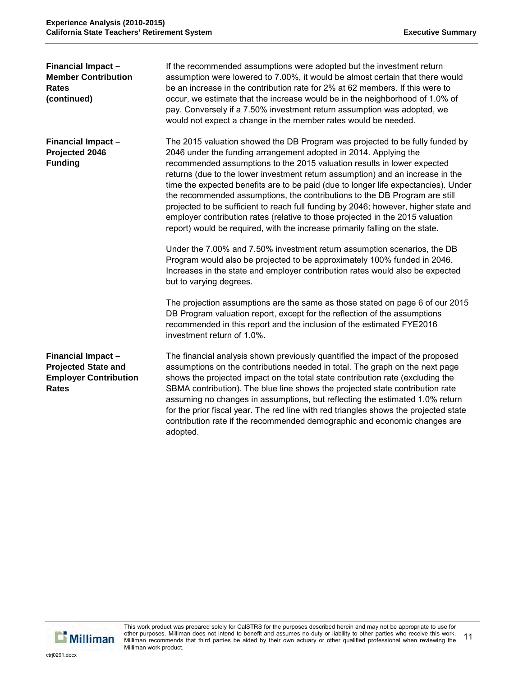| <b>Financial Impact -</b><br><b>Member Contribution</b><br><b>Rates</b><br>(continued)                  | If the recommended assumptions were adopted but the investment return<br>assumption were lowered to 7.00%, it would be almost certain that there would<br>be an increase in the contribution rate for 2% at 62 members. If this were to<br>occur, we estimate that the increase would be in the neighborhood of 1.0% of<br>pay. Conversely if a 7.50% investment return assumption was adopted, we<br>would not expect a change in the member rates would be needed.                                                                                                                                                                                                                                                                       |
|---------------------------------------------------------------------------------------------------------|--------------------------------------------------------------------------------------------------------------------------------------------------------------------------------------------------------------------------------------------------------------------------------------------------------------------------------------------------------------------------------------------------------------------------------------------------------------------------------------------------------------------------------------------------------------------------------------------------------------------------------------------------------------------------------------------------------------------------------------------|
| <b>Financial Impact -</b><br>Projected 2046<br><b>Funding</b>                                           | The 2015 valuation showed the DB Program was projected to be fully funded by<br>2046 under the funding arrangement adopted in 2014. Applying the<br>recommended assumptions to the 2015 valuation results in lower expected<br>returns (due to the lower investment return assumption) and an increase in the<br>time the expected benefits are to be paid (due to longer life expectancies). Under<br>the recommended assumptions, the contributions to the DB Program are still<br>projected to be sufficient to reach full funding by 2046; however, higher state and<br>employer contribution rates (relative to those projected in the 2015 valuation<br>report) would be required, with the increase primarily falling on the state. |
|                                                                                                         | Under the 7.00% and 7.50% investment return assumption scenarios, the DB<br>Program would also be projected to be approximately 100% funded in 2046.<br>Increases in the state and employer contribution rates would also be expected<br>but to varying degrees.                                                                                                                                                                                                                                                                                                                                                                                                                                                                           |
|                                                                                                         | The projection assumptions are the same as those stated on page 6 of our 2015<br>DB Program valuation report, except for the reflection of the assumptions<br>recommended in this report and the inclusion of the estimated FYE2016<br>investment return of 1.0%.                                                                                                                                                                                                                                                                                                                                                                                                                                                                          |
| <b>Financial Impact -</b><br><b>Projected State and</b><br><b>Employer Contribution</b><br><b>Rates</b> | The financial analysis shown previously quantified the impact of the proposed<br>assumptions on the contributions needed in total. The graph on the next page<br>shows the projected impact on the total state contribution rate (excluding the<br>SBMA contribution). The blue line shows the projected state contribution rate<br>assuming no changes in assumptions, but reflecting the estimated 1.0% return<br>for the prior fiscal year. The red line with red triangles shows the projected state<br>contribution rate if the recommended demographic and economic changes are<br>adopted.                                                                                                                                          |

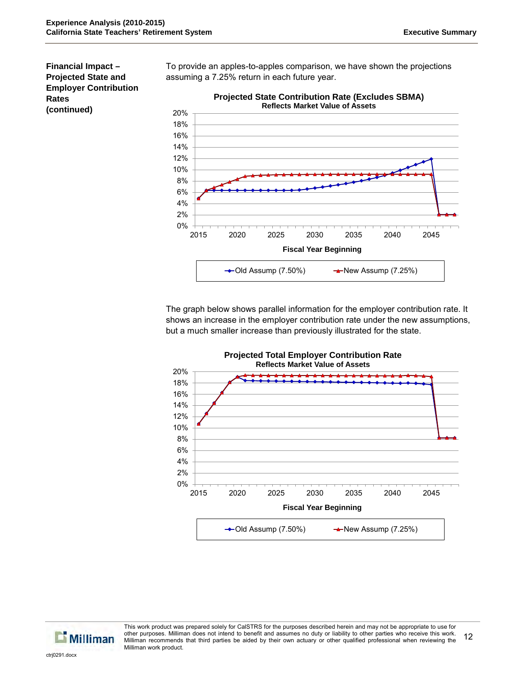#### **Financial Impact – Projected State and Employer Contribution Rates (continued)**

To provide an apples-to-apples comparison, we have shown the projections assuming a 7.25% return in each future year.



The graph below shows parallel information for the employer contribution rate. It shows an increase in the employer contribution rate under the new assumptions, but a much smaller increase than previously illustrated for the state.



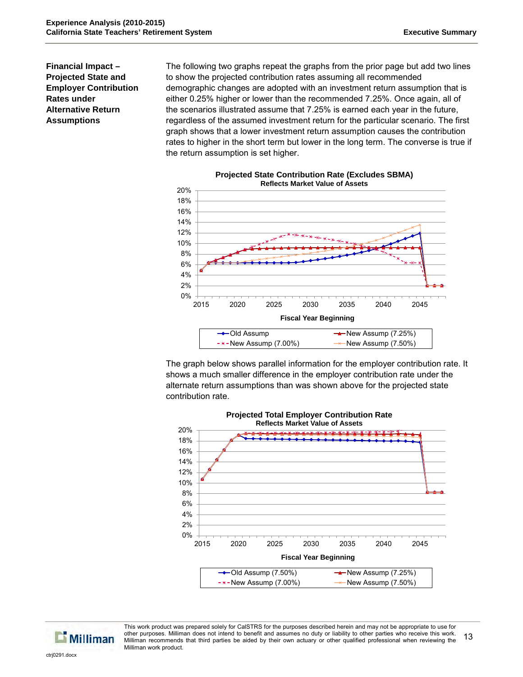#### **Financial Impact – Projected State and Employer Contribution Rates under Alternative Return Assumptions**

The following two graphs repeat the graphs from the prior page but add two lines to show the projected contribution rates assuming all recommended demographic changes are adopted with an investment return assumption that is either 0.25% higher or lower than the recommended 7.25%. Once again, all of the scenarios illustrated assume that 7.25% is earned each year in the future, regardless of the assumed investment return for the particular scenario. The first graph shows that a lower investment return assumption causes the contribution rates to higher in the short term but lower in the long term. The converse is true if the return assumption is set higher.



**Projected State Contribution Rate (Excludes SBMA) Reflects Market Value of Assets**

The graph below shows parallel information for the employer contribution rate. It shows a much smaller difference in the employer contribution rate under the alternate return assumptions than was shown above for the projected state contribution rate.



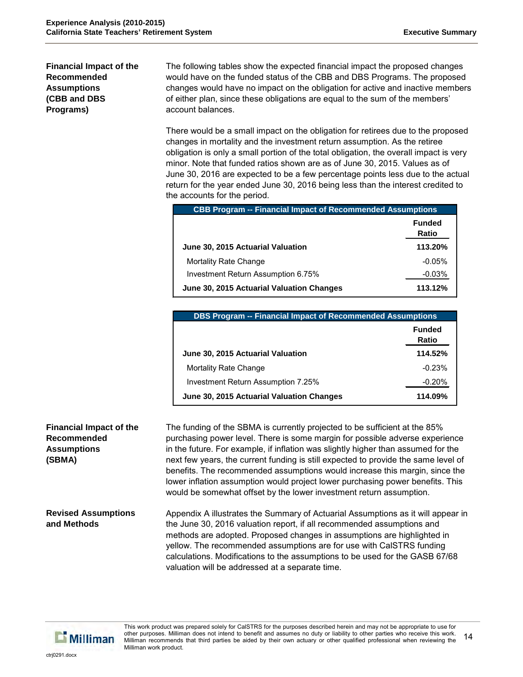#### **Financial Impact of the Recommended Assumptions (CBB and DBS Programs)**

The following tables show the expected financial impact the proposed changes would have on the funded status of the CBB and DBS Programs. The proposed changes would have no impact on the obligation for active and inactive members of either plan, since these obligations are equal to the sum of the members' account balances.

There would be a small impact on the obligation for retirees due to the proposed changes in mortality and the investment return assumption. As the retiree obligation is only a small portion of the total obligation, the overall impact is very minor. Note that funded ratios shown are as of June 30, 2015. Values as of June 30, 2016 are expected to be a few percentage points less due to the actual return for the year ended June 30, 2016 being less than the interest credited to the accounts for the period.

| <b>CBB Program -- Financial Impact of Recommended Assumptions</b> |                        |
|-------------------------------------------------------------------|------------------------|
|                                                                   | <b>Funded</b><br>Ratio |
| June 30, 2015 Actuarial Valuation                                 | 113.20%                |
| <b>Mortality Rate Change</b>                                      | $-0.05\%$              |
| Investment Return Assumption 6.75%                                | $-0.03%$               |
| June 30, 2015 Actuarial Valuation Changes                         | 113.12%                |

| <b>DBS Program -- Financial Impact of Recommended Assumptions</b> |                        |
|-------------------------------------------------------------------|------------------------|
|                                                                   | <b>Funded</b><br>Ratio |
| June 30, 2015 Actuarial Valuation                                 | 114.52%                |
| Mortality Rate Change                                             | $-0.23%$               |
| Investment Return Assumption 7.25%                                | $-0.20%$               |
| June 30, 2015 Actuarial Valuation Changes                         | 114.09%                |

**Financial Impact of the Recommended Assumptions (SBMA)** The funding of the SBMA is currently projected to be sufficient at the 85% purchasing power level. There is some margin for possible adverse experience in the future. For example, if inflation was slightly higher than assumed for the next few years, the current funding is still expected to provide the same level of benefits. The recommended assumptions would increase this margin, since the lower inflation assumption would project lower purchasing power benefits. This would be somewhat offset by the lower investment return assumption. **Revised Assumptions and Methods** Appendix A illustrates the Summary of Actuarial Assumptions as it will appear in the June 30, 2016 valuation report, if all recommended assumptions and methods are adopted. Proposed changes in assumptions are highlighted in

valuation will be addressed at a separate time.

**Milliman** 

yellow. The recommended assumptions are for use with CalSTRS funding calculations. Modifications to the assumptions to be used for the GASB 67/68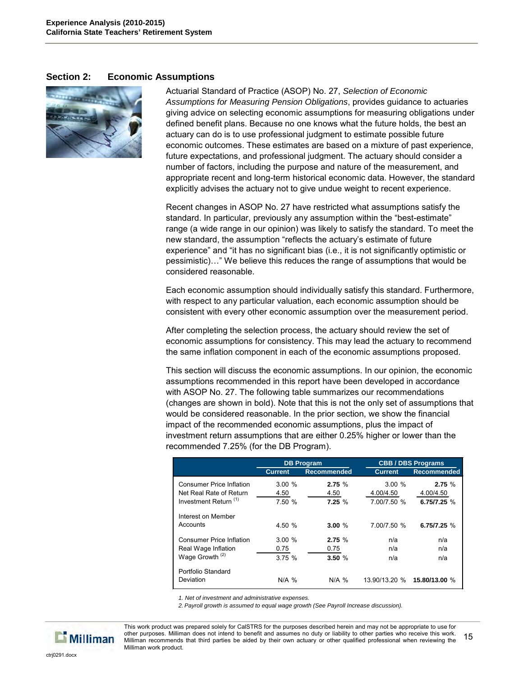#### **Section 2: Economic Assumptions**



Actuarial Standard of Practice (ASOP) No. 27, *Selection of Economic Assumptions for Measuring Pension Obligations*, provides guidance to actuaries giving advice on selecting economic assumptions for measuring obligations under defined benefit plans. Because no one knows what the future holds, the best an actuary can do is to use professional judgment to estimate possible future economic outcomes. These estimates are based on a mixture of past experience, future expectations, and professional judgment. The actuary should consider a number of factors, including the purpose and nature of the measurement, and appropriate recent and long-term historical economic data. However, the standard explicitly advises the actuary not to give undue weight to recent experience.

Recent changes in ASOP No. 27 have restricted what assumptions satisfy the standard. In particular, previously any assumption within the "best-estimate" range (a wide range in our opinion) was likely to satisfy the standard. To meet the new standard, the assumption "reflects the actuary's estimate of future experience" and "it has no significant bias (i.e., it is not significantly optimistic or pessimistic)…" We believe this reduces the range of assumptions that would be considered reasonable.

Each economic assumption should individually satisfy this standard. Furthermore, with respect to any particular valuation, each economic assumption should be consistent with every other economic assumption over the measurement period.

After completing the selection process, the actuary should review the set of economic assumptions for consistency. This may lead the actuary to recommend the same inflation component in each of the economic assumptions proposed.

This section will discuss the economic assumptions. In our opinion, the economic assumptions recommended in this report have been developed in accordance with ASOP No. 27. The following table summarizes our recommendations (changes are shown in bold). Note that this is not the only set of assumptions that would be considered reasonable. In the prior section, we show the financial impact of the recommended economic assumptions, plus the impact of investment return assumptions that are either 0.25% higher or lower than the recommended 7.25% (for the DB Program).

|                                  | <b>DB</b> Program |                    |                | <b>CBB / DBS Programs</b> |
|----------------------------------|-------------------|--------------------|----------------|---------------------------|
|                                  | <b>Current</b>    | <b>Recommended</b> | <b>Current</b> | <b>Recommended</b>        |
| <b>Consumer Price Inflation</b>  | 3.00%             | 2.75%              | 3.00%          | 2.75 %                    |
| Net Real Rate of Return          | 4.50              | 4.50               | 4.00/4.50      | 4.00/4.50                 |
| Investment Return <sup>(1)</sup> | 7.50 %            | 7.25%              | 7.00/7.50 %    | 6.75/7.25 %               |
| Interest on Member               |                   |                    |                |                           |
| Accounts                         | 4.50 %            | 3.00%              | 7.00/7.50 %    | 6.75/7.25 $%$             |
| <b>Consumer Price Inflation</b>  | 3.00%             | 2.75%              | n/a            | n/a                       |
| Real Wage Inflation              | 0.75              | 0.75               | n/a            | n/a                       |
| Wage Growth <sup>(2)</sup>       | 3.75%             | 3.50%              | n/a            | n/a                       |
| Portfolio Standard               |                   |                    |                |                           |
| Deviation                        | $N/A$ %           | $N/A$ %            | 13.90/13.20 %  | 15.80/13.00 %             |

*1. Net of investment and administrative expenses.*

*2. Payroll growth is assumed to equal wage growth (See Payroll Increase discussion).*



This work product was prepared solely for CalSTRS for the purposes described herein and may not be appropriate to use for other purposes. Milliman does not intend to benefit and assumes no duty or liability to other parties who receive this work. Milliman recommends that third parties be aided by their own actuary or other qualified professional when reviewing the Milliman work product. 15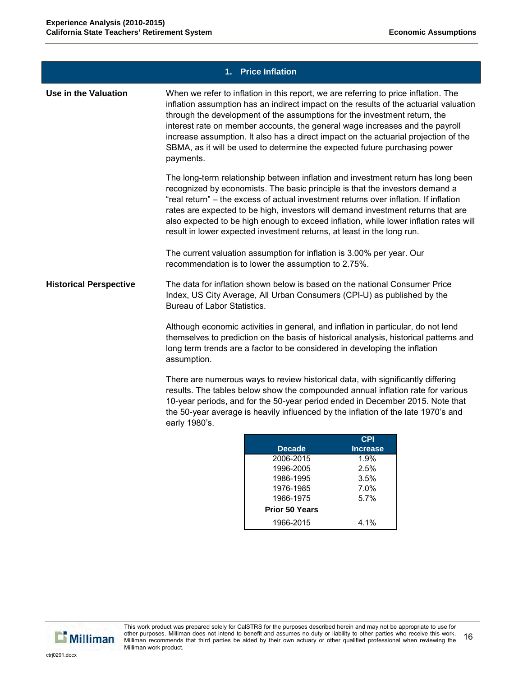|                               | 1. Price Inflation                                                                                                                                                                                                                                                                                                                                                                                                                                                                                                          |
|-------------------------------|-----------------------------------------------------------------------------------------------------------------------------------------------------------------------------------------------------------------------------------------------------------------------------------------------------------------------------------------------------------------------------------------------------------------------------------------------------------------------------------------------------------------------------|
| <b>Use in the Valuation</b>   | When we refer to inflation in this report, we are referring to price inflation. The<br>inflation assumption has an indirect impact on the results of the actuarial valuation<br>through the development of the assumptions for the investment return, the<br>interest rate on member accounts, the general wage increases and the payroll<br>increase assumption. It also has a direct impact on the actuarial projection of the<br>SBMA, as it will be used to determine the expected future purchasing power<br>payments. |
|                               | The long-term relationship between inflation and investment return has long been<br>recognized by economists. The basic principle is that the investors demand a<br>"real return" – the excess of actual investment returns over inflation. If inflation<br>rates are expected to be high, investors will demand investment returns that are<br>also expected to be high enough to exceed inflation, while lower inflation rates will<br>result in lower expected investment returns, at least in the long run.             |
|                               | The current valuation assumption for inflation is 3.00% per year. Our<br>recommendation is to lower the assumption to 2.75%.                                                                                                                                                                                                                                                                                                                                                                                                |
| <b>Historical Perspective</b> | The data for inflation shown below is based on the national Consumer Price<br>Index, US City Average, All Urban Consumers (CPI-U) as published by the<br><b>Bureau of Labor Statistics.</b>                                                                                                                                                                                                                                                                                                                                 |
|                               | Although economic activities in general, and inflation in particular, do not lend<br>themselves to prediction on the basis of historical analysis, historical patterns and<br>long term trends are a factor to be considered in developing the inflation<br>assumption.                                                                                                                                                                                                                                                     |
|                               | There are numerous ways to review historical data, with significantly differing<br>results. The tables below show the compounded annual inflation rate for various<br>10-year periods, and for the 50-year period ended in December 2015. Note that<br>the 50-year average is heavily influenced by the inflation of the late 1970's and<br>early 1980's.                                                                                                                                                                   |
|                               | <b>CPI</b>                                                                                                                                                                                                                                                                                                                                                                                                                                                                                                                  |
|                               | <b>Decade</b><br><b>Increase</b><br>2006-2015<br>1.9%                                                                                                                                                                                                                                                                                                                                                                                                                                                                       |
|                               | 1996-2005<br>2.5%                                                                                                                                                                                                                                                                                                                                                                                                                                                                                                           |
|                               | 1986-1995<br>3.5%                                                                                                                                                                                                                                                                                                                                                                                                                                                                                                           |
|                               | 1976-1985<br>7.0%                                                                                                                                                                                                                                                                                                                                                                                                                                                                                                           |



**Prior 50 Years**

1966-1975 5.7%

1966-2015 4.1%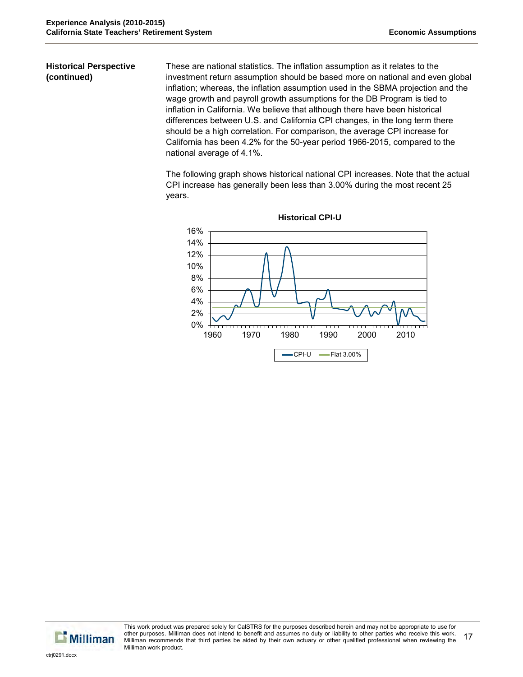#### **Historical Perspective (continued)**

These are national statistics. The inflation assumption as it relates to the investment return assumption should be based more on national and even global inflation; whereas, the inflation assumption used in the SBMA projection and the wage growth and payroll growth assumptions for the DB Program is tied to inflation in California. We believe that although there have been historical differences between U.S. and California CPI changes, in the long term there should be a high correlation. For comparison, the average CPI increase for California has been 4.2% for the 50-year period 1966-2015, compared to the national average of 4.1%.

The following graph shows historical national CPI increases. Note that the actual CPI increase has generally been less than 3.00% during the most recent 25 years.



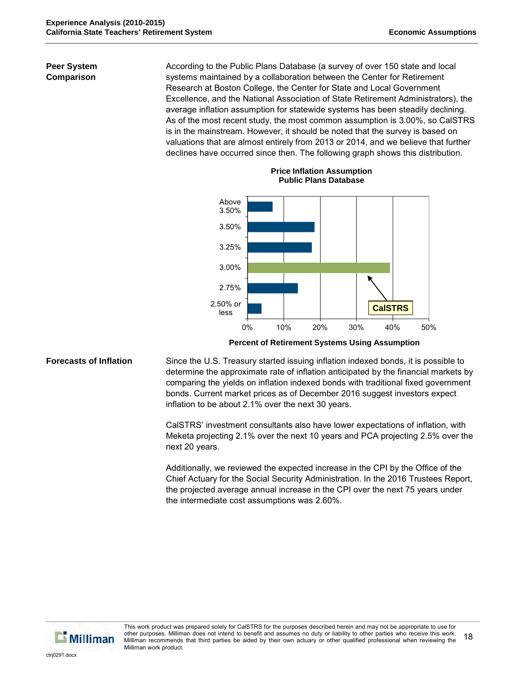#### **Peer System Comparison**

According to the Public Plans Database (a survey of over 150 state and local systems maintained by a collaboration between the Center for Retirement Research at Boston College, the Center for State and Local Government Excellence, and the National Association of State Retirement Administrators), the average inflation assumption for statewide systems has been steadily declining. As of the most recent study, the most common assumption is 3.00%, so CalSTRS is in the mainstream. However, it should be noted that the survey is based on valuations that are almost entirely from 2013 or 2014, and we believe that further declines have occurred since then. The following graph shows this distribution.



#### **Price Inflation Assumption Public Plans Database**

**Percent of Retirement Systems Using Assumption**

**Forecasts of Inflation** Since the U.S. Treasury started issuing inflation indexed bonds, it is possible to determine the approximate rate of inflation anticipated by the financial markets by comparing the yields on inflation indexed bonds with traditional fixed government bonds. Current market prices as of December 2016 suggest investors expect inflation to be about 2.1% over the next 30 years.

> CalSTRS' investment consultants also have lower expectations of inflation, with Meketa projecting 2.1% over the next 10 years and PCA projecting 2.5% over the next 20 years.

> Additionally, we reviewed the expected increase in the CPI by the Office of the Chief Actuary for the Social Security Administration. In the 2016 Trustees Report, the projected average annual increase in the CPI over the next 75 years under the intermediate cost assumptions was 2.60%.

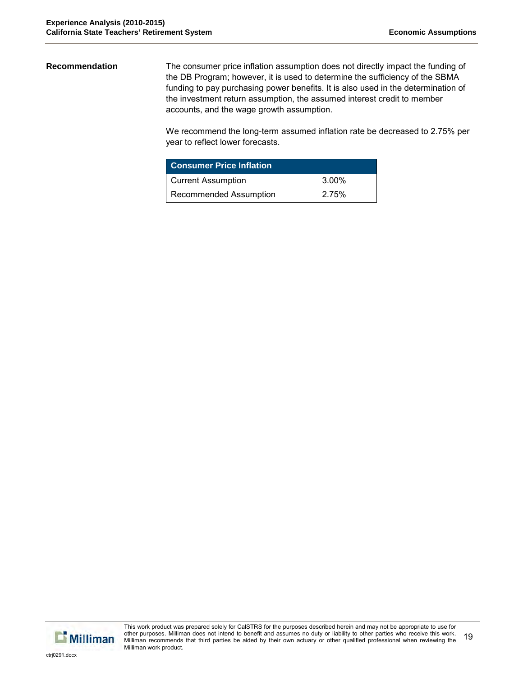**Recommendation** The consumer price inflation assumption does not directly impact the funding of the DB Program; however, it is used to determine the sufficiency of the SBMA funding to pay purchasing power benefits. It is also used in the determination of the investment return assumption, the assumed interest credit to member accounts, and the wage growth assumption.

> We recommend the long-term assumed inflation rate be decreased to 2.75% per year to reflect lower forecasts.

| <b>Consumer Price Inflation</b> |          |
|---------------------------------|----------|
| <b>Current Assumption</b>       | $3.00\%$ |
| <b>Recommended Assumption</b>   | 2.75%    |

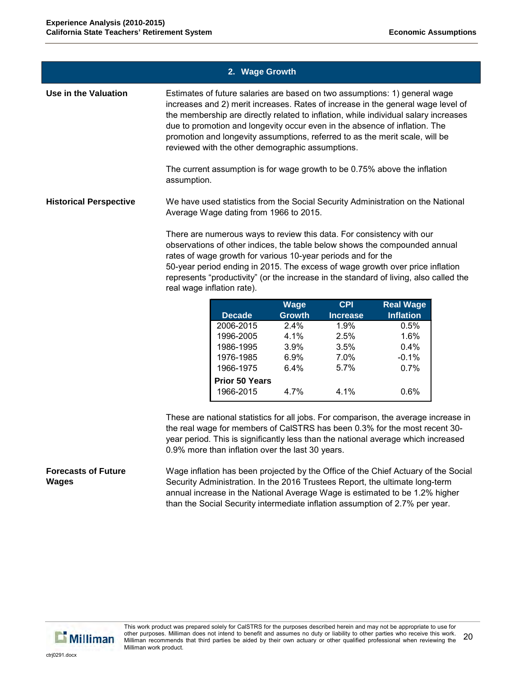|                               |                            | 2. Wage Growth                                                                                                                                                                  |               |                 |                                                                                                                                                                                                                                                                                                                                                                                                                     |
|-------------------------------|----------------------------|---------------------------------------------------------------------------------------------------------------------------------------------------------------------------------|---------------|-----------------|---------------------------------------------------------------------------------------------------------------------------------------------------------------------------------------------------------------------------------------------------------------------------------------------------------------------------------------------------------------------------------------------------------------------|
| <b>Use in the Valuation</b>   |                            | reviewed with the other demographic assumptions.                                                                                                                                |               |                 | Estimates of future salaries are based on two assumptions: 1) general wage<br>increases and 2) merit increases. Rates of increase in the general wage level of<br>the membership are directly related to inflation, while individual salary increases<br>due to promotion and longevity occur even in the absence of inflation. The<br>promotion and longevity assumptions, referred to as the merit scale, will be |
|                               | assumption.                |                                                                                                                                                                                 |               |                 | The current assumption is for wage growth to be 0.75% above the inflation                                                                                                                                                                                                                                                                                                                                           |
| <b>Historical Perspective</b> | real wage inflation rate). | Average Wage dating from 1966 to 2015.<br>There are numerous ways to review this data. For consistency with our<br>rates of wage growth for various 10-year periods and for the |               |                 | We have used statistics from the Social Security Administration on the National<br>observations of other indices, the table below shows the compounded annual<br>50-year period ending in 2015. The excess of wage growth over price inflation<br>represents "productivity" (or the increase in the standard of living, also called the                                                                             |
|                               |                            |                                                                                                                                                                                 | <b>Wage</b>   | <b>CPI</b>      | <b>Real Wage</b>                                                                                                                                                                                                                                                                                                                                                                                                    |
|                               |                            | <b>Decade</b>                                                                                                                                                                   | <b>Growth</b> | <b>Increase</b> | <b>Inflation</b>                                                                                                                                                                                                                                                                                                                                                                                                    |
|                               |                            | 2006-2015                                                                                                                                                                       | 2.4%          | 1.9%            | 0.5%                                                                                                                                                                                                                                                                                                                                                                                                                |
|                               |                            | 1996-2005                                                                                                                                                                       | 4.1%          | 2.5%            | 1.6%                                                                                                                                                                                                                                                                                                                                                                                                                |
|                               |                            | 1986-1995                                                                                                                                                                       | 3.9%          | 3.5%            | 0.4%                                                                                                                                                                                                                                                                                                                                                                                                                |
|                               |                            | 1976-1985                                                                                                                                                                       | 6.9%          | 7.0%            | $-0.1%$                                                                                                                                                                                                                                                                                                                                                                                                             |
|                               |                            | 1966-1975                                                                                                                                                                       | 6.4%          | 5.7%            | 0.7%                                                                                                                                                                                                                                                                                                                                                                                                                |
|                               |                            | <b>Prior 50 Years</b>                                                                                                                                                           |               |                 |                                                                                                                                                                                                                                                                                                                                                                                                                     |
|                               |                            | 1966-2015                                                                                                                                                                       | 4.7%          | 4.1%            | 0.6%                                                                                                                                                                                                                                                                                                                                                                                                                |
|                               |                            |                                                                                                                                                                                 |               |                 |                                                                                                                                                                                                                                                                                                                                                                                                                     |
|                               |                            |                                                                                                                                                                                 |               |                 | These are national statistics for all jobs. For comparison, the average increase in                                                                                                                                                                                                                                                                                                                                 |

the real wage for members of CalSTRS has been 0.3% for the most recent 30 year period. This is significantly less than the national average which increased 0.9% more than inflation over the last 30 years.

**Forecasts of Future Wages** Wage inflation has been projected by the Office of the Chief Actuary of the Social Security Administration. In the 2016 Trustees Report, the ultimate long-term annual increase in the National Average Wage is estimated to be 1.2% higher than the Social Security intermediate inflation assumption of 2.7% per year.

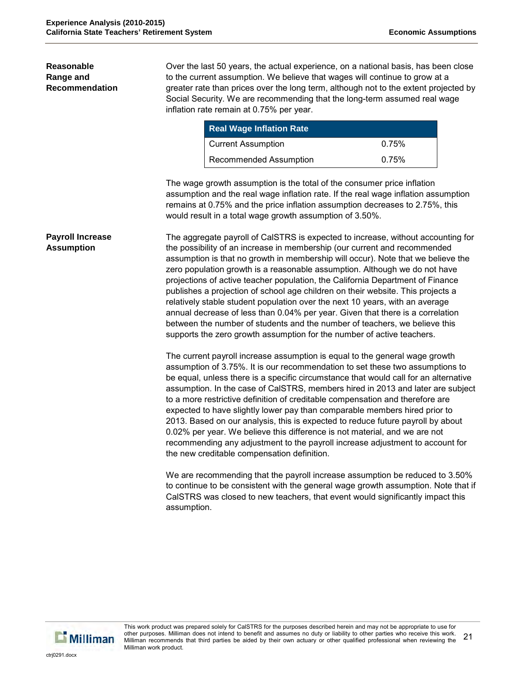### **Reasonable Range and Recommendation**  Over the last 50 years, the actual experience, on a national basis, has been close to the current assumption. We believe that wages will continue to grow at a greater rate than prices over the long term, although not to the extent projected by Social Security. We are recommending that the long-term assumed real wage inflation rate remain at 0.75% per year. **Real Wage Inflation Rate** Current Assumption 0.75% Recommended Assumption 0.75% The wage growth assumption is the total of the consumer price inflation assumption and the real wage inflation rate. If the real wage inflation assumption remains at 0.75% and the price inflation assumption decreases to 2.75%, this would result in a total wage growth assumption of 3.50%.

**Payroll Increase Assumption**  The aggregate payroll of CalSTRS is expected to increase, without accounting for the possibility of an increase in membership (our current and recommended assumption is that no growth in membership will occur). Note that we believe the zero population growth is a reasonable assumption. Although we do not have projections of active teacher population, the California Department of Finance publishes a projection of school age children on their website. This projects a relatively stable student population over the next 10 years, with an average annual decrease of less than 0.04% per year. Given that there is a correlation between the number of students and the number of teachers, we believe this supports the zero growth assumption for the number of active teachers.

> The current payroll increase assumption is equal to the general wage growth assumption of 3.75%. It is our recommendation to set these two assumptions to be equal, unless there is a specific circumstance that would call for an alternative assumption. In the case of CalSTRS, members hired in 2013 and later are subject to a more restrictive definition of creditable compensation and therefore are expected to have slightly lower pay than comparable members hired prior to 2013. Based on our analysis, this is expected to reduce future payroll by about 0.02% per year. We believe this difference is not material, and we are not recommending any adjustment to the payroll increase adjustment to account for the new creditable compensation definition.

> We are recommending that the payroll increase assumption be reduced to 3.50% to continue to be consistent with the general wage growth assumption. Note that if CalSTRS was closed to new teachers, that event would significantly impact this assumption.

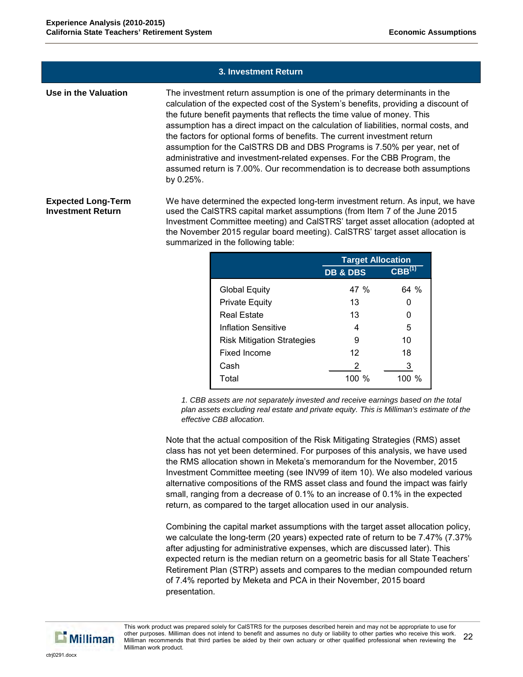#### **3. Investment Return**

**Use in the Valuation** The investment return assumption is one of the primary determinants in the calculation of the expected cost of the System's benefits, providing a discount of the future benefit payments that reflects the time value of money. This assumption has a direct impact on the calculation of liabilities, normal costs, and the factors for optional forms of benefits. The current investment return assumption for the CalSTRS DB and DBS Programs is 7.50% per year, net of administrative and investment-related expenses. For the CBB Program, the assumed return is 7.00%. Our recommendation is to decrease both assumptions by 0.25%.

**Expected Long-Term Expected Long-Term** We have determined the expected long-term investment return. As input, we have<br>**Investment Return** used the CaISTRS capital market assumptions (from Item 7 of the June 2015 Investment Committee meeting) and CalSTRS' target asset allocation (adopted at the November 2015 regular board meeting). CalSTRS' target asset allocation is summarized in the following table:

|                                   | <b>Target Allocation</b> |                      |  |
|-----------------------------------|--------------------------|----------------------|--|
|                                   | <b>DB &amp; DBS</b>      | $\mathbf{CBB}^{(1)}$ |  |
| Global Equity                     | 47 %                     | 64 %                 |  |
| <b>Private Equity</b>             | 13                       | O                    |  |
| <b>Real Estate</b>                | 13                       | 0                    |  |
| <b>Inflation Sensitive</b>        | 4                        | 5                    |  |
| <b>Risk Mitigation Strategies</b> | 9                        | 10                   |  |
| Fixed Income                      | 12                       | 18                   |  |
| Cash                              | 2                        | 3                    |  |
| Total                             | 100 %                    | 100                  |  |

*1. CBB assets are not separately invested and receive earnings based on the total plan assets excluding real estate and private equity. This is Milliman's estimate of the effective CBB allocation.*

Note that the actual composition of the Risk Mitigating Strategies (RMS) asset class has not yet been determined. For purposes of this analysis, we have used the RMS allocation shown in Meketa's memorandum for the November, 2015 Investment Committee meeting (see INV99 of item 10). We also modeled various alternative compositions of the RMS asset class and found the impact was fairly small, ranging from a decrease of 0.1% to an increase of 0.1% in the expected return, as compared to the target allocation used in our analysis.

Combining the capital market assumptions with the target asset allocation policy, we calculate the long-term (20 years) expected rate of return to be 7.47% (7.37% after adjusting for administrative expenses, which are discussed later). This expected return is the median return on a geometric basis for all State Teachers' Retirement Plan (STRP) assets and compares to the median compounded return of 7.4% reported by Meketa and PCA in their November, 2015 board presentation.

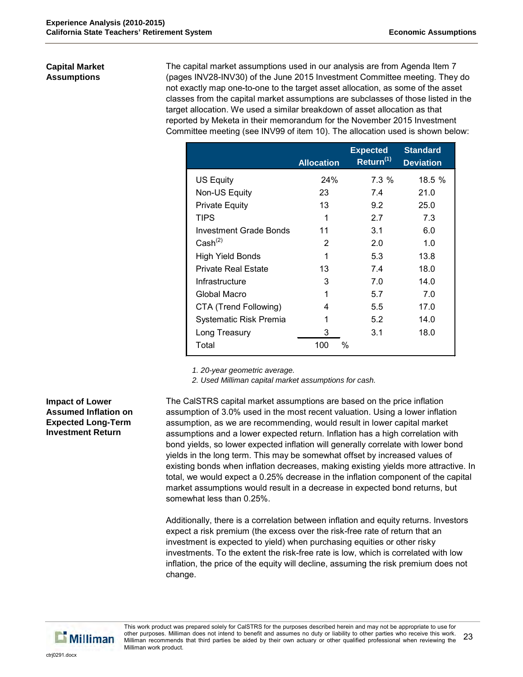#### **Capital Market Assumptions**

The capital market assumptions used in our analysis are from Agenda Item 7 (pages INV28-INV30) of the June 2015 Investment Committee meeting. They do not exactly map one-to-one to the target asset allocation, as some of the asset classes from the capital market assumptions are subclasses of those listed in the target allocation. We used a similar breakdown of asset allocation as that reported by Meketa in their memorandum for the November 2015 Investment Committee meeting (see INV99 of item 10). The allocation used is shown below:

|                            | <b>Allocation</b> | <b>Expected</b><br>Return <sup>(1)</sup> | <b>Standard</b><br><b>Deviation</b> |
|----------------------------|-------------------|------------------------------------------|-------------------------------------|
| <b>US Equity</b>           | 24%               | $7.3\%$                                  | 18.5%                               |
| Non-US Equity              | 23                | 7.4                                      | 21.0                                |
| <b>Private Equity</b>      | 13                | 9.2                                      | 25.0                                |
| <b>TIPS</b>                | 1                 | 2.7                                      | 7.3                                 |
| Investment Grade Bonds     | 11                | 3.1                                      | 6.0                                 |
| $Cash^{(2)}$               | 2                 | 2.0                                      | 1.0                                 |
| High Yield Bonds           | 1                 | 5.3                                      | 13.8                                |
| <b>Private Real Estate</b> | 13                | 7.4                                      | 18.0                                |
| Infrastructure             | 3                 | 7.0                                      | 14.0                                |
| Global Macro               | 1                 | 5.7                                      | 7.0                                 |
| CTA (Trend Following)      | 4                 | 5.5                                      | 17.0                                |
| Systematic Risk Premia     | 1                 | 5.2                                      | 14.0                                |
| Long Treasury              | 3                 | 3.1                                      | 18.0                                |
| Total                      | %<br>100          |                                          |                                     |

*1. 20-year geometric average.*

*2. Used Milliman capital market assumptions for cash.*

The CalSTRS capital market assumptions are based on the price inflation assumption of 3.0% used in the most recent valuation. Using a lower inflation assumption, as we are recommending, would result in lower capital market assumptions and a lower expected return. Inflation has a high correlation with bond yields, so lower expected inflation will generally correlate with lower bond yields in the long term. This may be somewhat offset by increased values of existing bonds when inflation decreases, making existing yields more attractive. In total, we would expect a 0.25% decrease in the inflation component of the capital market assumptions would result in a decrease in expected bond returns, but somewhat less than 0.25%.

Additionally, there is a correlation between inflation and equity returns. Investors expect a risk premium (the excess over the risk-free rate of return that an investment is expected to yield) when purchasing equities or other risky investments. To the extent the risk-free rate is low, which is correlated with low inflation, the price of the equity will decline, assuming the risk premium does not change.



**Impact of Lower Assumed Inflation on Expected Long-Term Investment Return**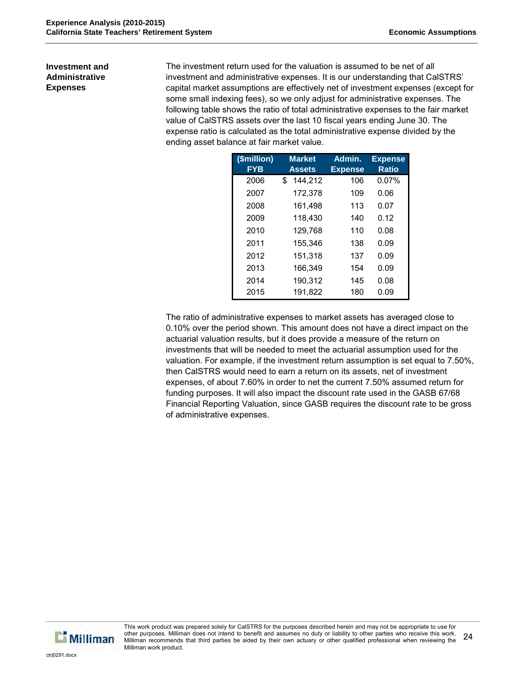#### **Investment and Administrative Expenses**

The investment return used for the valuation is assumed to be net of all investment and administrative expenses. It is our understanding that CalSTRS' capital market assumptions are effectively net of investment expenses (except for some small indexing fees), so we only adjust for administrative expenses. The following table shows the ratio of total administrative expenses to the fair market value of CalSTRS assets over the last 10 fiscal years ending June 30. The expense ratio is calculated as the total administrative expense divided by the ending asset balance at fair market value.

| (\$million)<br><b>FYB</b> | <b>Market</b><br><b>Assets</b> | Admin.<br><b>Expense</b> | <b>Expense</b><br><b>Ratio</b> |
|---------------------------|--------------------------------|--------------------------|--------------------------------|
| 2006                      | 144,212<br>\$                  | 106                      | 0.07%                          |
| 2007                      | 172.378                        | 109                      | 0.06                           |
| 2008                      | 161,498                        | 113                      | 0.07                           |
| 2009                      | 118,430                        | 140                      | 0.12                           |
| 2010                      | 129,768                        | 110                      | 0.08                           |
| 2011                      | 155,346                        | 138                      | 0.09                           |
| 2012                      | 151,318                        | 137                      | 0.09                           |
| 2013                      | 166,349                        | 154                      | 0.09                           |
| 2014                      | 190,312                        | 145                      | 0.08                           |
| 2015                      | 191,822                        | 180                      | 0.09                           |

The ratio of administrative expenses to market assets has averaged close to 0.10% over the period shown. This amount does not have a direct impact on the actuarial valuation results, but it does provide a measure of the return on investments that will be needed to meet the actuarial assumption used for the valuation. For example, if the investment return assumption is set equal to 7.50%, then CalSTRS would need to earn a return on its assets, net of investment expenses, of about 7.60% in order to net the current 7.50% assumed return for funding purposes. It will also impact the discount rate used in the GASB 67/68 Financial Reporting Valuation, since GASB requires the discount rate to be gross of administrative expenses.

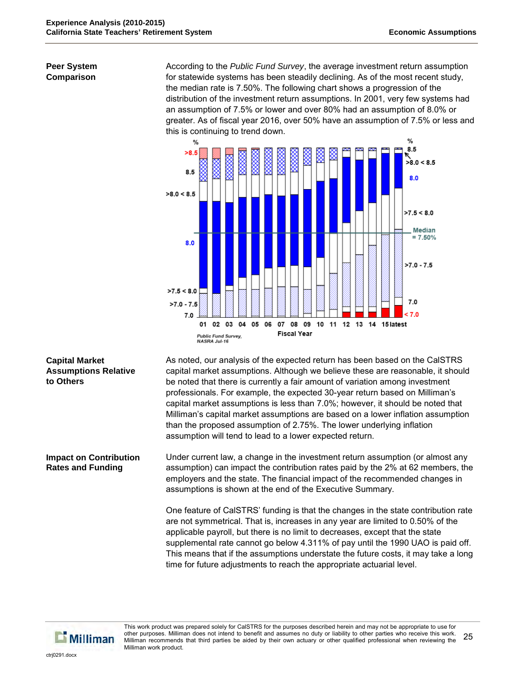#### **Peer System Comparison**

According to the *Public Fund Survey*, the average investment return assumption for statewide systems has been steadily declining. As of the most recent study, the median rate is 7.50%. The following chart shows a progression of the distribution of the investment return assumptions. In 2001, very few systems had an assumption of 7.5% or lower and over 80% had an assumption of 8.0% or greater. As of fiscal year 2016, over 50% have an assumption of 7.5% or less and this is continuing to trend down.



#### **Capital Market Assumptions Relative to Others**

As noted, our analysis of the expected return has been based on the CalSTRS capital market assumptions. Although we believe these are reasonable, it should be noted that there is currently a fair amount of variation among investment professionals. For example, the expected 30-year return based on Milliman's capital market assumptions is less than 7.0%; however, it should be noted that Milliman's capital market assumptions are based on a lower inflation assumption than the proposed assumption of 2.75%. The lower underlying inflation assumption will tend to lead to a lower expected return.

**Impact on Contribution Rates and Funding** Under current law, a change in the investment return assumption (or almost any assumption) can impact the contribution rates paid by the 2% at 62 members, the employers and the state. The financial impact of the recommended changes in assumptions is shown at the end of the Executive Summary.

> One feature of CalSTRS' funding is that the changes in the state contribution rate are not symmetrical. That is, increases in any year are limited to 0.50% of the applicable payroll, but there is no limit to decreases, except that the state supplemental rate cannot go below 4.311% of pay until the 1990 UAO is paid off. This means that if the assumptions understate the future costs, it may take a long time for future adjustments to reach the appropriate actuarial level.

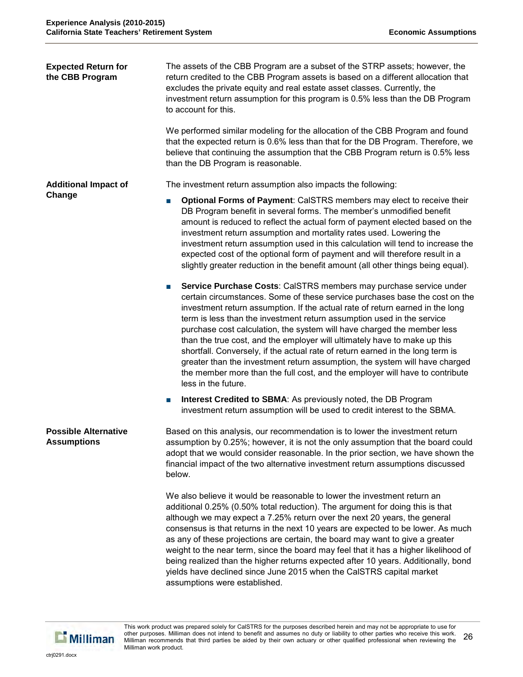| <b>Expected Return for</b><br>the CBB Program     | The assets of the CBB Program are a subset of the STRP assets; however, the<br>return credited to the CBB Program assets is based on a different allocation that<br>excludes the private equity and real estate asset classes. Currently, the<br>investment return assumption for this program is 0.5% less than the DB Program<br>to account for this.<br>We performed similar modeling for the allocation of the CBB Program and found<br>that the expected return is 0.6% less than that for the DB Program. Therefore, we<br>believe that continuing the assumption that the CBB Program return is 0.5% less<br>than the DB Program is reasonable.                                                                                                                                                                                              |
|---------------------------------------------------|-----------------------------------------------------------------------------------------------------------------------------------------------------------------------------------------------------------------------------------------------------------------------------------------------------------------------------------------------------------------------------------------------------------------------------------------------------------------------------------------------------------------------------------------------------------------------------------------------------------------------------------------------------------------------------------------------------------------------------------------------------------------------------------------------------------------------------------------------------|
| <b>Additional Impact of</b><br>Change             | The investment return assumption also impacts the following:<br>Optional Forms of Payment: CalSTRS members may elect to receive their<br>T.<br>DB Program benefit in several forms. The member's unmodified benefit<br>amount is reduced to reflect the actual form of payment elected based on the<br>investment return assumption and mortality rates used. Lowering the<br>investment return assumption used in this calculation will tend to increase the<br>expected cost of the optional form of payment and will therefore result in a<br>slightly greater reduction in the benefit amount (all other things being equal).                                                                                                                                                                                                                   |
|                                                   | Service Purchase Costs: CalSTRS members may purchase service under<br>T.<br>certain circumstances. Some of these service purchases base the cost on the<br>investment return assumption. If the actual rate of return earned in the long<br>term is less than the investment return assumption used in the service<br>purchase cost calculation, the system will have charged the member less<br>than the true cost, and the employer will ultimately have to make up this<br>shortfall. Conversely, if the actual rate of return earned in the long term is<br>greater than the investment return assumption, the system will have charged<br>the member more than the full cost, and the employer will have to contribute<br>less in the future.<br>Interest Credited to SBMA: As previously noted, the DB Program<br>$\mathcal{L}_{\mathcal{A}}$ |
|                                                   | investment return assumption will be used to credit interest to the SBMA.                                                                                                                                                                                                                                                                                                                                                                                                                                                                                                                                                                                                                                                                                                                                                                           |
| <b>Possible Alternative</b><br><b>Assumptions</b> | Based on this analysis, our recommendation is to lower the investment return<br>assumption by 0.25%; however, it is not the only assumption that the board could<br>adopt that we would consider reasonable. In the prior section, we have shown the<br>financial impact of the two alternative investment return assumptions discussed<br>below.                                                                                                                                                                                                                                                                                                                                                                                                                                                                                                   |
|                                                   | We also believe it would be reasonable to lower the investment return an<br>additional 0.25% (0.50% total reduction). The argument for doing this is that<br>although we may expect a 7.25% return over the next 20 years, the general<br>consensus is that returns in the next 10 years are expected to be lower. As much<br>as any of these projections are certain, the board may want to give a greater<br>weight to the near term, since the board may feel that it has a higher likelihood of<br>being realized than the bigher returns expected after 10 years. Additionally, bond                                                                                                                                                                                                                                                           |

being realized than the higher returns expected after 10 years. Additionally, bond yields have declined since June 2015 when the CalSTRS capital market assumptions were established.

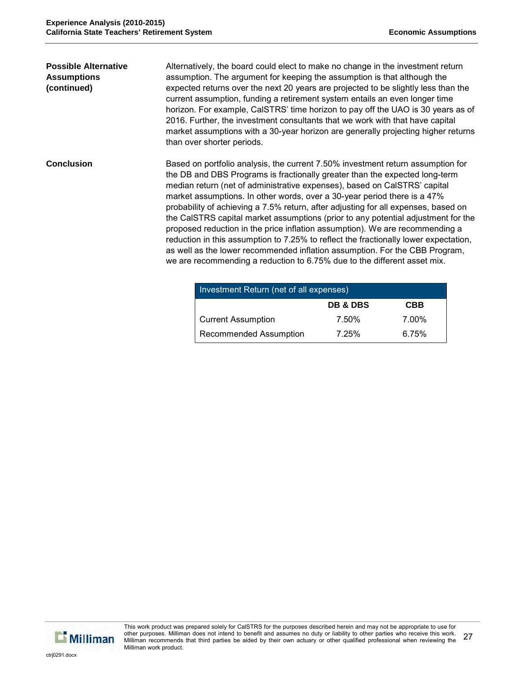| <b>Possible Alternative</b><br><b>Assumptions</b><br>(continued) | Alternatively, the board could elect to make no change in the investment return<br>assumption. The argument for keeping the assumption is that although the<br>expected returns over the next 20 years are projected to be slightly less than the<br>current assumption, funding a retirement system entails an even longer time<br>horizon. For example, CalSTRS' time horizon to pay off the UAO is 30 years as of<br>2016. Further, the investment consultants that we work with that have capital<br>market assumptions with a 30-year horizon are generally projecting higher returns<br>than over shorter periods.                                                                                                                                                                                                              |
|------------------------------------------------------------------|---------------------------------------------------------------------------------------------------------------------------------------------------------------------------------------------------------------------------------------------------------------------------------------------------------------------------------------------------------------------------------------------------------------------------------------------------------------------------------------------------------------------------------------------------------------------------------------------------------------------------------------------------------------------------------------------------------------------------------------------------------------------------------------------------------------------------------------|
| <b>Conclusion</b>                                                | Based on portfolio analysis, the current 7.50% investment return assumption for<br>the DB and DBS Programs is fractionally greater than the expected long-term<br>median return (net of administrative expenses), based on CalSTRS' capital<br>market assumptions. In other words, over a 30-year period there is a 47%<br>probability of achieving a 7.5% return, after adjusting for all expenses, based on<br>the CalSTRS capital market assumptions (prior to any potential adjustment for the<br>proposed reduction in the price inflation assumption). We are recommending a<br>reduction in this assumption to 7.25% to reflect the fractionally lower expectation,<br>as well as the lower recommended inflation assumption. For the CBB Program,<br>we are recommending a reduction to 6.75% due to the different asset mix. |

| Investment Return (net of all expenses). |                     |            |  |
|------------------------------------------|---------------------|------------|--|
|                                          | <b>DB &amp; DBS</b> | <b>CBB</b> |  |
| <b>Current Assumption</b>                | 7.50%               | 7.00%      |  |
| Recommended Assumption                   | 7.25%               | 6.75%      |  |

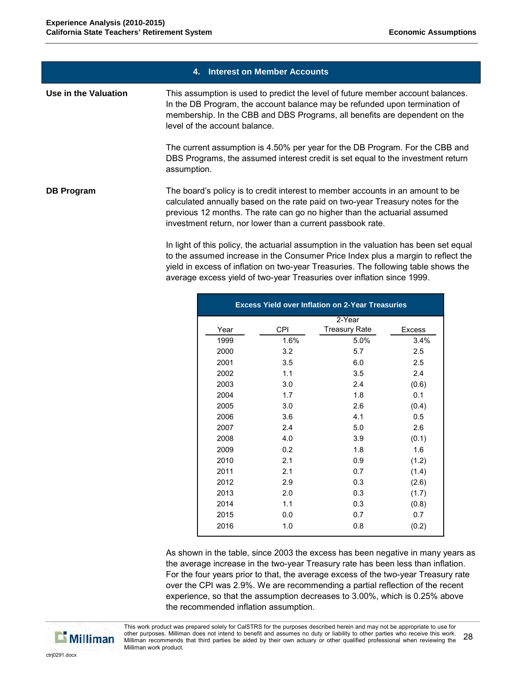#### **4. Interest on Member Accounts**

**Use in the Valuation** This assumption is used to predict the level of future member account balances. In the DB Program, the account balance may be refunded upon termination of membership. In the CBB and DBS Programs, all benefits are dependent on the level of the account balance.

> The current assumption is 4.50% per year for the DB Program. For the CBB and DBS Programs, the assumed interest credit is set equal to the investment return assumption.

**DB Program** The board's policy is to credit interest to member accounts in an amount to be calculated annually based on the rate paid on two-year Treasury notes for the previous 12 months. The rate can go no higher than the actuarial assumed investment return, nor lower than a current passbook rate.

> In light of this policy, the actuarial assumption in the valuation has been set equal to the assumed increase in the Consumer Price Index plus a margin to reflect the yield in excess of inflation on two-year Treasuries. The following table shows the average excess yield of two-year Treasuries over inflation since 1999.

| <b>Excess Yield over Inflation on 2-Year Treasuries</b> |            |                      |               |
|---------------------------------------------------------|------------|----------------------|---------------|
|                                                         |            | 2-Year               |               |
| Year                                                    | <b>CPI</b> | <b>Treasury Rate</b> | <b>Excess</b> |
| 1999                                                    | 1.6%       | 5.0%                 | 3.4%          |
| 2000                                                    | 3.2        | 5.7                  | 2.5           |
| 2001                                                    | 3.5        | 6.0                  | 2.5           |
| 2002                                                    | 1.1        | 3.5                  | 2.4           |
| 2003                                                    | 3.0        | 2.4                  | (0.6)         |
| 2004                                                    | 1.7        | 1.8                  | 0.1           |
| 2005                                                    | 3.0        | 2.6                  | (0.4)         |
| 2006                                                    | 3.6        | 4.1                  | 0.5           |
| 2007                                                    | 2.4        | 5.0                  | 2.6           |
| 2008                                                    | 4.0        | 3.9                  | (0.1)         |
| 2009                                                    | 0.2        | 1.8                  | 1.6           |
| 2010                                                    | 2.1        | 0.9                  | (1.2)         |
| 2011                                                    | 2.1        | 0.7                  | (1.4)         |
| 2012                                                    | 2.9        | 0.3                  | (2.6)         |
| 2013                                                    | 2.0        | 0.3                  | (1.7)         |
| 2014                                                    | 1.1        | 0.3                  | (0.8)         |
| 2015                                                    | 0.0        | 0.7                  | 0.7           |
| 2016                                                    | 1.0        | 0.8                  | (0.2)         |
|                                                         |            |                      |               |

As shown in the table, since 2003 the excess has been negative in many years as the average increase in the two-year Treasury rate has been less than inflation. For the four years prior to that, the average excess of the two-year Treasury rate over the CPI was 2.9%. We are recommending a partial reflection of the recent experience, so that the assumption decreases to 3.00%, which is 0.25% above the recommended inflation assumption.

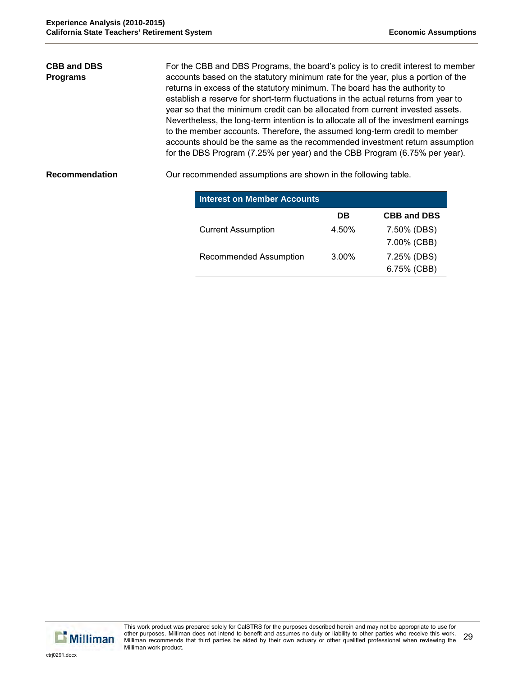| <b>CBB and DBS</b><br><b>Programs</b> | For the CBB and DBS Programs, the board's policy is to credit interest to member<br>accounts based on the statutory minimum rate for the year, plus a portion of the<br>returns in excess of the statutory minimum. The board has the authority to<br>establish a reserve for short-term fluctuations in the actual returns from year to<br>year so that the minimum credit can be allocated from current invested assets.<br>Nevertheless, the long-term intention is to allocate all of the investment earnings<br>to the member accounts. Therefore, the assumed long-term credit to member<br>accounts should be the same as the recommended investment return assumption<br>for the DBS Program (7.25% per year) and the CBB Program (6.75% per year). |
|---------------------------------------|-------------------------------------------------------------------------------------------------------------------------------------------------------------------------------------------------------------------------------------------------------------------------------------------------------------------------------------------------------------------------------------------------------------------------------------------------------------------------------------------------------------------------------------------------------------------------------------------------------------------------------------------------------------------------------------------------------------------------------------------------------------|
|                                       |                                                                                                                                                                                                                                                                                                                                                                                                                                                                                                                                                                                                                                                                                                                                                             |

**Recommendation Our recommended assumptions are shown in the following table.** 

| <b>Interest on Member Accounts</b> |       |                    |
|------------------------------------|-------|--------------------|
|                                    | DB    | <b>CBB and DBS</b> |
| <b>Current Assumption</b>          | 4.50% | 7.50% (DBS)        |
|                                    |       | 7.00% (CBB)        |
| Recommended Assumption             | 3.00% | 7.25% (DBS)        |
|                                    |       | 6.75% (CBB)        |

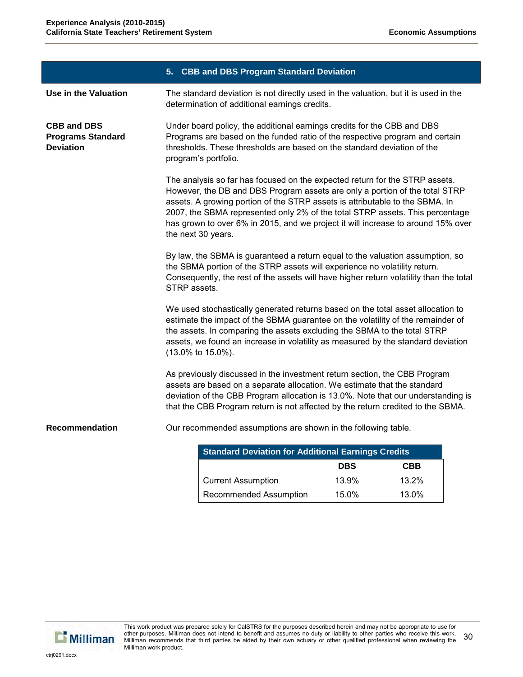|                                                                    | 5. CBB and DBS Program Standard Deviation                                                                                                                                                                                                                                                                                                                                                                                            |
|--------------------------------------------------------------------|--------------------------------------------------------------------------------------------------------------------------------------------------------------------------------------------------------------------------------------------------------------------------------------------------------------------------------------------------------------------------------------------------------------------------------------|
| <b>Use in the Valuation</b>                                        | The standard deviation is not directly used in the valuation, but it is used in the<br>determination of additional earnings credits.                                                                                                                                                                                                                                                                                                 |
| <b>CBB and DBS</b><br><b>Programs Standard</b><br><b>Deviation</b> | Under board policy, the additional earnings credits for the CBB and DBS<br>Programs are based on the funded ratio of the respective program and certain<br>thresholds. These thresholds are based on the standard deviation of the<br>program's portfolio.                                                                                                                                                                           |
|                                                                    | The analysis so far has focused on the expected return for the STRP assets.<br>However, the DB and DBS Program assets are only a portion of the total STRP<br>assets. A growing portion of the STRP assets is attributable to the SBMA. In<br>2007, the SBMA represented only 2% of the total STRP assets. This percentage<br>has grown to over 6% in 2015, and we project it will increase to around 15% over<br>the next 30 years. |
|                                                                    | By law, the SBMA is guaranteed a return equal to the valuation assumption, so<br>the SBMA portion of the STRP assets will experience no volatility return.<br>Consequently, the rest of the assets will have higher return volatility than the total<br>STRP assets.                                                                                                                                                                 |
|                                                                    | We used stochastically generated returns based on the total asset allocation to<br>estimate the impact of the SBMA guarantee on the volatility of the remainder of<br>the assets. In comparing the assets excluding the SBMA to the total STRP<br>assets, we found an increase in volatility as measured by the standard deviation<br>(13.0% to 15.0%).                                                                              |
|                                                                    | As previously discussed in the investment return section, the CBB Program<br>assets are based on a separate allocation. We estimate that the standard<br>deviation of the CBB Program allocation is 13.0%. Note that our understanding is<br>that the CBB Program return is not affected by the return credited to the SBMA.                                                                                                         |
| <b>Recommendation</b>                                              | Our recommended assumptions are shown in the following table.                                                                                                                                                                                                                                                                                                                                                                        |
|                                                                    | <b>Standard Deviation for Additional Earnings Credits</b>                                                                                                                                                                                                                                                                                                                                                                            |

| <b>Standard Deviation for Additional Earnings Credits</b> |            |            |  |
|-----------------------------------------------------------|------------|------------|--|
|                                                           | <b>DBS</b> | <b>CBB</b> |  |
| Current Assumption                                        | 13.9%      | $13.2\%$   |  |
| Recommended Assumption                                    | 15.0%      | 13.0%      |  |

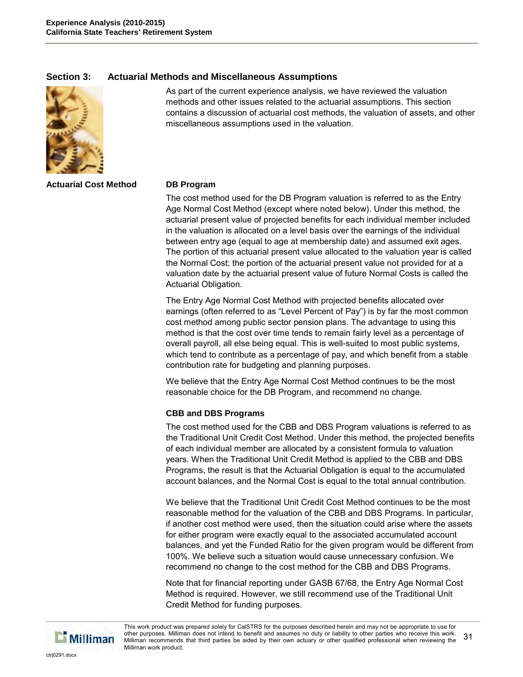# **Section 3: Actuarial Methods and Miscellaneous Assumptions**



As part of the current experience analysis, we have reviewed the valuation methods and other issues related to the actuarial assumptions. This section contains a discussion of actuarial cost methods, the valuation of assets, and other miscellaneous assumptions used in the valuation.

#### **Actuarial Cost Method DB Program**

The cost method used for the DB Program valuation is referred to as the Entry Age Normal Cost Method (except where noted below). Under this method, the actuarial present value of projected benefits for each individual member included in the valuation is allocated on a level basis over the earnings of the individual between entry age (equal to age at membership date) and assumed exit ages. The portion of this actuarial present value allocated to the valuation year is called the Normal Cost; the portion of the actuarial present value not provided for at a valuation date by the actuarial present value of future Normal Costs is called the Actuarial Obligation.

The Entry Age Normal Cost Method with projected benefits allocated over earnings (often referred to as "Level Percent of Pay") is by far the most common cost method among public sector pension plans. The advantage to using this method is that the cost over time tends to remain fairly level as a percentage of overall payroll, all else being equal. This is well-suited to most public systems, which tend to contribute as a percentage of pay, and which benefit from a stable contribution rate for budgeting and planning purposes.

We believe that the Entry Age Normal Cost Method continues to be the most reasonable choice for the DB Program, and recommend no change.

## **CBB and DBS Programs**

The cost method used for the CBB and DBS Program valuations is referred to as the Traditional Unit Credit Cost Method. Under this method, the projected benefits of each individual member are allocated by a consistent formula to valuation years. When the Traditional Unit Credit Method is applied to the CBB and DBS Programs, the result is that the Actuarial Obligation is equal to the accumulated account balances, and the Normal Cost is equal to the total annual contribution.

We believe that the Traditional Unit Credit Cost Method continues to be the most reasonable method for the valuation of the CBB and DBS Programs. In particular, if another cost method were used, then the situation could arise where the assets for either program were exactly equal to the associated accumulated account balances, and yet the Funded Ratio for the given program would be different from 100%. We believe such a situation would cause unnecessary confusion. We recommend no change to the cost method for the CBB and DBS Programs.

Note that for financial reporting under GASB 67/68, the Entry Age Normal Cost Method is required. However, we still recommend use of the Traditional Unit Credit Method for funding purposes.

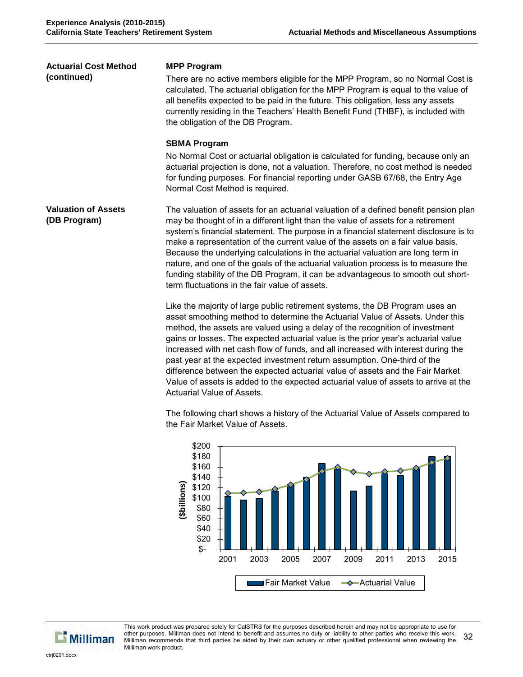| <b>Actuarial Cost Method</b><br>(continued) | <b>MPP Program</b><br>There are no active members eligible for the MPP Program, so no Normal Cost is<br>calculated. The actuarial obligation for the MPP Program is equal to the value of<br>all benefits expected to be paid in the future. This obligation, less any assets<br>currently residing in the Teachers' Health Benefit Fund (THBF), is included with<br>the obligation of the DB Program.                                                                                                                                                                                                                                                                                                    |
|---------------------------------------------|-----------------------------------------------------------------------------------------------------------------------------------------------------------------------------------------------------------------------------------------------------------------------------------------------------------------------------------------------------------------------------------------------------------------------------------------------------------------------------------------------------------------------------------------------------------------------------------------------------------------------------------------------------------------------------------------------------------|
|                                             | <b>SBMA Program</b><br>No Normal Cost or actuarial obligation is calculated for funding, because only an<br>actuarial projection is done, not a valuation. Therefore, no cost method is needed<br>for funding purposes. For financial reporting under GASB 67/68, the Entry Age<br>Normal Cost Method is required.                                                                                                                                                                                                                                                                                                                                                                                        |
| <b>Valuation of Assets</b><br>(DB Program)  | The valuation of assets for an actuarial valuation of a defined benefit pension plan<br>may be thought of in a different light than the value of assets for a retirement<br>system's financial statement. The purpose in a financial statement disclosure is to<br>make a representation of the current value of the assets on a fair value basis.<br>Because the underlying calculations in the actuarial valuation are long term in<br>nature, and one of the goals of the actuarial valuation process is to measure the<br>funding stability of the DB Program, it can be advantageous to smooth out short-<br>term fluctuations in the fair value of assets.                                          |
|                                             | Like the majority of large public retirement systems, the DB Program uses an<br>asset smoothing method to determine the Actuarial Value of Assets. Under this<br>method, the assets are valued using a delay of the recognition of investment<br>gains or losses. The expected actuarial value is the prior year's actuarial value<br>increased with net cash flow of funds, and all increased with interest during the<br>past year at the expected investment return assumption. One-third of the<br>difference between the expected actuarial value of assets and the Fair Market<br>Value of assets is added to the expected actuarial value of assets to arrive at the<br>Actuarial Value of Assets. |
|                                             | The following chart shows a history of the Actuarial Value of Assets compared to                                                                                                                                                                                                                                                                                                                                                                                                                                                                                                                                                                                                                          |

The following chart shows a history of the Actuarial Value of Assets compared to the Fair Market Value of Assets.



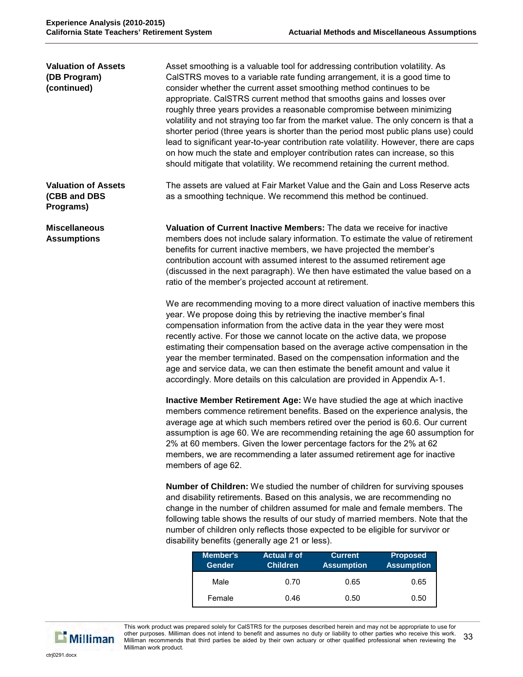| <b>Valuation of Assets</b><br>(DB Program)<br>(continued) | Asset smoothing is a valuable tool for addressing contribution volatility. As<br>CaISTRS moves to a variable rate funding arrangement, it is a good time to<br>consider whether the current asset smoothing method continues to be<br>appropriate. CaISTRS current method that smooths gains and losses over<br>roughly three years provides a reasonable compromise between minimizing<br>volatility and not straying too far from the market value. The only concern is that a<br>shorter period (three years is shorter than the period most public plans use) could<br>lead to significant year-to-year contribution rate volatility. However, there are caps<br>on how much the state and employer contribution rates can increase, so this<br>should mitigate that volatility. We recommend retaining the current method. |
|-----------------------------------------------------------|---------------------------------------------------------------------------------------------------------------------------------------------------------------------------------------------------------------------------------------------------------------------------------------------------------------------------------------------------------------------------------------------------------------------------------------------------------------------------------------------------------------------------------------------------------------------------------------------------------------------------------------------------------------------------------------------------------------------------------------------------------------------------------------------------------------------------------|
| <b>Valuation of Assets</b><br>(CBB and DBS<br>Programs)   | The assets are valued at Fair Market Value and the Gain and Loss Reserve acts<br>as a smoothing technique. We recommend this method be continued.                                                                                                                                                                                                                                                                                                                                                                                                                                                                                                                                                                                                                                                                               |
| <b>Miscellaneous</b><br><b>Assumptions</b>                | Valuation of Current Inactive Members: The data we receive for inactive<br>members does not include salary information. To estimate the value of retirement<br>benefits for current inactive members, we have projected the member's<br>contribution account with assumed interest to the assumed retirement age<br>(discussed in the next paragraph). We then have estimated the value based on a<br>ratio of the member's projected account at retirement.                                                                                                                                                                                                                                                                                                                                                                    |
|                                                           | We are recommending moving to a more direct valuation of inactive members this<br>year. We propose doing this by retrieving the inactive member's final<br>compensation information from the active data in the year they were most<br>recently active. For those we cannot locate on the active data, we propose<br>estimating their compensation based on the average active compensation in the<br>year the member terminated. Based on the compensation information and the<br>age and service data, we can then estimate the benefit amount and value it<br>accordingly. More details on this calculation are provided in Appendix A-1.                                                                                                                                                                                    |
|                                                           | Inactive Member Retirement Age: We have studied the age at which inactive<br>members commence retirement benefits. Based on the experience analysis, the<br>average age at which such members retired over the period is 60.6. Our current<br>assumption is age 60. We are recommending retaining the age 60 assumption for<br>2% at 60 members. Given the lower percentage factors for the 2% at 62<br>members, we are recommending a later assumed retirement age for inactive<br>members of age 62.                                                                                                                                                                                                                                                                                                                          |
|                                                           | <b>Number of Children:</b> We studied the number of children for surviving spouses<br>and disability retirements. Based on this analysis, we are recommending no<br>change in the number of children assumed for male and female members. The<br>following table shows the results of our study of married members. Note that the<br>number of children only reflects those expected to be eligible for survivor or<br>disability benefits (generally age 21 or less).                                                                                                                                                                                                                                                                                                                                                          |
|                                                           | <b>Member's</b><br>Actual # of<br><b>Current</b><br><b>Proposed</b><br><b>Assumption</b><br>Gender<br><b>Children</b><br><b>Assumption</b>                                                                                                                                                                                                                                                                                                                                                                                                                                                                                                                                                                                                                                                                                      |



This work product was prepared solely for CalSTRS for the purposes described herein and may not be appropriate to use for other purposes. Milliman does not intend to benefit and assumes no duty or liability to other parties who receive this work. Milliman recommends that third parties be aided by their own actuary or other qualified professional when reviewing the Milliman work product. 33

Male 0.70 0.65 0.65 Female 0.46 0.50 0.50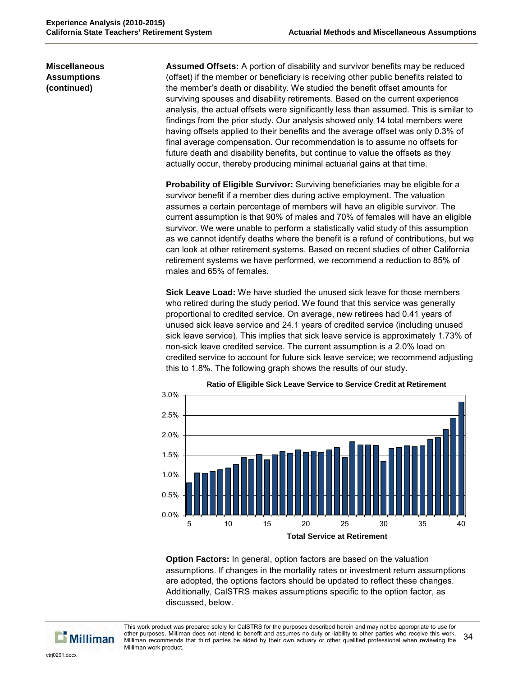**Miscellaneous Assumptions (continued)**

**Assumed Offsets:** A portion of disability and survivor benefits may be reduced (offset) if the member or beneficiary is receiving other public benefits related to the member's death or disability. We studied the benefit offset amounts for surviving spouses and disability retirements. Based on the current experience analysis, the actual offsets were significantly less than assumed. This is similar to findings from the prior study. Our analysis showed only 14 total members were having offsets applied to their benefits and the average offset was only 0.3% of final average compensation. Our recommendation is to assume no offsets for future death and disability benefits, but continue to value the offsets as they actually occur, thereby producing minimal actuarial gains at that time.

**Probability of Eligible Survivor:** Surviving beneficiaries may be eligible for a survivor benefit if a member dies during active employment. The valuation assumes a certain percentage of members will have an eligible survivor. The current assumption is that 90% of males and 70% of females will have an eligible survivor. We were unable to perform a statistically valid study of this assumption as we cannot identify deaths where the benefit is a refund of contributions, but we can look at other retirement systems. Based on recent studies of other California retirement systems we have performed, we recommend a reduction to 85% of males and 65% of females.

**Sick Leave Load:** We have studied the unused sick leave for those members who retired during the study period. We found that this service was generally proportional to credited service. On average, new retirees had 0.41 years of unused sick leave service and 24.1 years of credited service (including unused sick leave service). This implies that sick leave service is approximately 1.73% of non-sick leave credited service. The current assumption is a 2.0% load on credited service to account for future sick leave service; we recommend adjusting this to 1.8%. The following graph shows the results of our study.





**Option Factors:** In general, option factors are based on the valuation assumptions. If changes in the mortality rates or investment return assumptions are adopted, the options factors should be updated to reflect these changes. Additionally, CalSTRS makes assumptions specific to the option factor, as discussed, below.

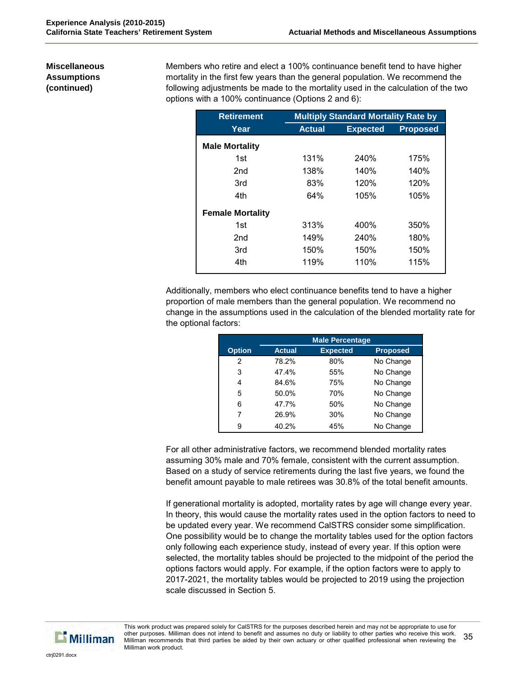# **Miscellaneous Assumptions (continued)**

Members who retire and elect a 100% continuance benefit tend to have higher mortality in the first few years than the general population. We recommend the following adjustments be made to the mortality used in the calculation of the two options with a 100% continuance (Options 2 and 6):

| <b>Retirement</b>       | <b>Multiply Standard Mortality Rate by</b> |                 |                 |  |
|-------------------------|--------------------------------------------|-----------------|-----------------|--|
| Year                    | <b>Actual</b>                              | <b>Expected</b> | <b>Proposed</b> |  |
| <b>Male Mortality</b>   |                                            |                 |                 |  |
| 1st                     | 131%                                       | 240%            | 175%            |  |
| 2 <sub>nd</sub>         | 138%                                       | 140%            | 140%            |  |
| 3rd                     | 83%                                        | 120%            | 120%            |  |
| 4th                     | 64%                                        | 105%            | 105%            |  |
| <b>Female Mortality</b> |                                            |                 |                 |  |
| 1st                     | 313%                                       | 400%            | 350%            |  |
| 2 <sub>nd</sub>         | 149%                                       | 240%            | 180%            |  |
| 3rd                     | 150%                                       | 150%            | 150%            |  |
| 4th                     | 119%                                       | 110%            | 115%            |  |

Additionally, members who elect continuance benefits tend to have a higher proportion of male members than the general population. We recommend no change in the assumptions used in the calculation of the blended mortality rate for the optional factors:

|               | <b>Male Percentage</b> |                 |                 |
|---------------|------------------------|-----------------|-----------------|
| <b>Option</b> | <b>Actual</b>          | <b>Expected</b> | <b>Proposed</b> |
| 2             | 78.2%                  | 80%             | No Change       |
| 3             | 47.4%                  | 55%             | No Change       |
| 4             | 84.6%                  | 75%             | No Change       |
| 5             | 50.0%                  | 70%             | No Change       |
| 6             | 47.7%                  | 50%             | No Change       |
| 7             | 26.9%                  | 30%             | No Change       |
| 9             | 40.2%                  | 45%             | No Change       |

For all other administrative factors, we recommend blended mortality rates assuming 30% male and 70% female, consistent with the current assumption. Based on a study of service retirements during the last five years, we found the benefit amount payable to male retirees was 30.8% of the total benefit amounts.

If generational mortality is adopted, mortality rates by age will change every year. In theory, this would cause the mortality rates used in the option factors to need to be updated every year. We recommend CalSTRS consider some simplification. One possibility would be to change the mortality tables used for the option factors only following each experience study, instead of every year. If this option were selected, the mortality tables should be projected to the midpoint of the period the options factors would apply. For example, if the option factors were to apply to 2017-2021, the mortality tables would be projected to 2019 using the projection scale discussed in Section 5.

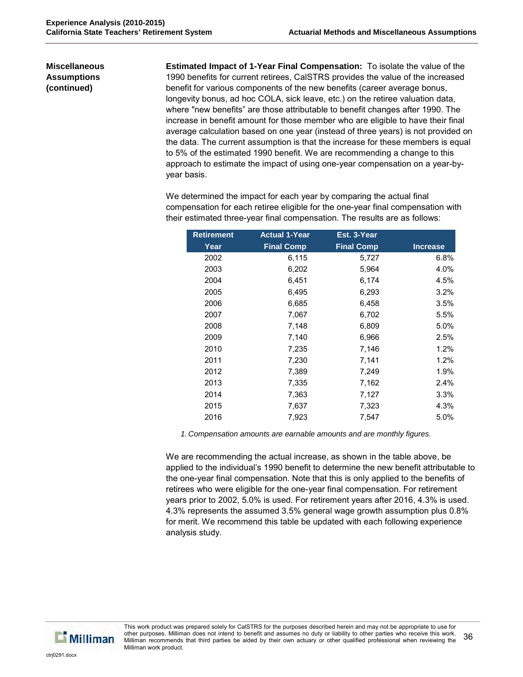**Miscellaneous Assumptions (continued)**

**Estimated Impact of 1-Year Final Compensation:** To isolate the value of the 1990 benefits for current retirees, CalSTRS provides the value of the increased benefit for various components of the new benefits (career average bonus, longevity bonus, ad hoc COLA, sick leave, etc.) on the retiree valuation data, where "new benefits" are those attributable to benefit changes after 1990. The increase in benefit amount for those member who are eligible to have their final average calculation based on one year (instead of three years) is not provided on the data. The current assumption is that the increase for these members is equal to 5% of the estimated 1990 benefit. We are recommending a change to this approach to estimate the impact of using one-year compensation on a year-byyear basis.

We determined the impact for each year by comparing the actual final compensation for each retiree eligible for the one-year final compensation with their estimated three-year final compensation. The results are as follows:

| <b>Retirement</b> | <b>Actual 1-Year</b> | Est. 3-Year       |                 |
|-------------------|----------------------|-------------------|-----------------|
| Year              | <b>Final Comp</b>    | <b>Final Comp</b> | <b>Increase</b> |
| 2002              | 6,115                | 5,727             | 6.8%            |
| 2003              | 6,202                | 5,964             | 4.0%            |
| 2004              | 6,451                | 6,174             | 4.5%            |
| 2005              | 6,495                | 6,293             | 3.2%            |
| 2006              | 6,685                | 6,458             | 3.5%            |
| 2007              | 7,067                | 6,702             | 5.5%            |
| 2008              | 7,148                | 6,809             | 5.0%            |
| 2009              | 7,140                | 6,966             | 2.5%            |
| 2010              | 7,235                | 7,146             | 1.2%            |
| 2011              | 7,230                | 7,141             | 1.2%            |
| 2012              | 7,389                | 7,249             | 1.9%            |
| 2013              | 7,335                | 7,162             | 2.4%            |
| 2014              | 7,363                | 7,127             | 3.3%            |
| 2015              | 7,637                | 7,323             | 4.3%            |
| 2016              | 7,923                | 7,547             | 5.0%            |

*1. Compensation amounts are earnable amounts and are monthly figures.*

We are recommending the actual increase, as shown in the table above, be applied to the individual's 1990 benefit to determine the new benefit attributable to the one-year final compensation. Note that this is only applied to the benefits of retirees who were eligible for the one-year final compensation. For retirement years prior to 2002, 5.0% is used. For retirement years after 2016, 4.3% is used. 4.3% represents the assumed 3.5% general wage growth assumption plus 0.8% for merit. We recommend this table be updated with each following experience analysis study.

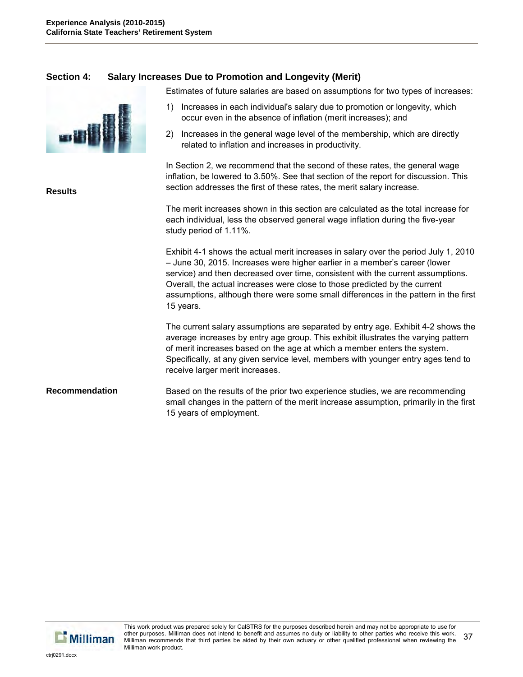# **Section 4: Salary Increases Due to Promotion and Longevity (Merit)**

Estimates of future salaries are based on assumptions for two types of increases:



**Results**

occur even in the absence of inflation (merit increases); and 2) Increases in the general wage level of the membership, which are directly

related to inflation and increases in productivity.

1) Increases in each individual's salary due to promotion or longevity, which

In Section 2, we recommend that the second of these rates, the general wage inflation, be lowered to 3.50%. See that section of the report for discussion. This section addresses the first of these rates, the merit salary increase.

The merit increases shown in this section are calculated as the total increase for each individual, less the observed general wage inflation during the five-year study period of 1.11%.

Exhibit 4-1 shows the actual merit increases in salary over the period July 1, 2010 – June 30, 2015. Increases were higher earlier in a member's career (lower service) and then decreased over time, consistent with the current assumptions. Overall, the actual increases were close to those predicted by the current assumptions, although there were some small differences in the pattern in the first 15 years.

The current salary assumptions are separated by entry age. Exhibit 4-2 shows the average increases by entry age group. This exhibit illustrates the varying pattern of merit increases based on the age at which a member enters the system. Specifically, at any given service level, members with younger entry ages tend to receive larger merit increases.

**Recommendation** Based on the results of the prior two experience studies, we are recommending small changes in the pattern of the merit increase assumption, primarily in the first 15 years of employment.

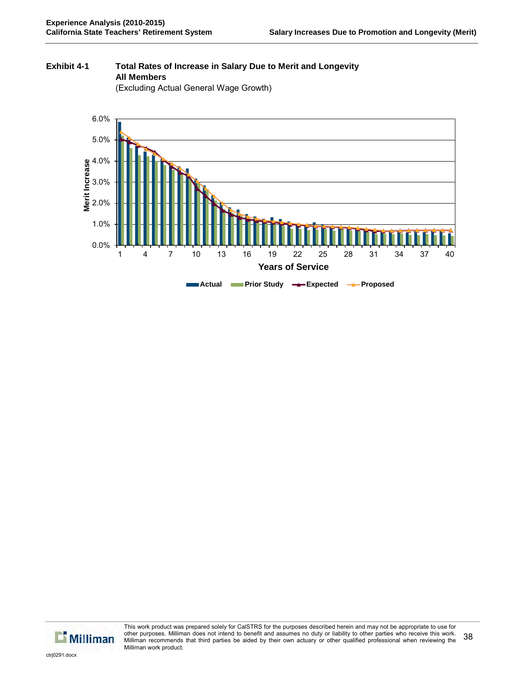# **Exhibit 4-1 Total Rates of Increase in Salary Due to Merit and Longevity All Members**



(Excluding Actual General Wage Growth)

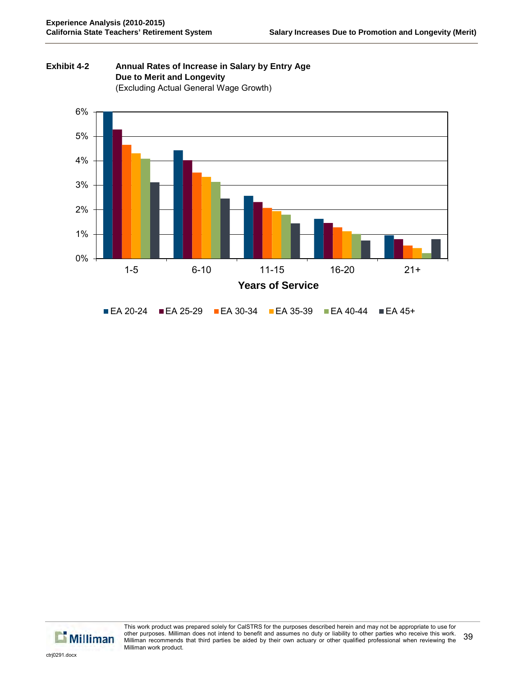

**Exhibit 4-2 Annual Rates of Increase in Salary by Entry Age Due to Merit and Longevity**  (Excluding Actual General Wage Growth)

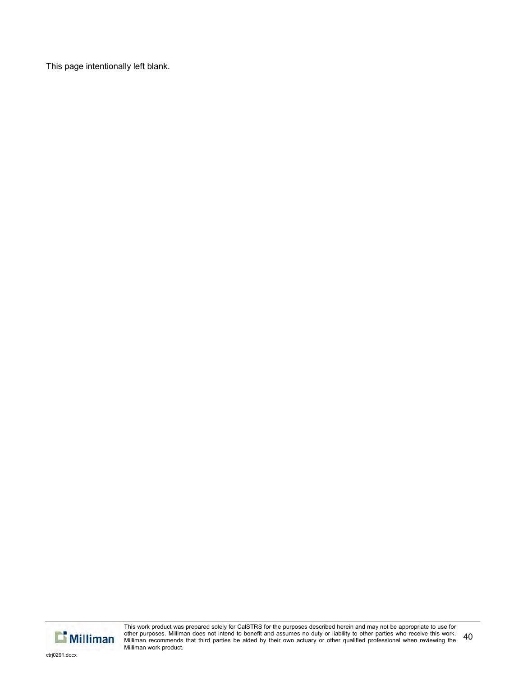This page intentionally left blank.

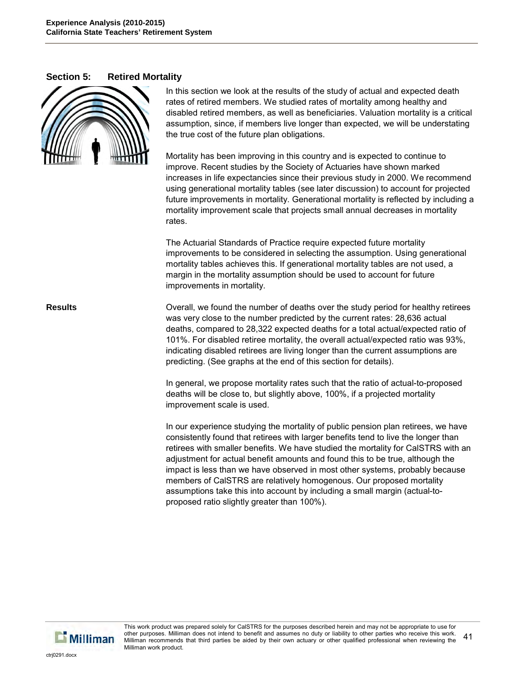### **Section 5: Retired Mortality**



In this section we look at the results of the study of actual and expected death rates of retired members. We studied rates of mortality among healthy and disabled retired members, as well as beneficiaries. Valuation mortality is a critical assumption, since, if members live longer than expected, we will be understating the true cost of the future plan obligations.

Mortality has been improving in this country and is expected to continue to improve. Recent studies by the Society of Actuaries have shown marked increases in life expectancies since their previous study in 2000. We recommend using generational mortality tables (see later discussion) to account for projected future improvements in mortality. Generational mortality is reflected by including a mortality improvement scale that projects small annual decreases in mortality rates.

The Actuarial Standards of Practice require expected future mortality improvements to be considered in selecting the assumption. Using generational mortality tables achieves this. If generational mortality tables are not used, a margin in the mortality assumption should be used to account for future improvements in mortality.

**Results Example 2** Overall, we found the number of deaths over the study period for healthy retirees was very close to the number predicted by the current rates: 28,636 actual deaths, compared to 28,322 expected deaths for a total actual/expected ratio of 101%. For disabled retiree mortality, the overall actual/expected ratio was 93%, indicating disabled retirees are living longer than the current assumptions are predicting. (See graphs at the end of this section for details).

> In general, we propose mortality rates such that the ratio of actual-to-proposed deaths will be close to, but slightly above, 100%, if a projected mortality improvement scale is used.

In our experience studying the mortality of public pension plan retirees, we have consistently found that retirees with larger benefits tend to live the longer than retirees with smaller benefits. We have studied the mortality for CalSTRS with an adjustment for actual benefit amounts and found this to be true, although the impact is less than we have observed in most other systems, probably because members of CalSTRS are relatively homogenous. Our proposed mortality assumptions take this into account by including a small margin (actual-toproposed ratio slightly greater than 100%).

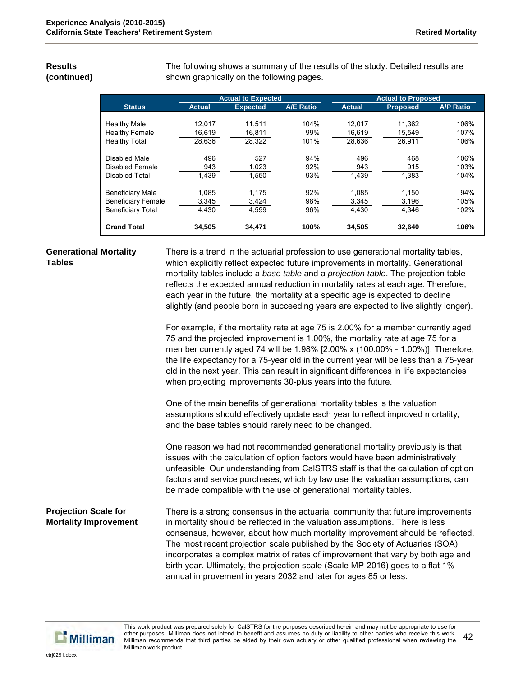#### **Results (continued)**

The following shows a summary of the results of the study. Detailed results are shown graphically on the following pages.

|                           | <b>Actual to Expected</b> |                 | <b>Actual to Proposed</b> |               |                 |                  |
|---------------------------|---------------------------|-----------------|---------------------------|---------------|-----------------|------------------|
| <b>Status</b>             | <b>Actual</b>             | <b>Expected</b> | <b>A/E Ratio</b>          | <b>Actual</b> | <b>Proposed</b> | <b>A/P Ratio</b> |
|                           |                           |                 |                           |               |                 |                  |
| <b>Healthy Male</b>       | 12.017                    | 11.511          | 104%                      | 12.017        | 11.362          | 106%             |
| <b>Healthy Female</b>     | 16,619                    | 16,811          | 99%                       | 16,619        | 15,549          | 107%             |
| <b>Healthy Total</b>      | 28,636                    | 28.322          | 101%                      | 28,636        | 26.911          | 106%             |
|                           |                           |                 |                           |               |                 |                  |
| Disabled Male             | 496                       | 527             | 94%                       | 496           | 468             | 106%             |
| Disabled Female           | 943                       | 1,023           | 92%                       | 943           | 915             | 103%             |
| Disabled Total            | 1.439                     | 1.550           | 93%                       | 1,439         | 1,383           | 104%             |
|                           |                           |                 |                           |               |                 |                  |
| <b>Beneficiary Male</b>   | 1.085                     | 1.175           | 92%                       | 1.085         | 1.150           | 94%              |
| <b>Beneficiary Female</b> | 3,345                     | 3,424           | 98%                       | 3,345         | 3,196           | 105%             |
| <b>Beneficiary Total</b>  | 4.430                     | 4.599           | 96%                       | 4.430         | 4.346           | 102%             |
|                           |                           |                 |                           |               |                 |                  |
| <b>Grand Total</b>        | 34,505                    | 34.471          | 100%                      | 34.505        | 32.640          | 106%             |

#### **Generational Mortality Tables**

There is a trend in the actuarial profession to use generational mortality tables, which explicitly reflect expected future improvements in mortality. Generational mortality tables include a *base table* and a *projection table*. The projection table reflects the expected annual reduction in mortality rates at each age. Therefore, each year in the future, the mortality at a specific age is expected to decline slightly (and people born in succeeding years are expected to live slightly longer).

For example, if the mortality rate at age 75 is 2.00% for a member currently aged 75 and the projected improvement is 1.00%, the mortality rate at age 75 for a member currently aged 74 will be 1.98% [2.00% x (100.00% - 1.00%)]. Therefore, the life expectancy for a 75-year old in the current year will be less than a 75-year old in the next year. This can result in significant differences in life expectancies when projecting improvements 30-plus years into the future.

One of the main benefits of generational mortality tables is the valuation assumptions should effectively update each year to reflect improved mortality, and the base tables should rarely need to be changed.

One reason we had not recommended generational mortality previously is that issues with the calculation of option factors would have been administratively unfeasible. Our understanding from CalSTRS staff is that the calculation of option factors and service purchases, which by law use the valuation assumptions, can be made compatible with the use of generational mortality tables.

**Projection Scale for Mortality Improvement** There is a strong consensus in the actuarial community that future improvements in mortality should be reflected in the valuation assumptions. There is less consensus, however, about how much mortality improvement should be reflected. The most recent projection scale published by the Society of Actuaries (SOA) incorporates a complex matrix of rates of improvement that vary by both age and birth year. Ultimately, the projection scale (Scale MP-2016) goes to a flat 1% annual improvement in years 2032 and later for ages 85 or less.

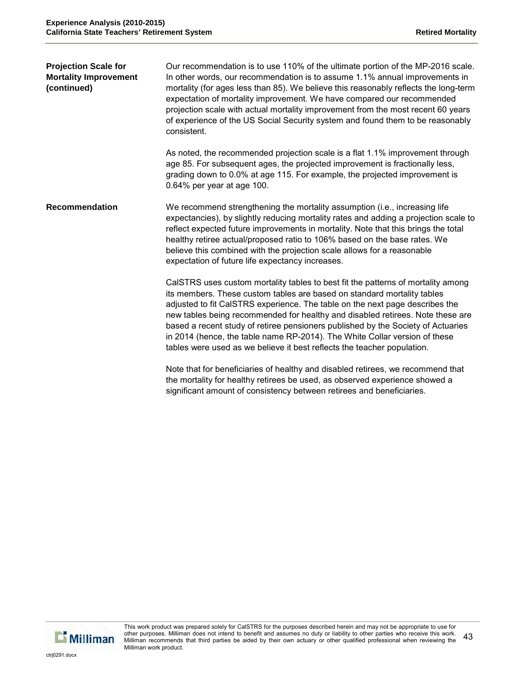| <b>Projection Scale for</b><br><b>Mortality Improvement</b><br>(continued) | Our recommendation is to use 110% of the ultimate portion of the MP-2016 scale.<br>In other words, our recommendation is to assume 1.1% annual improvements in<br>mortality (for ages less than 85). We believe this reasonably reflects the long-term<br>expectation of mortality improvement. We have compared our recommended<br>projection scale with actual mortality improvement from the most recent 60 years<br>of experience of the US Social Security system and found them to be reasonably<br>consistent.                                                      |
|----------------------------------------------------------------------------|----------------------------------------------------------------------------------------------------------------------------------------------------------------------------------------------------------------------------------------------------------------------------------------------------------------------------------------------------------------------------------------------------------------------------------------------------------------------------------------------------------------------------------------------------------------------------|
|                                                                            | As noted, the recommended projection scale is a flat 1.1% improvement through<br>age 85. For subsequent ages, the projected improvement is fractionally less,<br>grading down to 0.0% at age 115. For example, the projected improvement is<br>$0.64\%$ per year at age 100.                                                                                                                                                                                                                                                                                               |
| <b>Recommendation</b>                                                      | We recommend strengthening the mortality assumption (i.e., increasing life<br>expectancies), by slightly reducing mortality rates and adding a projection scale to<br>reflect expected future improvements in mortality. Note that this brings the total<br>healthy retiree actual/proposed ratio to 106% based on the base rates. We<br>believe this combined with the projection scale allows for a reasonable<br>expectation of future life expectancy increases.                                                                                                       |
|                                                                            | CalSTRS uses custom mortality tables to best fit the patterns of mortality among<br>its members. These custom tables are based on standard mortality tables<br>adjusted to fit CaISTRS experience. The table on the next page describes the<br>new tables being recommended for healthy and disabled retirees. Note these are<br>based a recent study of retiree pensioners published by the Society of Actuaries<br>in 2014 (hence, the table name RP-2014). The White Collar version of these<br>tables were used as we believe it best reflects the teacher population. |
|                                                                            | Note that for beneficiaries of healthy and disabled retirees, we recommend that<br>the mortality for healthy retirees be used, as observed experience showed a<br>significant amount of consistency between retirees and beneficiaries.                                                                                                                                                                                                                                                                                                                                    |

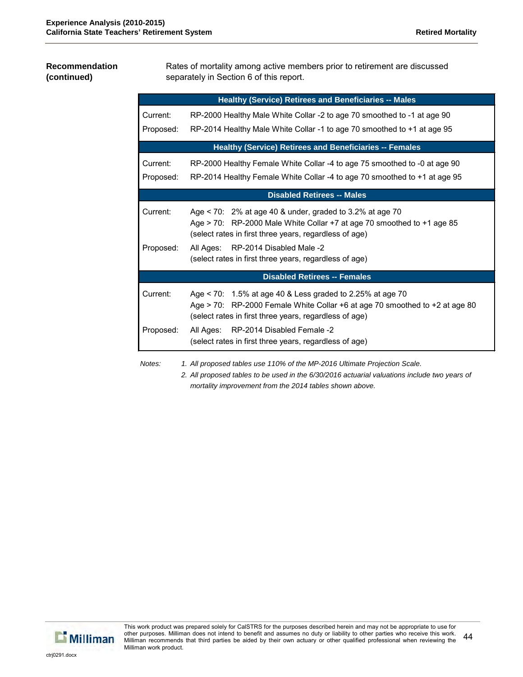| <b>Recommendation</b> | Rates of mortality among active members prior to retirement are discussed |
|-----------------------|---------------------------------------------------------------------------|
| (continued)           | separately in Section 6 of this report.                                   |
|                       |                                                                           |

| <b>Healthy (Service) Retirees and Beneficiaries -- Males</b> |                                                                                                                                                                                                                                                                                                  |  |  |  |  |
|--------------------------------------------------------------|--------------------------------------------------------------------------------------------------------------------------------------------------------------------------------------------------------------------------------------------------------------------------------------------------|--|--|--|--|
| Current:<br>Proposed:                                        | RP-2000 Healthy Male White Collar -2 to age 70 smoothed to -1 at age 90<br>RP-2014 Healthy Male White Collar -1 to age 70 smoothed to +1 at age 95                                                                                                                                               |  |  |  |  |
|                                                              | <b>Healthy (Service) Retirees and Beneficiaries -- Females</b>                                                                                                                                                                                                                                   |  |  |  |  |
| Current:<br>Proposed:                                        | RP-2000 Healthy Female White Collar -4 to age 75 smoothed to -0 at age 90<br>RP-2014 Healthy Female White Collar -4 to age 70 smoothed to +1 at age 95                                                                                                                                           |  |  |  |  |
|                                                              | <b>Disabled Retirees -- Males</b>                                                                                                                                                                                                                                                                |  |  |  |  |
| Current:<br>Proposed:                                        | Age $\le$ 70: 2% at age 40 & under, graded to 3.2% at age 70<br>Age > 70: RP-2000 Male White Collar +7 at age 70 smoothed to +1 age 85<br>(select rates in first three years, regardless of age)<br>All Ages: RP-2014 Disabled Male -2<br>(select rates in first three years, regardless of age) |  |  |  |  |
|                                                              | <b>Disabled Retirees -- Females</b>                                                                                                                                                                                                                                                              |  |  |  |  |
| Current:                                                     | Age < 70: 1.5% at age 40 & Less graded to 2.25% at age 70<br>Age > 70: RP-2000 Female White Collar +6 at age 70 smoothed to +2 at age 80<br>(select rates in first three years, regardless of age)                                                                                               |  |  |  |  |
| Proposed:                                                    | All Ages: RP-2014 Disabled Female -2<br>(select rates in first three years, regardless of age)                                                                                                                                                                                                   |  |  |  |  |

*Notes: 1. All proposed tables use 110% of the MP-2016 Ultimate Projection Scale.*

*2. All proposed tables to be used in the 6/30/2016 actuarial valuations include two years of mortality improvement from the 2014 tables shown above.*

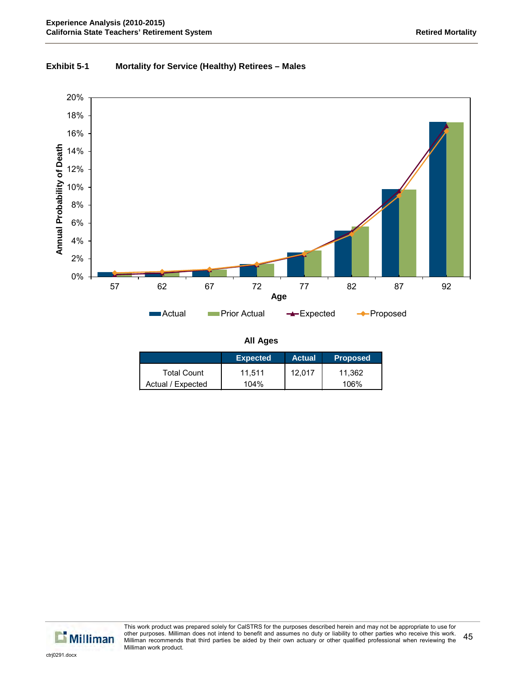



|                    | <b>Expected</b> | <b>Actual</b> | <b>Proposed</b> |
|--------------------|-----------------|---------------|-----------------|
| <b>Total Count</b> | 11.511          | 12.017        | 11.362          |
| Actual / Expected  | 104%            |               | 106%            |

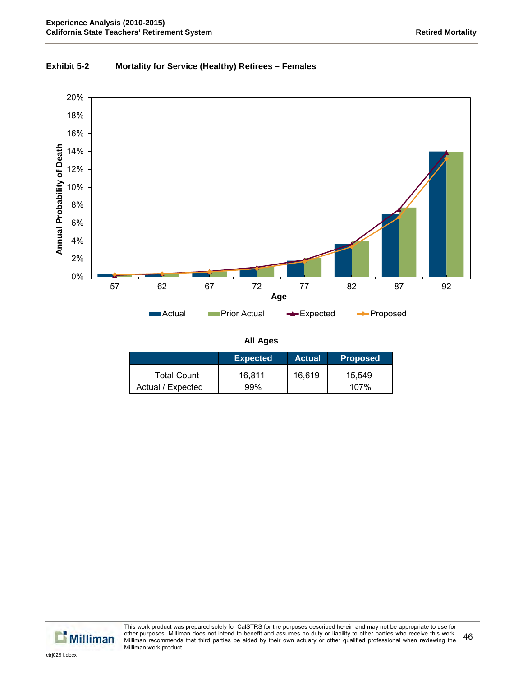



|                    | <b>Expected</b> | <b>Actual</b> | <b>Proposed</b> |
|--------------------|-----------------|---------------|-----------------|
| <b>Total Count</b> | 16,811          | 16.619        | 15.549          |
| Actual / Expected  | 99%             |               | 107%            |

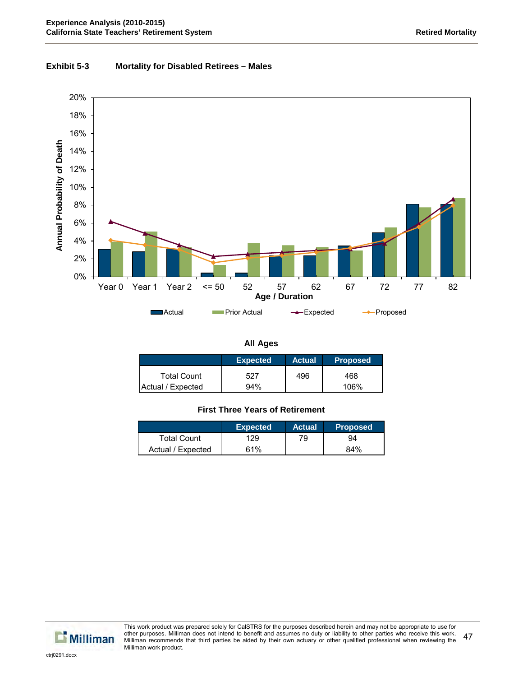





|                    | <b>Expected</b> | <b>Actual</b> | <b>Proposed</b> |
|--------------------|-----------------|---------------|-----------------|
| <b>Total Count</b> | 527             | 496           | 468             |
| Actual / Expected  | 94%             |               | 106%            |

## **First Three Years of Retirement**

|                    | <b>Expected</b> | <b>Actual</b> | <b>Proposed</b> |
|--------------------|-----------------|---------------|-----------------|
| <b>Total Count</b> | 129             | 79            | 94              |
| Actual / Expected  | 61%             |               | 84%             |

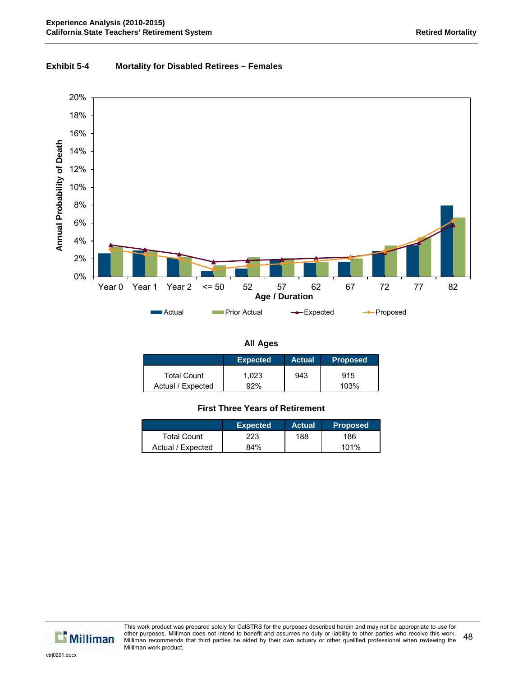



|                    | <b>Expected</b> | <b>Actual</b> | <b>Proposed</b> |
|--------------------|-----------------|---------------|-----------------|
| <b>Total Count</b> | 1.023           | 943           | 915             |
| Actual / Expected  | 92%             |               | 103%            |

## **First Three Years of Retirement**

|                   | <b>Expected</b> | <b>Actual</b> | <b>Proposed</b> |
|-------------------|-----------------|---------------|-----------------|
| Total Count       | 223             | 188           | 186             |
| Actual / Expected | 84%             |               | $101\%$         |

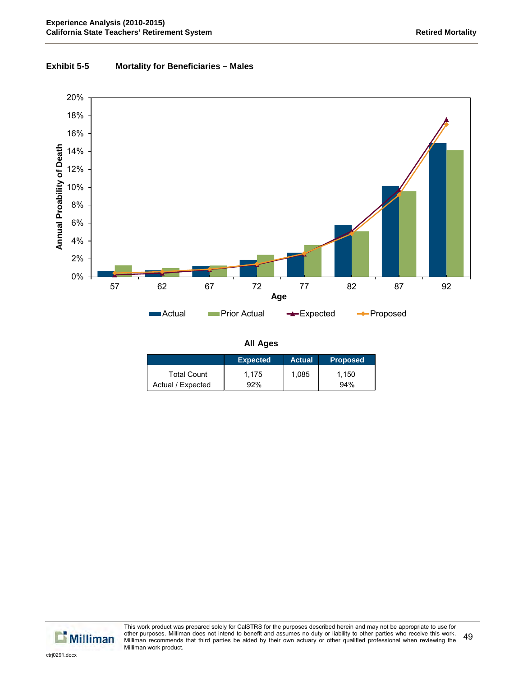



|                   | <b>Expected</b> | <b>Actual</b> | <b>Proposed</b> |
|-------------------|-----------------|---------------|-----------------|
| Total Count       | 1.175           | 1,085         | 1.150           |
| Actual / Expected | 92%             |               | 94%             |

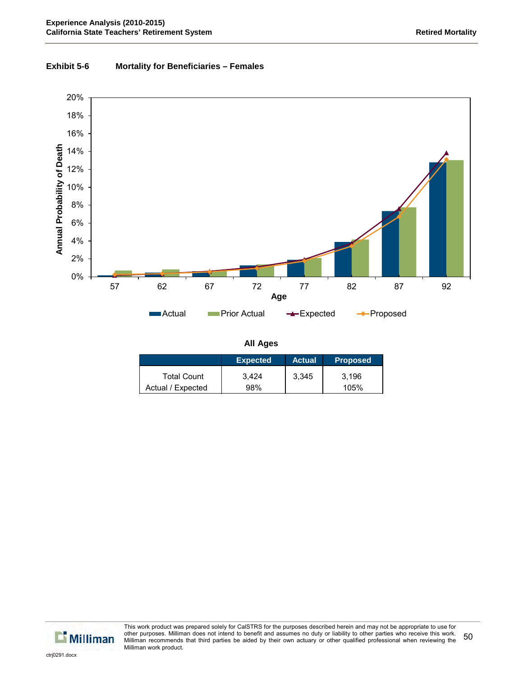



|                    | <b>Expected</b> | <b>Actual</b> | <b>Proposed</b> |
|--------------------|-----------------|---------------|-----------------|
| <b>Total Count</b> | 3.424           | 3,345         | 3.196           |
| Actual / Expected  | 98%             |               | 105%            |

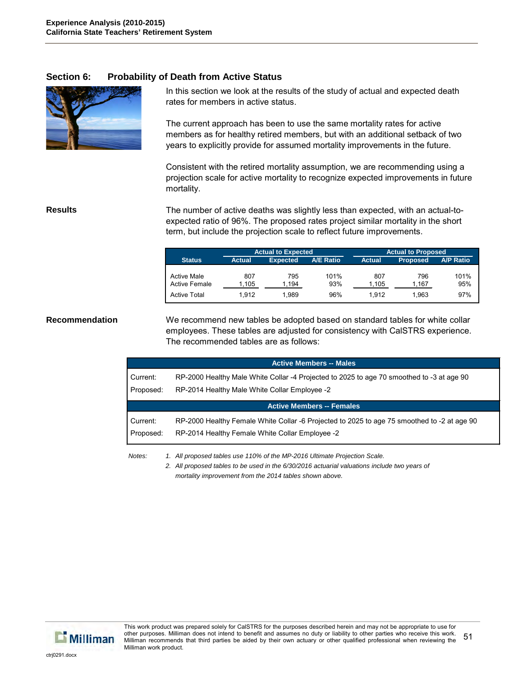## **Section 6: Probability of Death from Active Status**



In this section we look at the results of the study of actual and expected death rates for members in active status.

The current approach has been to use the same mortality rates for active members as for healthy retired members, but with an additional setback of two years to explicitly provide for assumed mortality improvements in the future.

Consistent with the retired mortality assumption, we are recommending using a projection scale for active mortality to recognize expected improvements in future mortality.

**Results** The number of active deaths was slightly less than expected, with an actual-toexpected ratio of 96%. The proposed rates project similar mortality in the short term, but include the projection scale to reflect future improvements.

|                      |               | <b>Actual to Expected</b> |                  |               | <b>Actual to Proposed</b> |                  |  |
|----------------------|---------------|---------------------------|------------------|---------------|---------------------------|------------------|--|
| <b>Status</b>        | <b>Actual</b> | <b>Expected</b>           | <b>A/E Ratio</b> | <b>Actual</b> | <b>Proposed</b>           | <b>A/P Ratio</b> |  |
|                      |               |                           |                  |               |                           |                  |  |
| <b>Active Male</b>   | 807           | 795                       | 101%             | 807           | 796                       | 101%             |  |
| <b>Active Female</b> | 1.105         | .194                      | 93%              | 1.105         | 1.167                     | 95%              |  |
| <b>Active Total</b>  | 1.912         | 1.989                     | 96%              | 1.912         | 1.963                     | 97%              |  |

**Recommendation** We recommend new tables be adopted based on standard tables for white collar employees. These tables are adjusted for consistency with CalSTRS experience. The recommended tables are as follows:

|                                  | <b>Active Members -- Males</b>                                                              |  |  |  |
|----------------------------------|---------------------------------------------------------------------------------------------|--|--|--|
| Current:                         | RP-2000 Healthy Male White Collar -4 Projected to 2025 to age 70 smoothed to -3 at age 90   |  |  |  |
| Proposed:                        | RP-2014 Healthy Male White Collar Employee -2                                               |  |  |  |
| <b>Active Members -- Females</b> |                                                                                             |  |  |  |
| Current:                         | RP-2000 Healthy Female White Collar -6 Projected to 2025 to age 75 smoothed to -2 at age 90 |  |  |  |
| Proposed:                        | RP-2014 Healthy Female White Collar Employee -2                                             |  |  |  |

*Notes: 1. All proposed tables use 110% of the MP-2016 Ultimate Projection Scale.*

*2. All proposed tables to be used in the 6/30/2016 actuarial valuations include two years of mortality improvement from the 2014 tables shown above.*

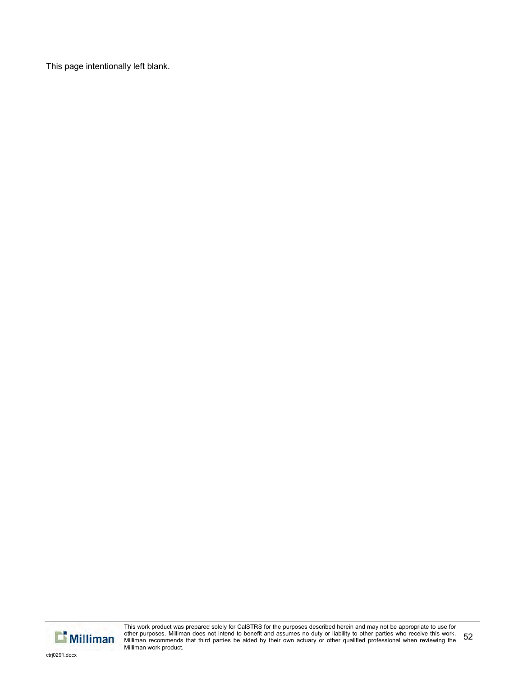This page intentionally left blank.



This work product was prepared solely for CalSTRS for the purposes described herein and may not be appropriate to use for other purposes. Milliman does not intend to benefit and assumes no duty or liability to other parties who receive this work. other purposes. Miliman does not miend to beheilt and assumes no duty or hability to other parties who receive this work.  $52$ Milliman work product.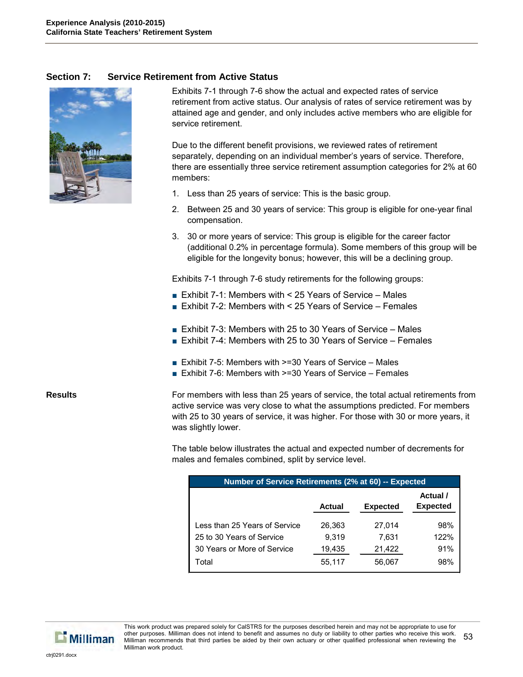# **Section 7: Service Retirement from Active Status**



Exhibits 7-1 through 7-6 show the actual and expected rates of service retirement from active status. Our analysis of rates of service retirement was by attained age and gender, and only includes active members who are eligible for service retirement.

Due to the different benefit provisions, we reviewed rates of retirement separately, depending on an individual member's years of service. Therefore, there are essentially three service retirement assumption categories for 2% at 60 members:

- 1. Less than 25 years of service: This is the basic group.
- 2. Between 25 and 30 years of service: This group is eligible for one-year final compensation.
- 3. 30 or more years of service: This group is eligible for the career factor (additional 0.2% in percentage formula). Some members of this group will be eligible for the longevity bonus; however, this will be a declining group.

Exhibits 7-1 through 7-6 study retirements for the following groups:

- **Exhibit 7-1: Members with < 25 Years of Service Males**
- Exhibit 7-2: Members with < 25 Years of Service Females
- Exhibit 7-3: Members with 25 to 30 Years of Service Males
- $\blacksquare$  Exhibit 7-4: Members with 25 to 30 Years of Service Females
- Exhibit 7-5: Members with >=30 Years of Service Males
- **Exhibit 7-6: Members with**  $>=$ **30 Years of Service Females**

**Results** For members with less than 25 years of service, the total actual retirements from active service was very close to what the assumptions predicted. For members with 25 to 30 years of service, it was higher. For those with 30 or more years, it was slightly lower.

> The table below illustrates the actual and expected number of decrements for males and females combined, split by service level.

| Number of Service Retirements (2% at 60) -- Expected |        |                 |                             |  |
|------------------------------------------------------|--------|-----------------|-----------------------------|--|
|                                                      | Actual | <b>Expected</b> | Actual /<br><b>Expected</b> |  |
| Less than 25 Years of Service                        | 26.363 | 27,014          | 98%                         |  |
| 25 to 30 Years of Service                            | 9.319  | 7.631           | 122%                        |  |
| 30 Years or More of Service                          | 19,435 | 21,422          | 91%                         |  |
| Total                                                | 55,117 | 56.067          | 98%                         |  |

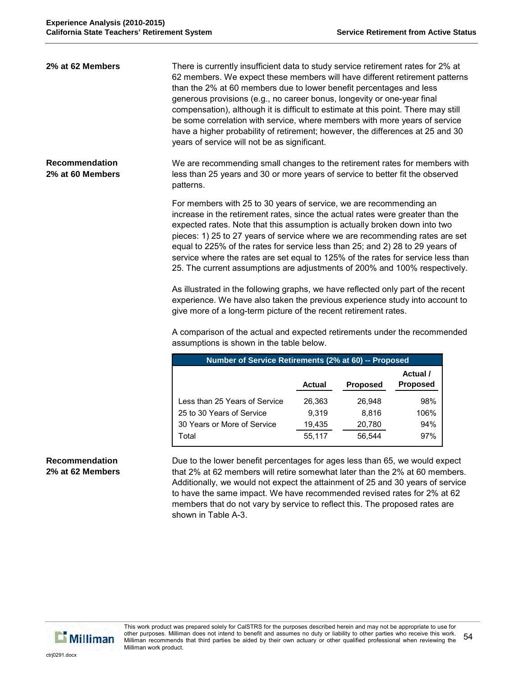| 2% at 62 Members                          | There is currently insufficient data to study service retirement rates for 2% at<br>62 members. We expect these members will have different retirement patterns<br>than the 2% at 60 members due to lower benefit percentages and less<br>generous provisions (e.g., no career bonus, longevity or one-year final<br>compensation), although it is difficult to estimate at this point. There may still<br>be some correlation with service, where members with more years of service<br>have a higher probability of retirement; however, the differences at 25 and 30<br>years of service will not be as significant. |
|-------------------------------------------|-------------------------------------------------------------------------------------------------------------------------------------------------------------------------------------------------------------------------------------------------------------------------------------------------------------------------------------------------------------------------------------------------------------------------------------------------------------------------------------------------------------------------------------------------------------------------------------------------------------------------|
| <b>Recommendation</b><br>2% at 60 Members | We are recommending small changes to the retirement rates for members with<br>less than 25 years and 30 or more years of service to better fit the observed<br>patterns.                                                                                                                                                                                                                                                                                                                                                                                                                                                |
|                                           | For members with 25 to 30 years of service, we are recommending an<br>increase in the retirement rates, since the actual rates were greater than the                                                                                                                                                                                                                                                                                                                                                                                                                                                                    |

se in the retirement rates, since the actual rates were greater than the expected rates. Note that this assumption is actually broken down into two pieces: 1) 25 to 27 years of service where we are recommending rates are set equal to 225% of the rates for service less than 25; and 2) 28 to 29 years of service where the rates are set equal to 125% of the rates for service less than 25. The current assumptions are adjustments of 200% and 100% respectively.

As illustrated in the following graphs, we have reflected only part of the recent experience. We have also taken the previous experience study into account to give more of a long-term picture of the recent retirement rates.

A comparison of the actual and expected retirements under the recommended assumptions is shown in the table below.

| Number of Service Retirements (2% at 60) -- Proposed |               |                 |                             |  |
|------------------------------------------------------|---------------|-----------------|-----------------------------|--|
|                                                      | <b>Actual</b> | <b>Proposed</b> | Actual /<br><b>Proposed</b> |  |
| Less than 25 Years of Service                        | 26,363        | 26.948          | 98%                         |  |
| 25 to 30 Years of Service                            | 9.319         | 8.816           | 106%                        |  |
| 30 Years or More of Service                          | 19,435        | 20,780          | 94%                         |  |
| Total                                                | 55,117        | 56.544          | 97%                         |  |

Due to the lower benefit percentages for ages less than 65, we would expect that 2% at 62 members will retire somewhat later than the 2% at 60 members. Additionally, we would not expect the attainment of 25 and 30 years of service to have the same impact. We have recommended revised rates for 2% at 62 members that do not vary by service to reflect this. The proposed rates are shown in Table A-3.



**Recommendation 2% at 62 Members**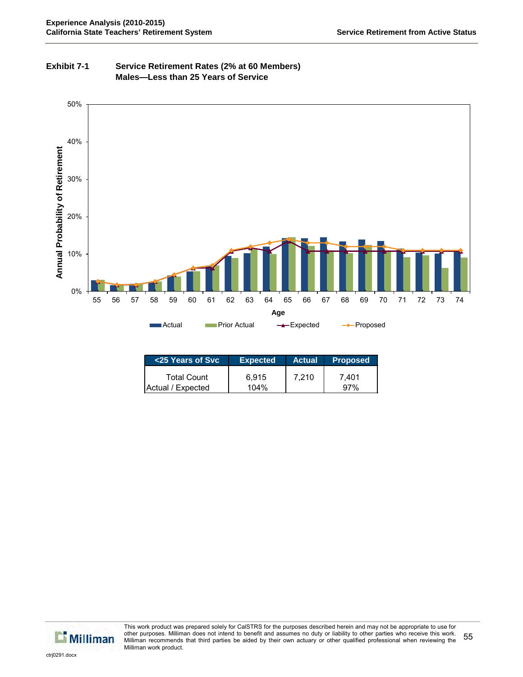



| <25 Years of Svc   | <b>Expected</b> | <b>Actual</b> | <b>Proposed</b> |
|--------------------|-----------------|---------------|-----------------|
| <b>Total Count</b> | 6.915           | 7.210         | 7.401           |
| Actual / Expected  | 104%            |               | 97%             |

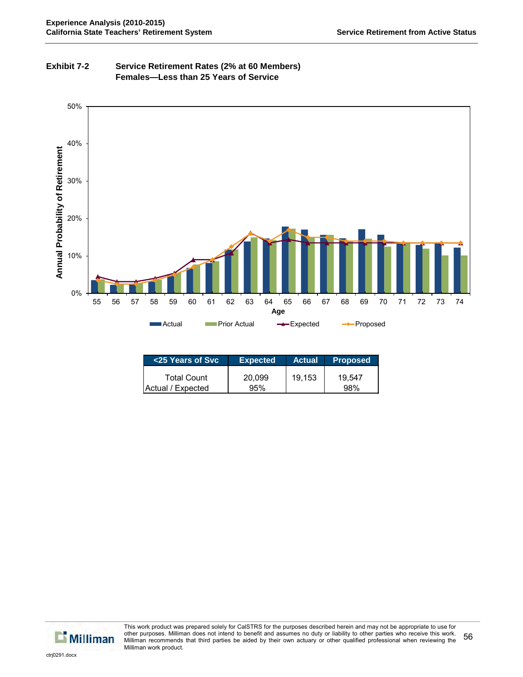



| <25 Years of Svc   | <b>Expected</b> | <b>Actual</b> | <b>Proposed</b> |
|--------------------|-----------------|---------------|-----------------|
| <b>Total Count</b> | 20.099          | 19.153        | 19.547          |
| Actual / Expected  | 95%             |               | 98%             |

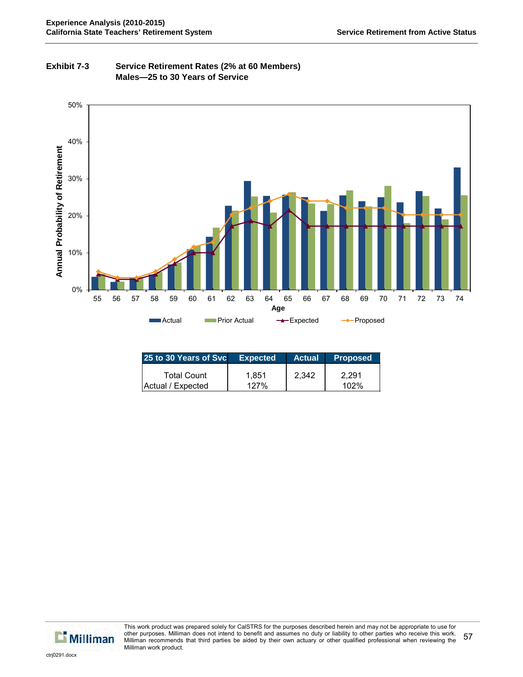



| <b>25 to 30 Years of Syc</b> | Expected | <b>Actual</b> | <b>Proposed</b> |
|------------------------------|----------|---------------|-----------------|
| <b>Total Count</b>           | 1.851    | 2.342         | 2.291           |
| <b>IActual / Expected</b>    | 127%     |               | 102%            |

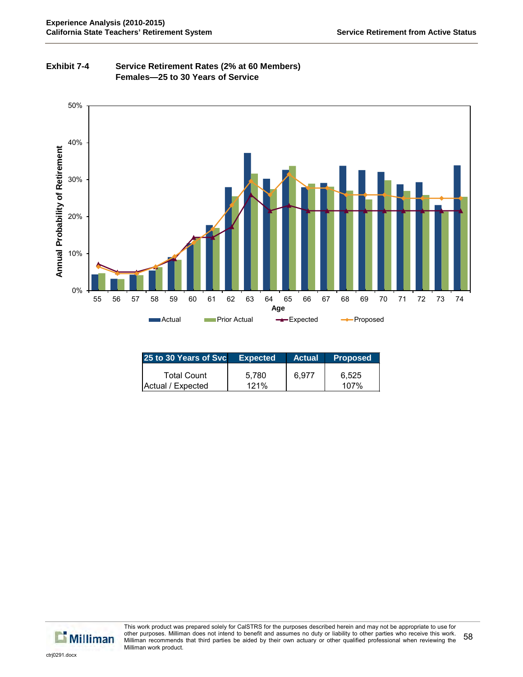



| 25 to 30 Years of Svc | <b>Expected</b> | Actual | <b>Proposed</b> |
|-----------------------|-----------------|--------|-----------------|
| <b>Total Count</b>    | 5.780           | 6.977  | 6.525           |
| Actual / Expected     | 121%            |        | 107%            |

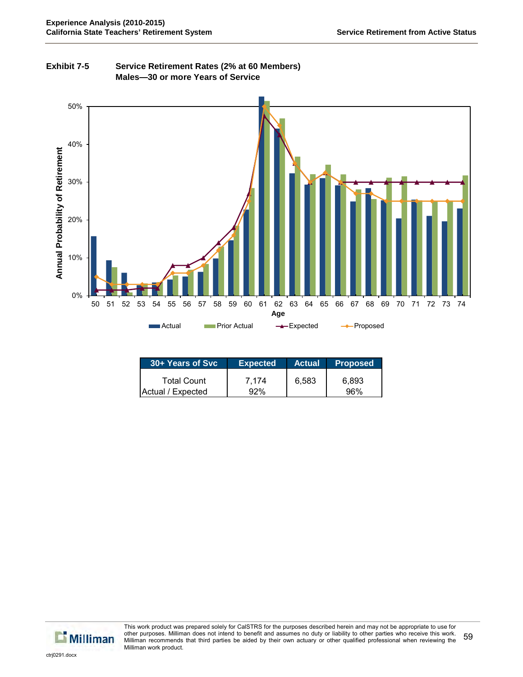



| 30+ Years of Svc   | <b>Expected</b> | <b>Actual</b> | <b>Proposed</b> |
|--------------------|-----------------|---------------|-----------------|
| <b>Total Count</b> | 7.174           | 6.583         | 6.893           |
| Actual / Expected  | 92%             |               | 96%             |

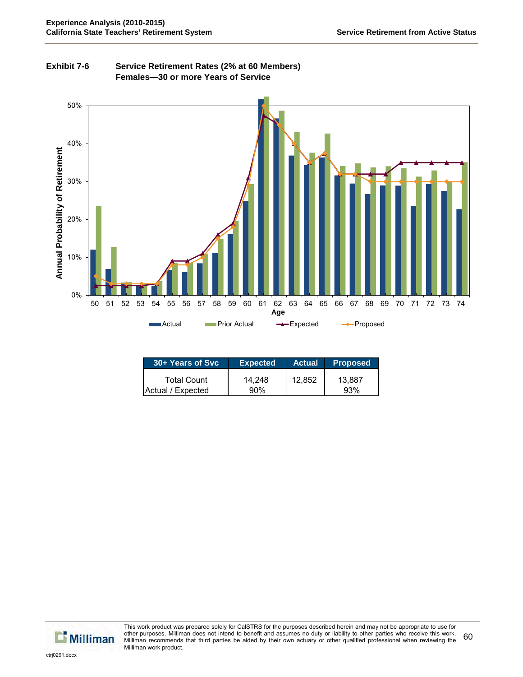

**Exhibit 7-6 Service Retirement Rates (2% at 60 Members) Females—30 or more Years of Service**

| 30+ Years of Svc   | Expected | <b>Actual</b> | <b>Proposed</b> |  |
|--------------------|----------|---------------|-----------------|--|
| <b>Total Count</b> | 14,248   | 12.852        | 13.887          |  |
| Actual / Expected  | $90\%$   |               | 93%             |  |

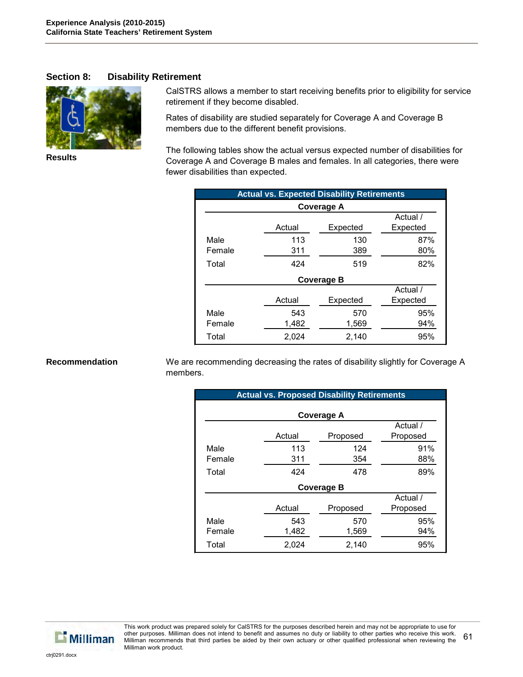## **Section 8: Disability Retirement**



**Results**

CalSTRS allows a member to start receiving benefits prior to eligibility for service retirement if they become disabled.

Rates of disability are studied separately for Coverage A and Coverage B members due to the different benefit provisions.

The following tables show the actual versus expected number of disabilities for Coverage A and Coverage B males and females. In all categories, there were fewer disabilities than expected.

| <b>Actual vs. Expected Disability Retirements</b> |              |                   |                      |  |
|---------------------------------------------------|--------------|-------------------|----------------------|--|
| Coverage A                                        |              |                   |                      |  |
|                                                   | Actual       | Expected          | Actual /<br>Expected |  |
| Male<br>Female                                    | 113<br>311   | 130<br>389        | 87%<br>80%           |  |
| Total                                             | 424          | 519               | 82%                  |  |
|                                                   |              | <b>Coverage B</b> |                      |  |
|                                                   | Actual       | Expected          | Actual /<br>Expected |  |
| Male<br>Female                                    | 543<br>1,482 | 570<br>1,569      | 95%<br>94%           |  |
| Total                                             | 2,024        | 2,140             | 95%                  |  |

**Recommendation** We are recommending decreasing the rates of disability slightly for Coverage A members.

| <b>Actual vs. Proposed Disability Retirements</b> |            |            |                      |  |  |
|---------------------------------------------------|------------|------------|----------------------|--|--|
| Coverage A                                        |            |            |                      |  |  |
|                                                   | Actual     | Proposed   | Actual /<br>Proposed |  |  |
| Male<br>Female                                    | 113<br>311 | 124<br>354 | 91%<br>88%           |  |  |
| Total                                             | 424        | 478        | 89%                  |  |  |
|                                                   | Coverage B |            |                      |  |  |
|                                                   |            |            | Actual /             |  |  |
|                                                   | Actual     | Proposed   | Proposed             |  |  |
| Male                                              | 543        | 570        | 95%                  |  |  |
| Female                                            | 1,482      | 1,569      | 94%                  |  |  |
| Total                                             | 2,024      | 2,140      | 95%                  |  |  |

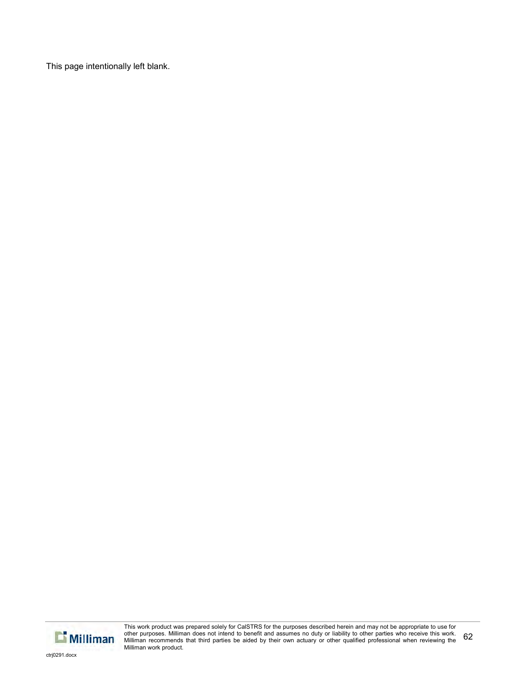This page intentionally left blank.



This work product was prepared solely for CalSTRS for the purposes described herein and may not be appropriate to use for other purposes. Milliman does not intend to benefit and assumes no duty or liability to other parties who receive this work. other purposes. Miliman does not miend to beheilt and assumes no duty or hability to other parties who receive this work. 62<br>Milliman recommends that third parties be aided by their own actuary or other qualified professio Milliman work product.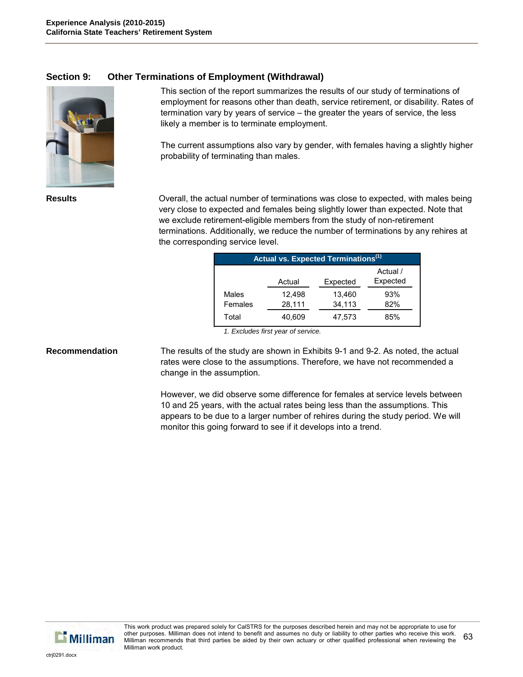# **Section 9: Other Terminations of Employment (Withdrawal)**



This section of the report summarizes the results of our study of terminations of employment for reasons other than death, service retirement, or disability. Rates of termination vary by years of service – the greater the years of service, the less likely a member is to terminate employment.

The current assumptions also vary by gender, with females having a slightly higher probability of terminating than males.

**Results Example 2** Overall, the actual number of terminations was close to expected, with males being very close to expected and females being slightly lower than expected. Note that we exclude retirement-eligible members from the study of non-retirement terminations. Additionally, we reduce the number of terminations by any rehires at the corresponding service level.

| Actual vs. Expected Terminations <sup>(1)</sup> |        |          |                      |  |
|-------------------------------------------------|--------|----------|----------------------|--|
|                                                 | Actual | Expected | Actual /<br>Expected |  |
| Males                                           | 12.498 | 13,460   | 93%                  |  |
| Females                                         | 28,111 | 34,113   | 82%                  |  |
| Total                                           | 40.609 | 47,573   | 85%                  |  |

*1. Excludes first year of service.*

**Recommendation** The results of the study are shown in Exhibits 9-1 and 9-2. As noted, the actual rates were close to the assumptions. Therefore, we have not recommended a change in the assumption.

> However, we did observe some difference for females at service levels between 10 and 25 years, with the actual rates being less than the assumptions. This appears to be due to a larger number of rehires during the study period. We will monitor this going forward to see if it develops into a trend.

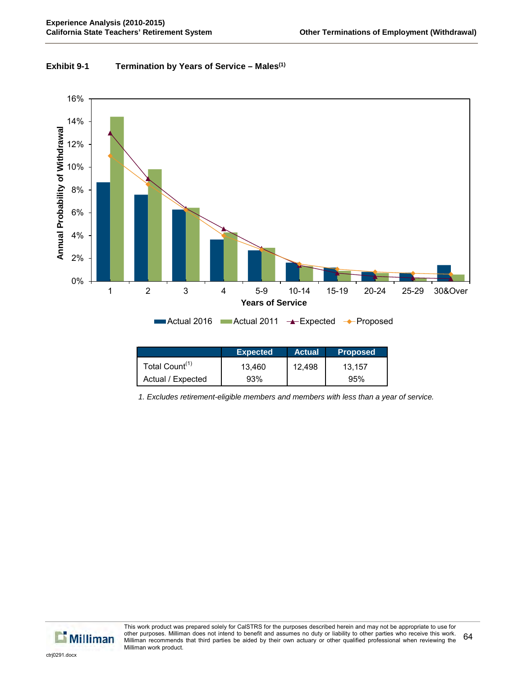

## **Exhibit 9-1 Termination by Years of Service – Males(1)**

|                            | <b>Expected</b> | <b>Actual</b> | <b>Proposed</b> |
|----------------------------|-----------------|---------------|-----------------|
| Total Count <sup>(1)</sup> | 13,460          | 12,498        | 13.157          |
| Actual / Expected          | 93%             |               | 95%             |

*1. Excludes retirement-eligible members and members with less than a year of service.* 

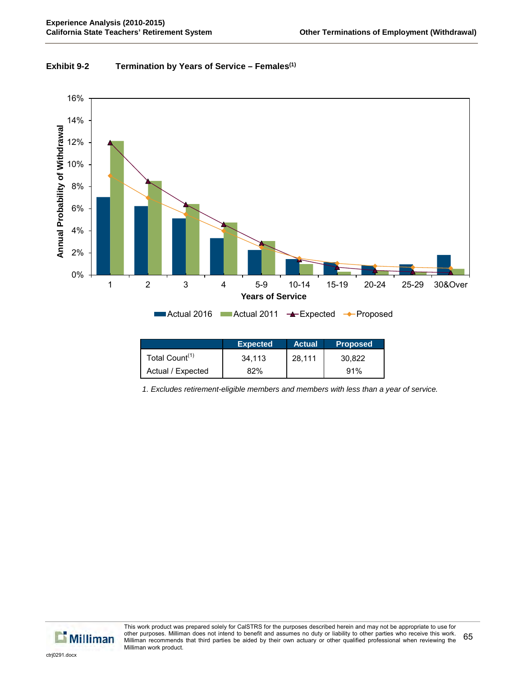



|                            | <b>Expected</b> | <b>Actual</b> | <b>Proposed</b> |
|----------------------------|-----------------|---------------|-----------------|
| Total Count <sup>(1)</sup> | 34.113          | 28,111        | 30.822          |
| Actual / Expected          | 82%             |               | 91%             |

*1. Excludes retirement-eligible members and members with less than a year of service.*

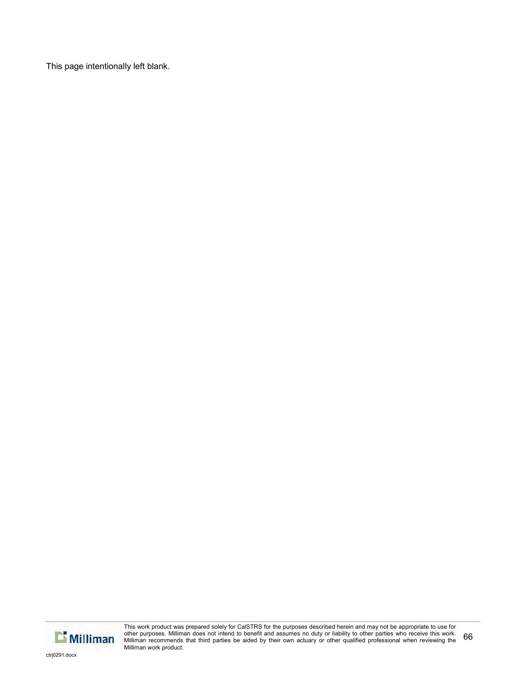This page intentionally left blank.

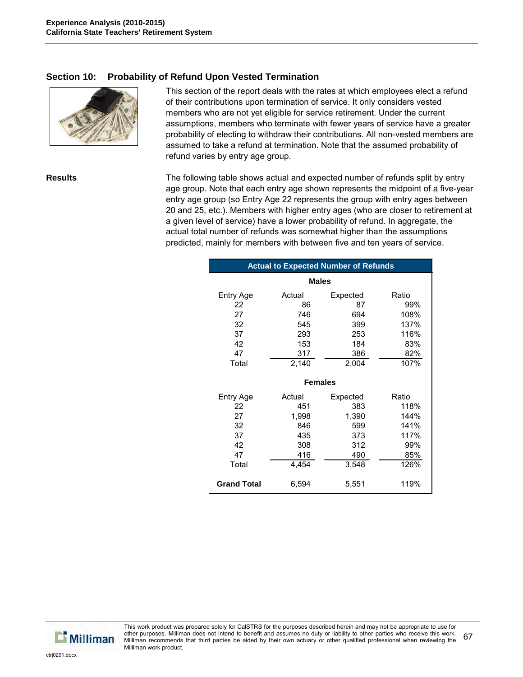# **Section 10: Probability of Refund Upon Vested Termination**



This section of the report deals with the rates at which employees elect a refund of their contributions upon termination of service. It only considers vested members who are not yet eligible for service retirement. Under the current assumptions, members who terminate with fewer years of service have a greater probability of electing to withdraw their contributions. All non-vested members are assumed to take a refund at termination. Note that the assumed probability of refund varies by entry age group.

**Results** The following table shows actual and expected number of refunds split by entry age group. Note that each entry age shown represents the midpoint of a five-year entry age group (so Entry Age 22 represents the group with entry ages between 20 and 25, etc.). Members with higher entry ages (who are closer to retirement at a given level of service) have a lower probability of refund. In aggregate, the actual total number of refunds was somewhat higher than the assumptions predicted, mainly for members with between five and ten years of service.

| <b>Actual to Expected Number of Refunds</b> |                |          |       |  |  |  |
|---------------------------------------------|----------------|----------|-------|--|--|--|
|                                             | <b>Males</b>   |          |       |  |  |  |
| Entry Age                                   | Actual         | Expected | Ratio |  |  |  |
| 22                                          | 86             | 87       | 99%   |  |  |  |
| 27                                          | 746            | 694      | 108%  |  |  |  |
| 32                                          | 545            | 399      | 137%  |  |  |  |
| 37                                          | 293            | 253      | 116%  |  |  |  |
| 42                                          | 153            | 184      | 83%   |  |  |  |
| 47                                          | 317            | 386      | 82%   |  |  |  |
| Total                                       | 2,140          | 2,004    |       |  |  |  |
|                                             |                |          |       |  |  |  |
|                                             | <b>Females</b> |          |       |  |  |  |
| Entry Age                                   | Actual         | Expected | Ratio |  |  |  |
| 22                                          | 451            | 383      | 118%  |  |  |  |
| 27                                          | 1,390<br>1,998 |          | 144%  |  |  |  |
| 32                                          | 846            | 599      | 141%  |  |  |  |
| 37                                          | 435            | 373      | 117%  |  |  |  |
| 42                                          | 308            | 312      | 99%   |  |  |  |
| 47                                          | 416            | 490      | 85%   |  |  |  |
| Total                                       | 126%           |          |       |  |  |  |
| <b>Grand Total</b>                          | 119%           |          |       |  |  |  |

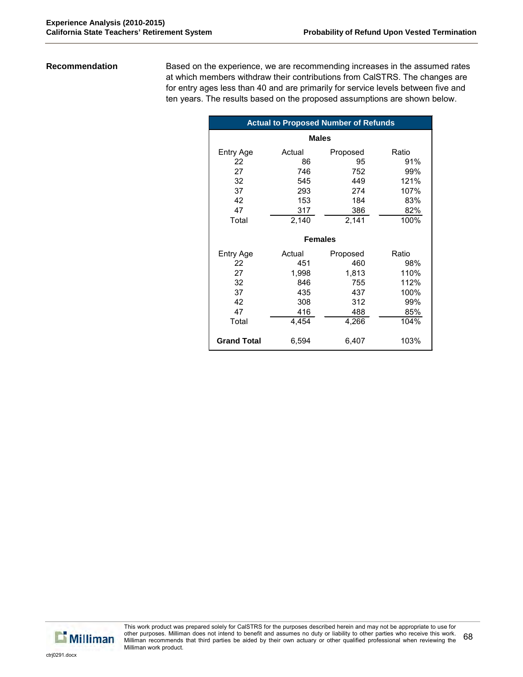**Recommendation** Based on the experience, we are recommending increases in the assumed rates at which members withdraw their contributions from CalSTRS. The changes are for entry ages less than 40 and are primarily for service levels between five and ten years. The results based on the proposed assumptions are shown below.

| <b>Actual to Proposed Number of Refunds</b>  |        |                |       |  |  |  |  |
|----------------------------------------------|--------|----------------|-------|--|--|--|--|
|                                              |        | <b>Males</b>   |       |  |  |  |  |
| Entry Age                                    | Actual | Proposed       | Ratio |  |  |  |  |
| 22                                           | 86     | 95             | 91%   |  |  |  |  |
| 27                                           | 746    | 752            |       |  |  |  |  |
| 32                                           | 545    | 449            | 121%  |  |  |  |  |
| 37                                           | 293    | 274            | 107%  |  |  |  |  |
| 42                                           | 153    | 184            | 83%   |  |  |  |  |
| 47                                           | 317    | 386            | 82%   |  |  |  |  |
| Total                                        | 2,140  | 2,141          | 100%  |  |  |  |  |
|                                              |        |                |       |  |  |  |  |
|                                              |        | <b>Females</b> |       |  |  |  |  |
| Entry Age                                    | Actual | Proposed       | Ratio |  |  |  |  |
| 22                                           | 451    | 460            | 98%   |  |  |  |  |
| 27                                           | 1,998  | 1,813          | 110%  |  |  |  |  |
| 32                                           | 846    | 755            | 112%  |  |  |  |  |
| 37                                           | 435    | 437            | 100%  |  |  |  |  |
| 42                                           | 308    | 312            | 99%   |  |  |  |  |
| 47                                           | 416    | 488            | 85%   |  |  |  |  |
| Total                                        | 4,454  | 4,266          | 104%  |  |  |  |  |
| <b>Grand Total</b><br>6,407<br>103%<br>6,594 |        |                |       |  |  |  |  |

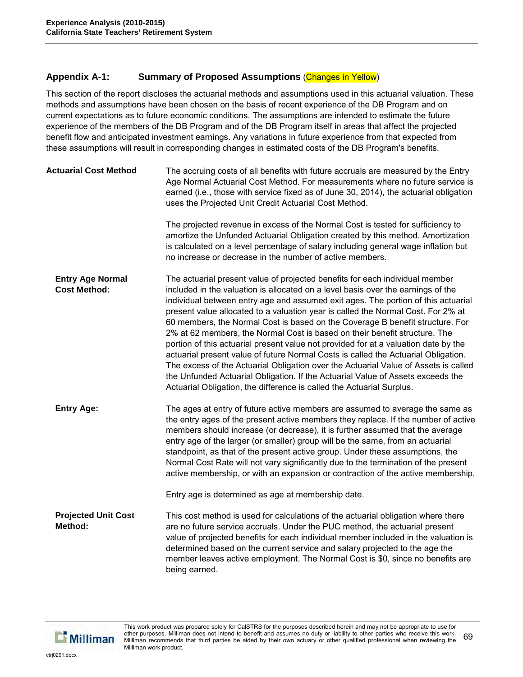# **Appendix A-1: Summary of Proposed Assumptions** (Changes in Yellow)

This section of the report discloses the actuarial methods and assumptions used in this actuarial valuation. These methods and assumptions have been chosen on the basis of recent experience of the DB Program and on current expectations as to future economic conditions. The assumptions are intended to estimate the future experience of the members of the DB Program and of the DB Program itself in areas that affect the projected benefit flow and anticipated investment earnings. Any variations in future experience from that expected from these assumptions will result in corresponding changes in estimated costs of the DB Program's benefits.

| <b>Actuarial Cost Method</b>                   | The accruing costs of all benefits with future accruals are measured by the Entry<br>Age Normal Actuarial Cost Method. For measurements where no future service is<br>earned (i.e., those with service fixed as of June 30, 2014), the actuarial obligation<br>uses the Projected Unit Credit Actuarial Cost Method.                                                                                                                                                                                                                                                                                                                                                                                                                                                                                                                                                                                                                     |
|------------------------------------------------|------------------------------------------------------------------------------------------------------------------------------------------------------------------------------------------------------------------------------------------------------------------------------------------------------------------------------------------------------------------------------------------------------------------------------------------------------------------------------------------------------------------------------------------------------------------------------------------------------------------------------------------------------------------------------------------------------------------------------------------------------------------------------------------------------------------------------------------------------------------------------------------------------------------------------------------|
|                                                | The projected revenue in excess of the Normal Cost is tested for sufficiency to<br>amortize the Unfunded Actuarial Obligation created by this method. Amortization<br>is calculated on a level percentage of salary including general wage inflation but<br>no increase or decrease in the number of active members.                                                                                                                                                                                                                                                                                                                                                                                                                                                                                                                                                                                                                     |
| <b>Entry Age Normal</b><br><b>Cost Method:</b> | The actuarial present value of projected benefits for each individual member<br>included in the valuation is allocated on a level basis over the earnings of the<br>individual between entry age and assumed exit ages. The portion of this actuarial<br>present value allocated to a valuation year is called the Normal Cost. For 2% at<br>60 members, the Normal Cost is based on the Coverage B benefit structure. For<br>2% at 62 members, the Normal Cost is based on their benefit structure. The<br>portion of this actuarial present value not provided for at a valuation date by the<br>actuarial present value of future Normal Costs is called the Actuarial Obligation.<br>The excess of the Actuarial Obligation over the Actuarial Value of Assets is called<br>the Unfunded Actuarial Obligation. If the Actuarial Value of Assets exceeds the<br>Actuarial Obligation, the difference is called the Actuarial Surplus. |
| <b>Entry Age:</b>                              | The ages at entry of future active members are assumed to average the same as<br>the entry ages of the present active members they replace. If the number of active<br>members should increase (or decrease), it is further assumed that the average<br>entry age of the larger (or smaller) group will be the same, from an actuarial<br>standpoint, as that of the present active group. Under these assumptions, the<br>Normal Cost Rate will not vary significantly due to the termination of the present<br>active membership, or with an expansion or contraction of the active membership.                                                                                                                                                                                                                                                                                                                                        |
|                                                | Entry age is determined as age at membership date.                                                                                                                                                                                                                                                                                                                                                                                                                                                                                                                                                                                                                                                                                                                                                                                                                                                                                       |
| <b>Projected Unit Cost</b><br>Method:          | This cost method is used for calculations of the actuarial obligation where there<br>are no future service accruals. Under the PUC method, the actuarial present<br>value of projected benefits for each individual member included in the valuation is<br>determined based on the current service and salary projected to the age the<br>member leaves active employment. The Normal Cost is \$0, since no benefits are<br>being earned.                                                                                                                                                                                                                                                                                                                                                                                                                                                                                                |

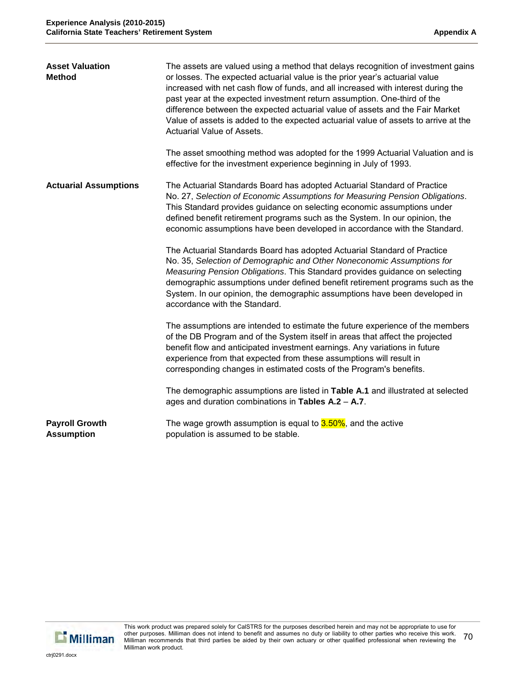| <b>Asset Valuation</b><br><b>Method</b>    | The assets are valued using a method that delays recognition of investment gains<br>or losses. The expected actuarial value is the prior year's actuarial value<br>increased with net cash flow of funds, and all increased with interest during the<br>past year at the expected investment return assumption. One-third of the<br>difference between the expected actuarial value of assets and the Fair Market<br>Value of assets is added to the expected actuarial value of assets to arrive at the<br>Actuarial Value of Assets. |
|--------------------------------------------|----------------------------------------------------------------------------------------------------------------------------------------------------------------------------------------------------------------------------------------------------------------------------------------------------------------------------------------------------------------------------------------------------------------------------------------------------------------------------------------------------------------------------------------|
|                                            | The asset smoothing method was adopted for the 1999 Actuarial Valuation and is<br>effective for the investment experience beginning in July of 1993.                                                                                                                                                                                                                                                                                                                                                                                   |
| <b>Actuarial Assumptions</b>               | The Actuarial Standards Board has adopted Actuarial Standard of Practice<br>No. 27, Selection of Economic Assumptions for Measuring Pension Obligations.<br>This Standard provides guidance on selecting economic assumptions under<br>defined benefit retirement programs such as the System. In our opinion, the<br>economic assumptions have been developed in accordance with the Standard.                                                                                                                                        |
|                                            | The Actuarial Standards Board has adopted Actuarial Standard of Practice<br>No. 35, Selection of Demographic and Other Noneconomic Assumptions for<br>Measuring Pension Obligations. This Standard provides guidance on selecting<br>demographic assumptions under defined benefit retirement programs such as the<br>System. In our opinion, the demographic assumptions have been developed in<br>accordance with the Standard.                                                                                                      |
|                                            | The assumptions are intended to estimate the future experience of the members<br>of the DB Program and of the System itself in areas that affect the projected<br>benefit flow and anticipated investment earnings. Any variations in future<br>experience from that expected from these assumptions will result in<br>corresponding changes in estimated costs of the Program's benefits.                                                                                                                                             |
|                                            | The demographic assumptions are listed in Table A.1 and illustrated at selected<br>ages and duration combinations in Tables A.2 - A.7.                                                                                                                                                                                                                                                                                                                                                                                                 |
| <b>Payroll Growth</b><br><b>Assumption</b> | The wage growth assumption is equal to $3.50\%$ , and the active<br>population is assumed to be stable.                                                                                                                                                                                                                                                                                                                                                                                                                                |

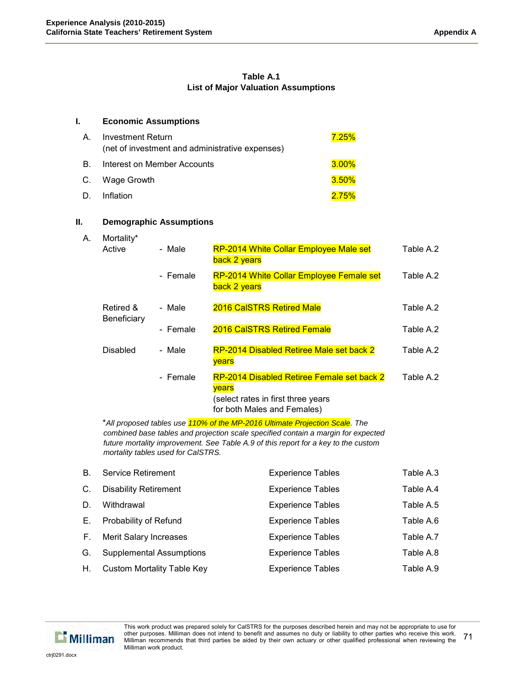## **Table A.1 List of Major Valuation Assumptions**

|    | <b>Economic Assumptions</b>                                          |       |
|----|----------------------------------------------------------------------|-------|
| A. | Investment Return<br>(net of investment and administrative expenses) | 7.25% |
| B. | Interest on Member Accounts                                          | 3.00% |
| C. | Wage Growth                                                          | 3.50% |
| D  | Inflation                                                            | 2.75% |

### **II. Demographic Assumptions**

A.

| А. | Mortality*               |          |                                                                                                                          |           |
|----|--------------------------|----------|--------------------------------------------------------------------------------------------------------------------------|-----------|
|    | Active                   | - Male   | RP-2014 White Collar Employee Male set<br>back 2 years                                                                   | Table A.2 |
|    |                          | - Female | RP-2014 White Collar Employee Female set<br>back 2 years                                                                 | Table A.2 |
|    | Retired &<br>Beneficiary | - Male   | <b>2016 CaISTRS Retired Male</b>                                                                                         | Table A.2 |
|    |                          | - Female | <b>2016 CaISTRS Retired Female</b>                                                                                       | Table A.2 |
|    | Disabled                 | - Male   | RP-2014 Disabled Retiree Male set back 2<br>vears                                                                        | Table A.2 |
|    |                          | - Female | RP-2014 Disabled Retiree Female set back 2<br>vears<br>(select rates in first three years<br>for both Males and Females) | Table A.2 |

 \**All proposed tables use 110% of the MP-2016 Ultimate Projection Scale. The combined base tables and projection scale specified contain a margin for expected future mortality improvement. See Table A.9 of this report for a key to the custom mortality tables used for CalSTRS.*

| В.  | <b>Service Retirement</b>         | <b>Experience Tables</b> | Table A.3 |
|-----|-----------------------------------|--------------------------|-----------|
| C.  | <b>Disability Retirement</b>      | <b>Experience Tables</b> | Table A.4 |
| D.  | Withdrawal                        | <b>Experience Tables</b> | Table A.5 |
| Е.  | Probability of Refund             | <b>Experience Tables</b> | Table A.6 |
| F., | <b>Merit Salary Increases</b>     | <b>Experience Tables</b> | Table A.7 |
| G.  | <b>Supplemental Assumptions</b>   | <b>Experience Tables</b> | Table A.8 |
| Н.  | <b>Custom Mortality Table Key</b> | <b>Experience Tables</b> | Table A.9 |

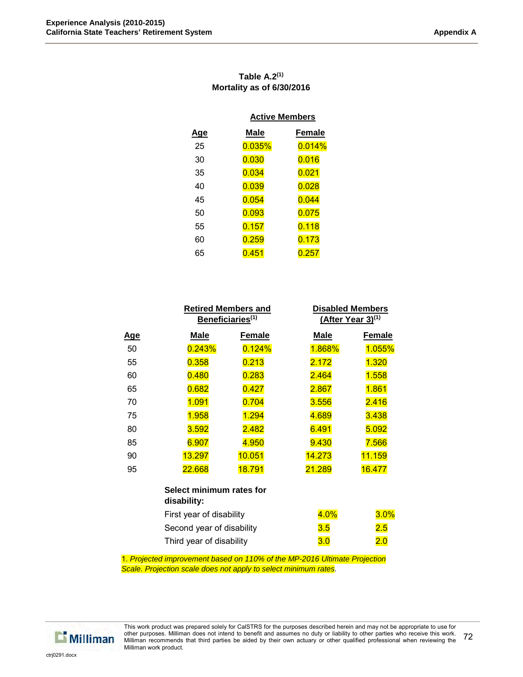| טו שבישטיש ושומו שוטות |                       |        |  |  |
|------------------------|-----------------------|--------|--|--|
|                        | <b>Active Members</b> |        |  |  |
| <u>Age</u>             | Male                  | Female |  |  |
| 25                     | 0.035%                | 0.014% |  |  |
| 30                     | 0.030                 | 0.016  |  |  |
| 35                     | 0.034                 | 0.021  |  |  |
| 40                     | 0.039                 | 0.028  |  |  |
| 45                     | 0.054                 | 0.044  |  |  |
| 50                     | 0.093                 | 0.075  |  |  |
| 55                     | 0.157                 | 0.118  |  |  |
| 60                     | 0.259                 | 0.173  |  |  |
| 65                     | 0.451                 | 0.257  |  |  |

| Table $A.2(1)$            |  |  |
|---------------------------|--|--|
| Mortality as of 6/30/2016 |  |  |

|                                         | <b>Retired Members and</b><br>Beneficiaries <sup>(1)</sup> |               | <b>Disabled Members</b><br>(After Year 3) <sup>(1)</sup> |               |
|-----------------------------------------|------------------------------------------------------------|---------------|----------------------------------------------------------|---------------|
| <u>Age</u>                              | Male                                                       | <b>Female</b> | Male                                                     | Female        |
| 50                                      | 0.243%                                                     | 0.124%        | 1.868%                                                   | <b>1.055%</b> |
| 55                                      | 0.358                                                      | 0.213         | 2.172                                                    | 1.320         |
| 60                                      | 0.480                                                      | 0.283         | 2.464                                                    | 1.558         |
| 65                                      | 0.682                                                      | 0.427         | 2.867                                                    | 1.861         |
| 70                                      | 1.091                                                      | 0.704         | 3.556                                                    | 2.416         |
| 75                                      | 1.958                                                      | 1.294         | 4.689                                                    | 3.438         |
| 80                                      | 3.592                                                      | 2.482         | 6.491                                                    | 5.092         |
| 85                                      | 6.907                                                      | 4.950         | 9.430                                                    | 7.566         |
| 90                                      | 13.297                                                     | 10.051        | 14.273                                                   | 11.159        |
| 95                                      | 22.668                                                     | 18.791        | 21.289                                                   | 16.477        |
| Select minimum rates for<br>disability: |                                                            |               |                                                          |               |
|                                         | First year of disability                                   |               | $4.0\%$                                                  | 3.0%          |
|                                         | Second year of disability                                  |               | 3.5                                                      | 2.5           |
|                                         | Third year of disability                                   |               | 3.0                                                      | 2.0           |

1. *Projected improvement based on 110% of the MP-2016 Ultimate Projection Scale. Projection scale does not apply to select minimum rates.*

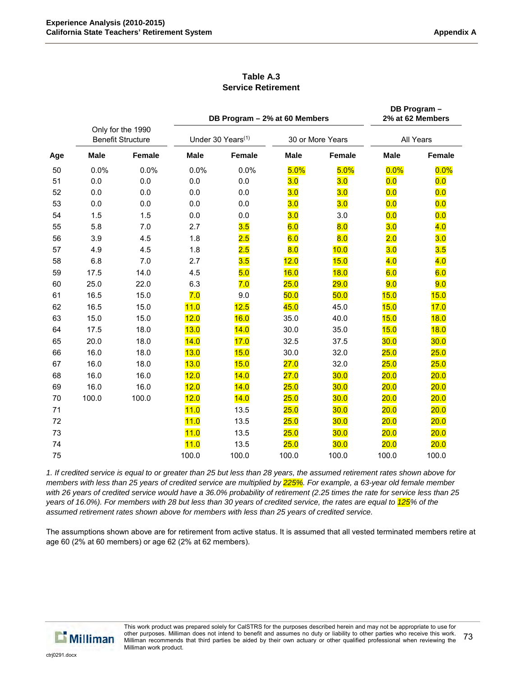| Table A.3          |
|--------------------|
| Service Retirement |

|     |                                               |               |                               | DB Program - 2% at 60 Members |             |                  |             | DB Program -<br>2% at 62 Members |  |
|-----|-----------------------------------------------|---------------|-------------------------------|-------------------------------|-------------|------------------|-------------|----------------------------------|--|
|     | Only for the 1990<br><b>Benefit Structure</b> |               | Under 30 Years <sup>(1)</sup> |                               |             | 30 or More Years |             | All Years                        |  |
| Age | <b>Male</b>                                   | <b>Female</b> | <b>Male</b>                   | <b>Female</b>                 | <b>Male</b> | <b>Female</b>    | <b>Male</b> | <b>Female</b>                    |  |
| 50  | 0.0%                                          | 0.0%          | 0.0%                          | 0.0%                          | 5.0%        | 5.0%             | 0.0%        | 0.0%                             |  |
| 51  | 0.0                                           | 0.0           | 0.0                           | 0.0                           | 3.0         | 3.0              | 0.0         | 0.0                              |  |
| 52  | 0.0                                           | 0.0           | 0.0                           | 0.0                           | 3.0         | 3.0              | 0.0         | 0.0                              |  |
| 53  | 0.0                                           | 0.0           | 0.0                           | 0.0                           | 3.0         | 3.0              | 0.0         | 0.0                              |  |
| 54  | 1.5                                           | 1.5           | 0.0                           | 0.0                           | 3.0         | 3.0              | 0.0         | 0.0                              |  |
| 55  | 5.8                                           | 7.0           | 2.7                           | 3.5                           | 6.0         | 8.0              | 3.0         | 4.0                              |  |
| 56  | 3.9                                           | 4.5           | 1.8                           | 2.5                           | 6.0         | 8.0              | 2.0         | 3.0                              |  |
| 57  | 4.9                                           | 4.5           | 1.8                           | 2.5                           | 8.0         | 10.0             | 3.0         | 3.5                              |  |
| 58  | 6.8                                           | 7.0           | 2.7                           | 3.5                           | 12.0        | 15.0             | 4.0         | 4.0                              |  |
| 59  | 17.5                                          | 14.0          | 4.5                           | 5.0                           | 16.0        | 18.0             | 6.0         | 6.0                              |  |
| 60  | 25.0                                          | 22.0          | 6.3                           | 7.0                           | 25.0        | 29.0             | 9.0         | 9.0                              |  |
| 61  | 16.5                                          | 15.0          | 7.0                           | 9.0                           | 50.0        | 50.0             | 15.0        | 15.0                             |  |
| 62  | 16.5                                          | 15.0          | 11.0                          | 12.5                          | 45.0        | 45.0             | 15.0        | 17.0                             |  |
| 63  | 15.0                                          | 15.0          | 12.0                          | 16.0                          | 35.0        | 40.0             | 15.0        | 18.0                             |  |
| 64  | 17.5                                          | 18.0          | 13.0                          | 14.0                          | 30.0        | 35.0             | 15.0        | 18.0                             |  |
| 65  | 20.0                                          | 18.0          | 14.0                          | 17.0                          | 32.5        | 37.5             | 30.0        | 30.0                             |  |
| 66  | 16.0                                          | 18.0          | 13.0                          | 15.0                          | 30.0        | 32.0             | 25.0        | 25.0                             |  |
| 67  | 16.0                                          | 18.0          | 13.0                          | 15.0                          | 27.0        | 32.0             | 25.0        | 25.0                             |  |
| 68  | 16.0                                          | 16.0          | 12.0                          | 14.0                          | 27.0        | 30.0             | 20.0        | 20.0                             |  |
| 69  | 16.0                                          | 16.0          | 12.0                          | 14.0                          | 25.0        | 30.0             | 20.0        | 20.0                             |  |
| 70  | 100.0                                         | 100.0         | 12.0                          | 14.0                          | 25.0        | 30.0             | 20.0        | 20.0                             |  |
| 71  |                                               |               | 11.0                          | 13.5                          | 25.0        | 30.0             | 20.0        | 20.0                             |  |
| 72  |                                               |               | 11.0                          | 13.5                          | 25.0        | 30.0             | 20.0        | 20.0                             |  |
| 73  |                                               |               | 11.0                          | 13.5                          | 25.0        | 30.0             | 20.0        | 20.0                             |  |
| 74  |                                               |               | 11.0                          | 13.5                          | 25.0        | 30.0             | 20.0        | 20.0                             |  |
| 75  |                                               |               | 100.0                         | 100.0                         | 100.0       | 100.0            | 100.0       | 100.0                            |  |

*1. If credited service is equal to or greater than 25 but less than 28 years, the assumed retirement rates shown above for members with less than 25 years of credited service are multiplied by 225%. For example, a 63-year old female member with 26 years of credited service would have a 36.0% probability of retirement (2.25 times the rate for service less than 25 years of 16.0%). For members with 28 but less than 30 years of credited service, the rates are equal to 125% of the assumed retirement rates shown above for members with less than 25 years of credited service.* 

The assumptions shown above are for retirement from active status. It is assumed that all vested terminated members retire at age 60 (2% at 60 members) or age 62 (2% at 62 members).

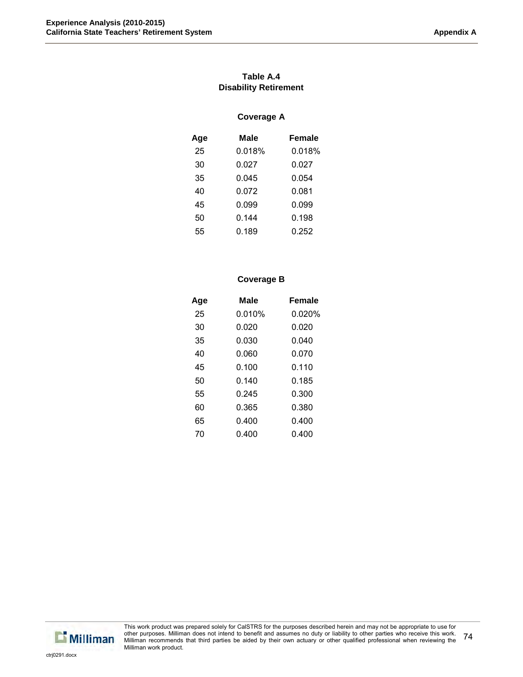## **Table A.4 Disability Retirement**

#### **Coverage A**

| Age | Male   | Female |
|-----|--------|--------|
| 25  | 0.018% | 0.018% |
| 30  | 0.027  | 0.027  |
| 35  | 0.045  | 0.054  |
| 40  | 0.072  | 0.081  |
| 45  | 0.099  | 0.099  |
| 50  | 0.144  | 0.198  |
| 55  | 0.189  | 0.252  |

#### **Coverage B**

| Age | Male   | Female |
|-----|--------|--------|
| 25  | 0.010% | 0.020% |
| 30  | 0.020  | 0.020  |
| 35  | 0.030  | 0.040  |
| 40  | 0.060  | 0.070  |
| 45  | 0.100  | 0.110  |
| 50  | 0.140  | 0.185  |
| 55  | በ 245  | 0.300  |
| 60  | 0.365  | 0.380  |
| 65  | 0.400  | 0.400  |
| 70  | 0.400  | 0.400  |

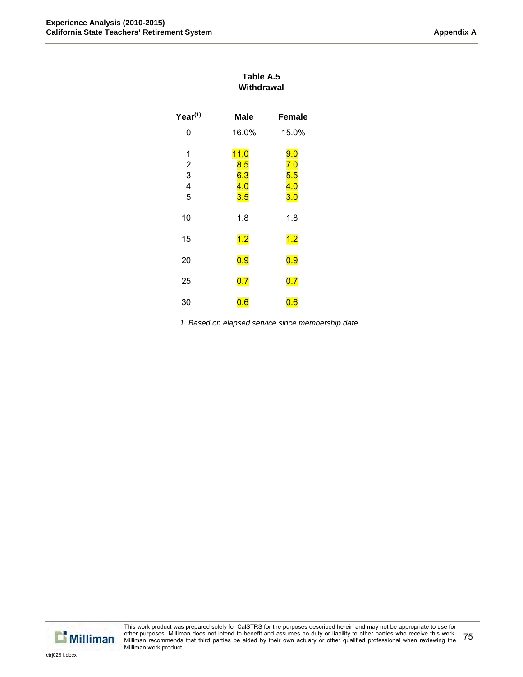|                                                 | Table A.5<br>Withdrawal          |                                 |  |  |  |
|-------------------------------------------------|----------------------------------|---------------------------------|--|--|--|
| $Year^{(1)}$                                    | <b>Male</b>                      | <b>Female</b>                   |  |  |  |
| 0                                               | 16.0%                            | 15.0%                           |  |  |  |
| 1<br>$\overline{c}$<br>$\overline{3}$<br>4<br>5 | 11.0<br>8.5<br>6.3<br>4.0<br>3.5 | 9.0<br>7.0<br>5.5<br>4.0<br>3.0 |  |  |  |
| 10                                              | 1.8                              | 1.8                             |  |  |  |
| 15                                              | 1.2                              | 1.2                             |  |  |  |
| 20                                              | 0.9                              | 0.9                             |  |  |  |
| 25                                              | 0.7                              | 0.7                             |  |  |  |
| 30                                              | 0.6                              | 0.6                             |  |  |  |

*1. Based on elapsed service since membership date.*



ctrj0291.docx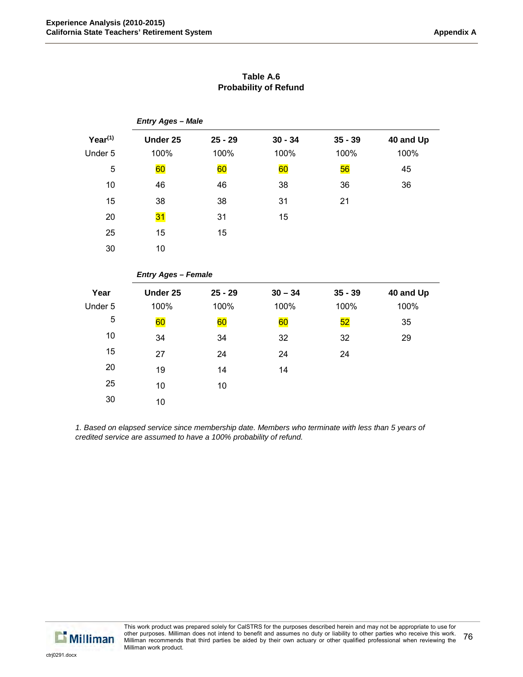|              | <b>Entry Ages - Male</b>   |           |           |           |           |
|--------------|----------------------------|-----------|-----------|-----------|-----------|
| $Year^{(1)}$ | Under 25                   | $25 - 29$ | $30 - 34$ | $35 - 39$ | 40 and Up |
| Under 5      | 100%                       | 100%      | 100%      | 100%      | 100%      |
| 5            | 60                         | 60        | 60        | 56        | 45        |
| 10           | 46                         | 46        | 38        | 36        | 36        |
| 15           | 38                         | 38        | 31        | 21        |           |
| 20           | 31                         | 31        | 15        |           |           |
| 25           | 15                         | 15        |           |           |           |
| 30           | 10                         |           |           |           |           |
|              | <b>Entry Ages - Female</b> |           |           |           |           |
| Year         | Under 25                   | $25 - 29$ | $30 - 34$ | $35 - 39$ | 40 and Up |
| Under 5      | 100%                       | 100%      | 100%      | 100%      | 100%      |
| 5            | 60                         | 60        | 60        | 52        | 35        |
| 10           | 34                         | 34        | 32        | 32        | 29        |
| 15           | 27                         | 24        | 24        | 24        |           |
| 20           | 19                         | 14        | 14        |           |           |
| 25           | 10                         | $10$      |           |           |           |
| 30           | 10                         |           |           |           |           |
|              |                            |           |           |           |           |

## **Table A.6 Probability of Refund**

*1. Based on elapsed service since membership date. Members who terminate with less than 5 years of credited service are assumed to have a 100% probability of refund.*

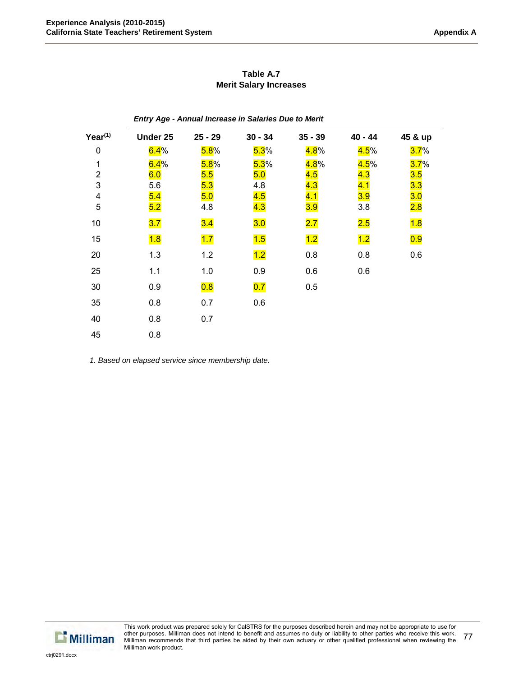#### **Table A.7 Merit Salary Increases**

| Year <sup>(1)</sup>     | Under 25 | $25 - 29$ | $30 - 34$ | $35 - 39$          | $40 - 44$ | 45 & up |
|-------------------------|----------|-----------|-----------|--------------------|-----------|---------|
| $\pmb{0}$               | 6.4%     | $5.8\%$   | 5.3%      | <mark>4.8</mark> % | $4.5\%$   | 3.7%    |
| 1                       | 6.4%     | 5.8%      | 5.3%      | $4.8\%$            | 4.5%      | 3.7%    |
| $\mathbf 2$             | 6.0      | 5.5       | 5.0       | 4.5                | 4.3       | 3.5     |
| 3                       | 5.6      | 5.3       | 4.8       | 4.3                | 4.1       | 3.3     |
| $\overline{\mathbf{4}}$ | 5.4      | 5.0       | 4.5       | 4.1                | 3.9       | 3.0     |
| 5                       | 5.2      | 4.8       | 4.3       | 3.9                | 3.8       | 2.8     |
| 10                      | 3.7      | 3.4       | 3.0       | 2.7                | 2.5       | 1.8     |
| 15                      | 1.8      | 1.7       | 1.5       | 1.2                | 1.2       | 0.9     |
| 20                      | 1.3      | 1.2       | 1.2       | 0.8                | 0.8       | 0.6     |
| 25                      | 1.1      | 1.0       | 0.9       | 0.6                | 0.6       |         |
| 30                      | 0.9      | 0.8       | 0.7       | 0.5                |           |         |
| 35                      | 0.8      | 0.7       | 0.6       |                    |           |         |
| 40                      | 0.8      | 0.7       |           |                    |           |         |
| 45                      | 0.8      |           |           |                    |           |         |
|                         |          |           |           |                    |           |         |

*Entry Age - Annual Increase in Salaries Due to Merit* 

*1. Based on elapsed service since membership date.*

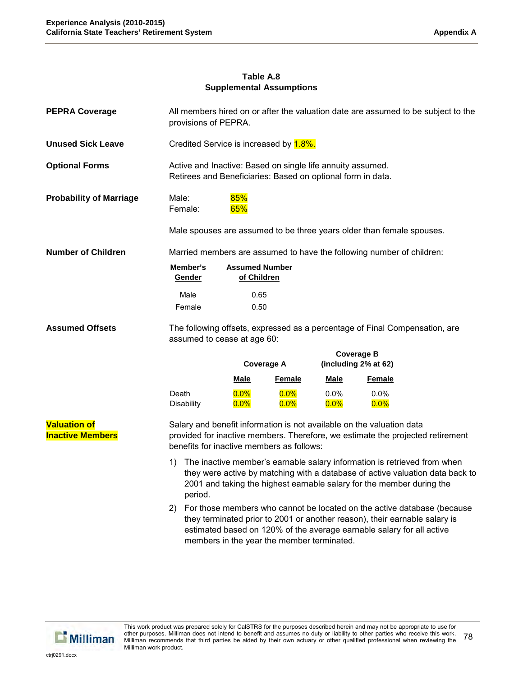## **Table A.8 Supplemental Assumptions**

| <b>PEPRA Coverage</b>                          |                            | provisions of PEPRA.                                                                                                      |                       |                   |               |                 |                                                                       | All members hired on or after the valuation date are assumed to be subject to the                                                                         |
|------------------------------------------------|----------------------------|---------------------------------------------------------------------------------------------------------------------------|-----------------------|-------------------|---------------|-----------------|-----------------------------------------------------------------------|-----------------------------------------------------------------------------------------------------------------------------------------------------------|
| <b>Unused Sick Leave</b>                       |                            | Credited Service is increased by 1.8%.                                                                                    |                       |                   |               |                 |                                                                       |                                                                                                                                                           |
| <b>Optional Forms</b>                          |                            | Active and Inactive: Based on single life annuity assumed.<br>Retirees and Beneficiaries: Based on optional form in data. |                       |                   |               |                 |                                                                       |                                                                                                                                                           |
| <b>Probability of Marriage</b>                 | Male:<br>Female:           |                                                                                                                           | 85%<br>65%            |                   |               |                 |                                                                       |                                                                                                                                                           |
|                                                |                            |                                                                                                                           |                       |                   |               |                 | Male spouses are assumed to be three years older than female spouses. |                                                                                                                                                           |
| <b>Number of Children</b>                      |                            |                                                                                                                           |                       |                   |               |                 | Married members are assumed to have the following number of children: |                                                                                                                                                           |
|                                                |                            | Member's<br><b>Gender</b>                                                                                                 | <b>Assumed Number</b> | of Children       |               |                 |                                                                       |                                                                                                                                                           |
|                                                | Male                       |                                                                                                                           |                       | 0.65              |               |                 |                                                                       |                                                                                                                                                           |
|                                                |                            | Female                                                                                                                    |                       | 0.50              |               |                 |                                                                       |                                                                                                                                                           |
| <b>Assumed Offsets</b>                         |                            | assumed to cease at age 60:                                                                                               |                       |                   |               |                 |                                                                       | The following offsets, expressed as a percentage of Final Compensation, are                                                                               |
|                                                |                            |                                                                                                                           |                       |                   |               |                 | <b>Coverage B</b>                                                     |                                                                                                                                                           |
|                                                |                            |                                                                                                                           |                       | <b>Coverage A</b> |               |                 | (including 2% at 62)                                                  |                                                                                                                                                           |
|                                                |                            |                                                                                                                           | Male                  |                   | <b>Female</b> | Male            | Female                                                                |                                                                                                                                                           |
|                                                | Death<br><b>Disability</b> |                                                                                                                           | 0.0%<br>0.0%          |                   | 0.0%<br>0.0%  | 0.0%<br>$0.0\%$ | 0.0%<br>0.0%                                                          |                                                                                                                                                           |
| <b>Valuation of</b><br><b>Inactive Members</b> |                            | benefits for inactive members as follows:                                                                                 |                       |                   |               |                 | Salary and benefit information is not available on the valuation data | provided for inactive members. Therefore, we estimate the projected retirement                                                                            |
|                                                | 1)                         | period.                                                                                                                   |                       |                   |               |                 | 2001 and taking the highest earnable salary for the member during the | The inactive member's earnable salary information is retrieved from when<br>they were active by matching with a database of active valuation data back to |
|                                                | 2)                         | members in the year the member terminated.                                                                                |                       |                   |               |                 | estimated based on 120% of the average earnable salary for all active | For those members who cannot be located on the active database (because<br>they terminated prior to 2001 or another reason), their earnable salary is     |

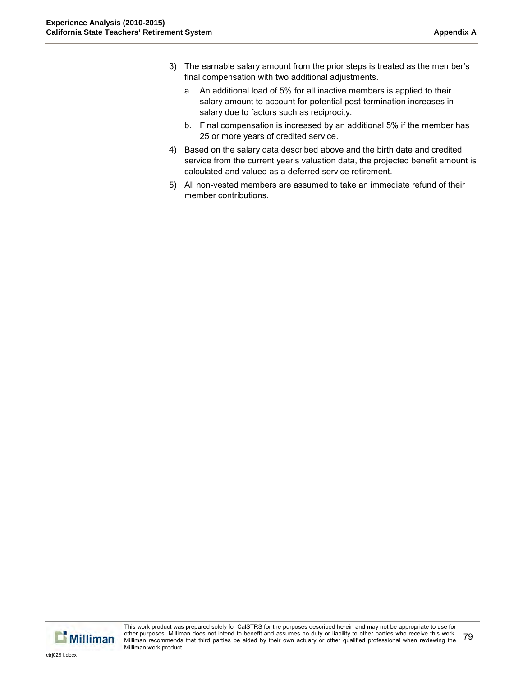- 3) The earnable salary amount from the prior steps is treated as the member's final compensation with two additional adjustments.
	- a. An additional load of 5% for all inactive members is applied to their salary amount to account for potential post-termination increases in salary due to factors such as reciprocity.
	- b. Final compensation is increased by an additional 5% if the member has 25 or more years of credited service.
- 4) Based on the salary data described above and the birth date and credited service from the current year's valuation data, the projected benefit amount is calculated and valued as a deferred service retirement.
- 5) All non-vested members are assumed to take an immediate refund of their member contributions.

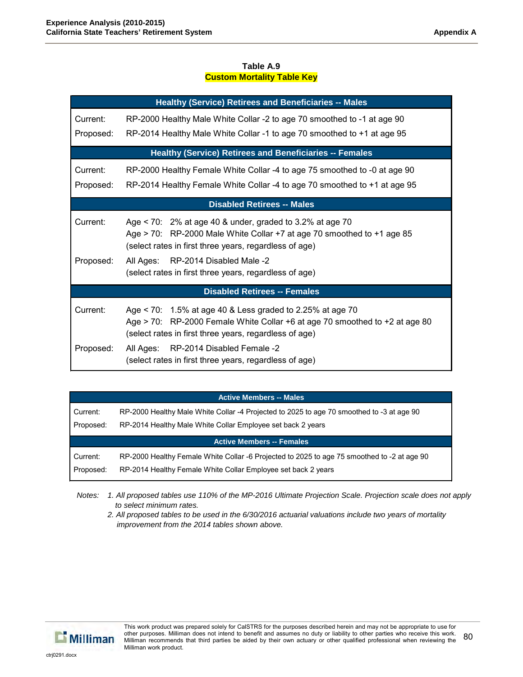### **Table A.9 Custom Mortality Table Key**

|           | <b>Healthy (Service) Retirees and Beneficiaries -- Males</b>                                                                                                                                          |  |  |  |  |  |
|-----------|-------------------------------------------------------------------------------------------------------------------------------------------------------------------------------------------------------|--|--|--|--|--|
| Current:  | RP-2000 Healthy Male White Collar -2 to age 70 smoothed to -1 at age 90                                                                                                                               |  |  |  |  |  |
| Proposed: | RP-2014 Healthy Male White Collar -1 to age 70 smoothed to +1 at age 95                                                                                                                               |  |  |  |  |  |
|           | <b>Healthy (Service) Retirees and Beneficiaries -- Females</b>                                                                                                                                        |  |  |  |  |  |
| Current:  | RP-2000 Healthy Female White Collar -4 to age 75 smoothed to -0 at age 90                                                                                                                             |  |  |  |  |  |
| Proposed: | RP-2014 Healthy Female White Collar -4 to age 70 smoothed to +1 at age 95                                                                                                                             |  |  |  |  |  |
|           | <b>Disabled Retirees -- Males</b>                                                                                                                                                                     |  |  |  |  |  |
| Current:  | Age $< 70$ : 2% at age 40 & under, graded to 3.2% at age 70<br>Age $>$ 70: RP-2000 Male White Collar +7 at age 70 smoothed to +1 age 85<br>(select rates in first three years, regardless of age)     |  |  |  |  |  |
| Proposed: | All Ages: RP-2014 Disabled Male -2<br>(select rates in first three years, regardless of age)                                                                                                          |  |  |  |  |  |
|           | <b>Disabled Retirees -- Females</b>                                                                                                                                                                   |  |  |  |  |  |
| Current:  | Age $< 70$ : 1.5% at age 40 & Less graded to 2.25% at age 70<br>Age > 70: RP-2000 Female White Collar +6 at age 70 smoothed to +2 at age 80<br>(select rates in first three years, regardless of age) |  |  |  |  |  |
| Proposed: | All Ages: RP-2014 Disabled Female -2<br>(select rates in first three years, regardless of age)                                                                                                        |  |  |  |  |  |

#### **Active Members -- Males**

| Current:                         | RP-2000 Healthy Male White Collar -4 Projected to 2025 to age 70 smoothed to -3 at age 90   |  |  |  |
|----------------------------------|---------------------------------------------------------------------------------------------|--|--|--|
| Proposed:                        | RP-2014 Healthy Male White Collar Employee set back 2 years                                 |  |  |  |
| <b>Active Members -- Females</b> |                                                                                             |  |  |  |
| Current:                         | RP-2000 Healthy Female White Collar -6 Projected to 2025 to age 75 smoothed to -2 at age 90 |  |  |  |
| Proposed:                        | RP-2014 Healthy Female White Collar Employee set back 2 years                               |  |  |  |

- *Notes: 1. All proposed tables use 110% of the MP-2016 Ultimate Projection Scale. Projection scale does not apply to select minimum rates.*
	- *2. All proposed tables to be used in the 6/30/2016 actuarial valuations include two years of mortality improvement from the 2014 tables shown above.*

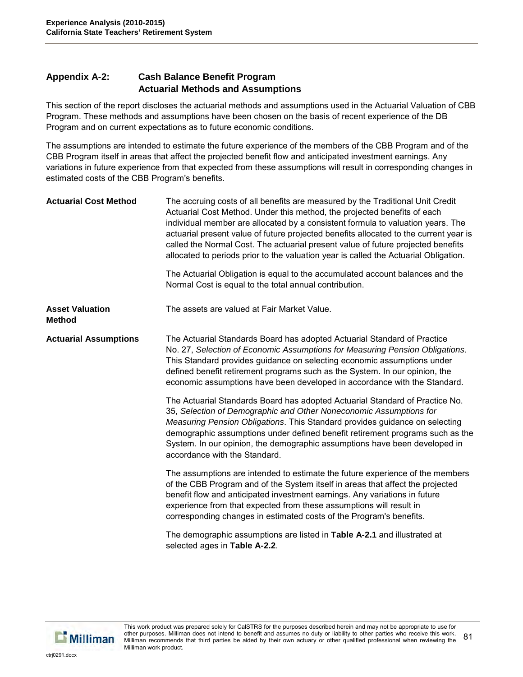# **Appendix A-2: Cash Balance Benefit Program Actuarial Methods and Assumptions**

This section of the report discloses the actuarial methods and assumptions used in the Actuarial Valuation of CBB Program. These methods and assumptions have been chosen on the basis of recent experience of the DB Program and on current expectations as to future economic conditions.

The assumptions are intended to estimate the future experience of the members of the CBB Program and of the CBB Program itself in areas that affect the projected benefit flow and anticipated investment earnings. Any variations in future experience from that expected from these assumptions will result in corresponding changes in estimated costs of the CBB Program's benefits.

| <b>Actuarial Cost Method</b>            | The accruing costs of all benefits are measured by the Traditional Unit Credit<br>Actuarial Cost Method. Under this method, the projected benefits of each<br>individual member are allocated by a consistent formula to valuation years. The<br>actuarial present value of future projected benefits allocated to the current year is<br>called the Normal Cost. The actuarial present value of future projected benefits<br>allocated to periods prior to the valuation year is called the Actuarial Obligation. |
|-----------------------------------------|--------------------------------------------------------------------------------------------------------------------------------------------------------------------------------------------------------------------------------------------------------------------------------------------------------------------------------------------------------------------------------------------------------------------------------------------------------------------------------------------------------------------|
|                                         | The Actuarial Obligation is equal to the accumulated account balances and the<br>Normal Cost is equal to the total annual contribution.                                                                                                                                                                                                                                                                                                                                                                            |
| <b>Asset Valuation</b><br><b>Method</b> | The assets are valued at Fair Market Value.                                                                                                                                                                                                                                                                                                                                                                                                                                                                        |
| <b>Actuarial Assumptions</b>            | The Actuarial Standards Board has adopted Actuarial Standard of Practice<br>No. 27, Selection of Economic Assumptions for Measuring Pension Obligations.<br>This Standard provides guidance on selecting economic assumptions under<br>defined benefit retirement programs such as the System. In our opinion, the<br>economic assumptions have been developed in accordance with the Standard.                                                                                                                    |
|                                         | The Actuarial Standards Board has adopted Actuarial Standard of Practice No.<br>35, Selection of Demographic and Other Noneconomic Assumptions for<br>Measuring Pension Obligations. This Standard provides guidance on selecting<br>demographic assumptions under defined benefit retirement programs such as the<br>System. In our opinion, the demographic assumptions have been developed in<br>accordance with the Standard.                                                                                  |
|                                         | The assumptions are intended to estimate the future experience of the members<br>of the CBB Program and of the System itself in areas that affect the projected<br>benefit flow and anticipated investment earnings. Any variations in future<br>experience from that expected from these assumptions will result in<br>corresponding changes in estimated costs of the Program's benefits.                                                                                                                        |
|                                         | The demographic assumptions are listed in Table A-2.1 and illustrated at<br>selected ages in Table A-2.2.                                                                                                                                                                                                                                                                                                                                                                                                          |

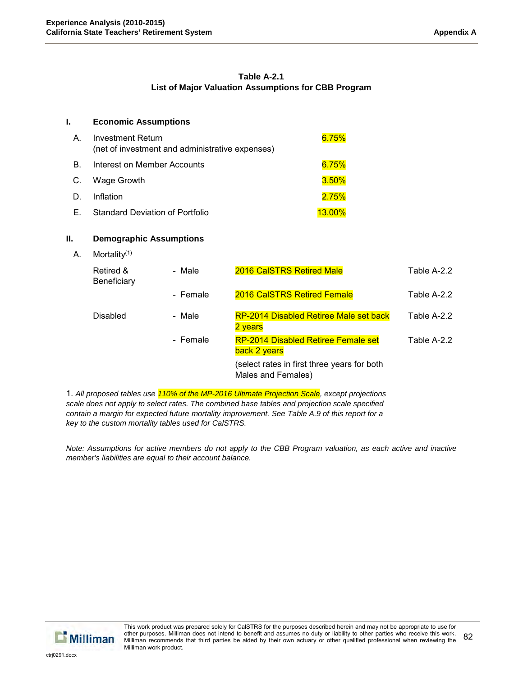### **Table A-2.1 List of Major Valuation Assumptions for CBB Program**

|    | <b>Economic Assumptions</b>                                          |               |
|----|----------------------------------------------------------------------|---------------|
| A. | Investment Return<br>(net of investment and administrative expenses) | 6.75%         |
| В. | Interest on Member Accounts                                          | 6.75%         |
|    | Wage Growth                                                          | 3.50%         |
| D. | Inflation                                                            | 2.75%         |
| Е. | Standard Deviation of Portfolio                                      | <b>13.00%</b> |

## **II. Demographic Assumptions**

A. Mortality<sup>(1)</sup>

| Retired &<br>Beneficiary | - Male   | <b>2016 CaISTRS Retired Male</b>                                  | Table A-2.2 |
|--------------------------|----------|-------------------------------------------------------------------|-------------|
|                          | - Female | <b>2016 CaISTRS Retired Female</b>                                | Table A-2.2 |
| Disabled                 | - Male   | RP-2014 Disabled Retiree Male set back<br>2 years                 | Table A-2.2 |
|                          | - Female | <b>RP-2014 Disabled Retiree Female set</b><br>back 2 years        | Table A-2.2 |
|                          |          | (select rates in first three years for both<br>Males and Females) |             |

1. *All proposed tables use 110% of the MP-2016 Ultimate Projection Scale, except projections scale does not apply to select rates. The combined base tables and projection scale specified contain a margin for expected future mortality improvement. See Table A.9 of this report for a key to the custom mortality tables used for CalSTRS.*

*Note: Assumptions for active members do not apply to the CBB Program valuation, as each active and inactive member's liabilities are equal to their account balance.*

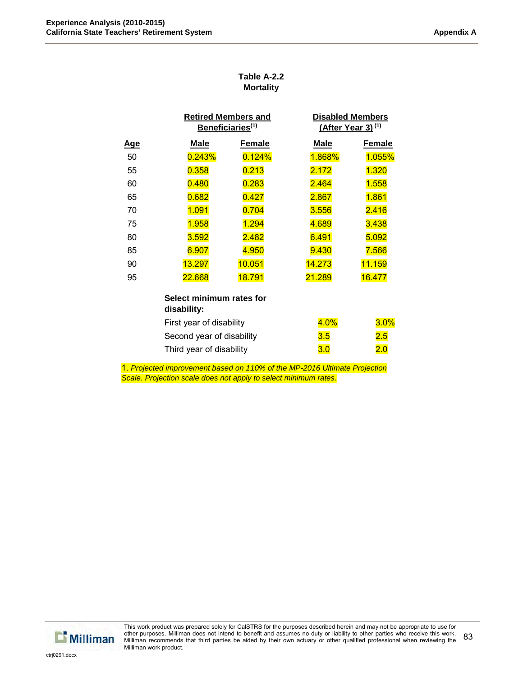# **Table A-2.2 Mortality**

|                                         |                           | <b>Retired Members and</b><br>Beneficiaries <sup>(1)</sup> |             | <b>Disabled Members</b><br>(After Year 3) <sup>(1)</sup> |  |  |
|-----------------------------------------|---------------------------|------------------------------------------------------------|-------------|----------------------------------------------------------|--|--|
| <u>Age</u>                              | Male                      | <b>Female</b>                                              | <u>Male</u> | Female                                                   |  |  |
| 50                                      | 0.243%                    | 0.124%                                                     | 1.868%      | 1.055%                                                   |  |  |
| 55                                      | 0.358                     | 0.213                                                      | 2.172       | 1.320                                                    |  |  |
| 60                                      | 0.480                     | 0.283                                                      | 2.464       | 1.558                                                    |  |  |
| 65                                      | 0.682                     | 0.427                                                      | 2.867       | 1.861                                                    |  |  |
| 70                                      | 1.091                     | 0.704                                                      | 3.556       | 2.416                                                    |  |  |
| 75                                      | 1.958                     | 1.294                                                      | 4.689       | 3.438                                                    |  |  |
| 80                                      | 3.592                     | 2.482                                                      | 6.491       | 5.092                                                    |  |  |
| 85                                      | 6.907                     | 4.950                                                      | 9.430       | 7.566                                                    |  |  |
| 90                                      | 13.297                    | 10.051                                                     | 14.273      | <b>11.159</b>                                            |  |  |
| 95                                      | 22.668                    | 18.791                                                     | 21.289      | 16.477                                                   |  |  |
| Select minimum rates for<br>disability: |                           |                                                            |             |                                                          |  |  |
|                                         | First year of disability  |                                                            | 4.0%        | 3.0%                                                     |  |  |
|                                         | Second year of disability |                                                            | 3.5         | 2.5                                                      |  |  |
|                                         | Third year of disability  |                                                            | 3.0         | 2.0                                                      |  |  |

1. *Projected improvement based on 110% of the MP-2016 Ultimate Projection Scale. Projection scale does not apply to select minimum rates.*

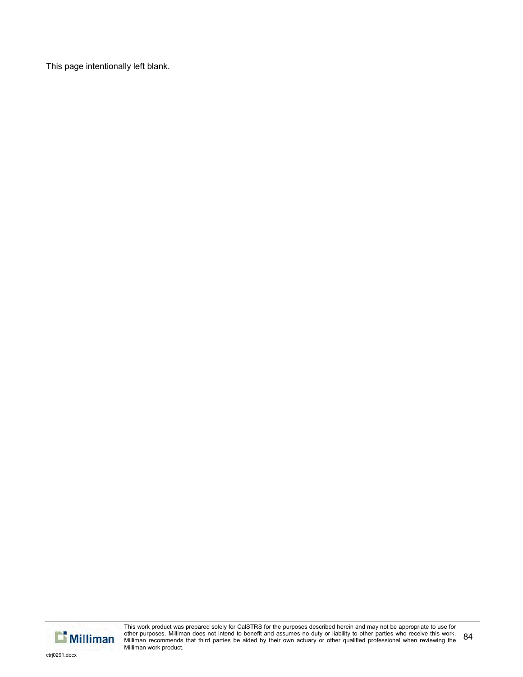This page intentionally left blank.



This work product was prepared solely for CalSTRS for the purposes described herein and may not be appropriate to use for other purposes. Milliman does not intend to benefit and assumes no duty or liability to other parties who receive this work. Milliman recommends that third parties be aided by their own actuary or other qualified professional when reviewing the Milliman work product. 84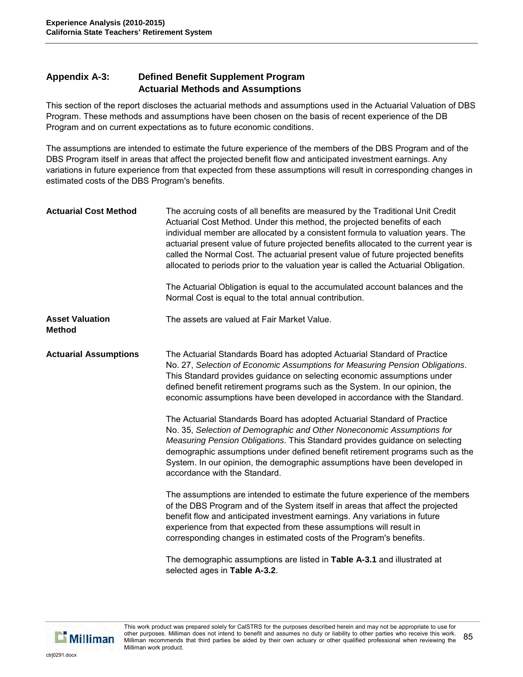# **Appendix A-3: Defined Benefit Supplement Program Actuarial Methods and Assumptions**

This section of the report discloses the actuarial methods and assumptions used in the Actuarial Valuation of DBS Program. These methods and assumptions have been chosen on the basis of recent experience of the DB Program and on current expectations as to future economic conditions.

The assumptions are intended to estimate the future experience of the members of the DBS Program and of the DBS Program itself in areas that affect the projected benefit flow and anticipated investment earnings. Any variations in future experience from that expected from these assumptions will result in corresponding changes in estimated costs of the DBS Program's benefits.

| <b>Actuarial Cost Method</b>            | The accruing costs of all benefits are measured by the Traditional Unit Credit<br>Actuarial Cost Method. Under this method, the projected benefits of each<br>individual member are allocated by a consistent formula to valuation years. The<br>actuarial present value of future projected benefits allocated to the current year is<br>called the Normal Cost. The actuarial present value of future projected benefits<br>allocated to periods prior to the valuation year is called the Actuarial Obligation.<br>The Actuarial Obligation is equal to the accumulated account balances and the |
|-----------------------------------------|-----------------------------------------------------------------------------------------------------------------------------------------------------------------------------------------------------------------------------------------------------------------------------------------------------------------------------------------------------------------------------------------------------------------------------------------------------------------------------------------------------------------------------------------------------------------------------------------------------|
|                                         | Normal Cost is equal to the total annual contribution.                                                                                                                                                                                                                                                                                                                                                                                                                                                                                                                                              |
| <b>Asset Valuation</b><br><b>Method</b> | The assets are valued at Fair Market Value.                                                                                                                                                                                                                                                                                                                                                                                                                                                                                                                                                         |
| <b>Actuarial Assumptions</b>            | The Actuarial Standards Board has adopted Actuarial Standard of Practice<br>No. 27, Selection of Economic Assumptions for Measuring Pension Obligations.<br>This Standard provides guidance on selecting economic assumptions under<br>defined benefit retirement programs such as the System. In our opinion, the<br>economic assumptions have been developed in accordance with the Standard.                                                                                                                                                                                                     |
|                                         | The Actuarial Standards Board has adopted Actuarial Standard of Practice<br>No. 35, Selection of Demographic and Other Noneconomic Assumptions for<br>Measuring Pension Obligations. This Standard provides guidance on selecting<br>demographic assumptions under defined benefit retirement programs such as the<br>System. In our opinion, the demographic assumptions have been developed in<br>accordance with the Standard.                                                                                                                                                                   |
|                                         | The assumptions are intended to estimate the future experience of the members<br>of the DBS Program and of the System itself in areas that affect the projected<br>benefit flow and anticipated investment earnings. Any variations in future<br>experience from that expected from these assumptions will result in<br>corresponding changes in estimated costs of the Program's benefits.                                                                                                                                                                                                         |
|                                         | The demographic assumptions are listed in Table A-3.1 and illustrated at<br>selected ages in Table A-3.2.                                                                                                                                                                                                                                                                                                                                                                                                                                                                                           |

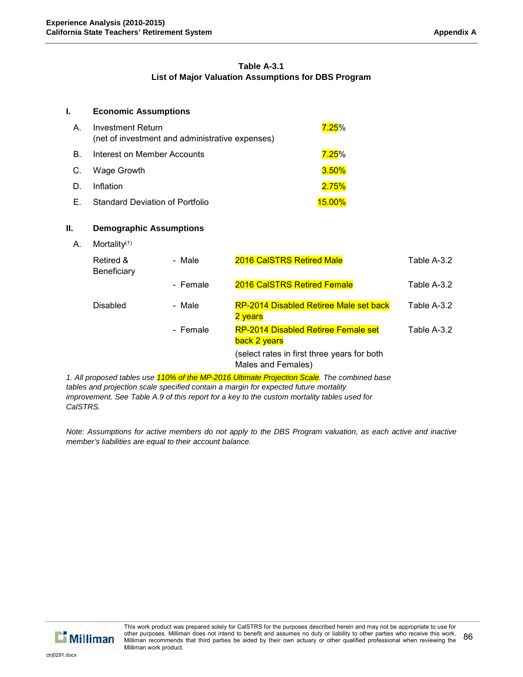### **Table A-3.1 List of Major Valuation Assumptions for DBS Program**

|         | <b>Economic Assumptions</b>                                          |           |
|---------|----------------------------------------------------------------------|-----------|
| $A_{1}$ | Investment Return<br>(net of investment and administrative expenses) | $7.25\%$  |
| В.      | Interest on Member Accounts                                          | $7.25\%$  |
| C.      | Wage Growth                                                          | 3.50%     |
| D.      | Inflation                                                            | 2.75%     |
| Е.      | <b>Standard Deviation of Portfolio</b>                               | $15.00\%$ |

### **II. Demographic Assumptions**

A. Mortality<sup>(1)</sup>

| Retired &<br>Beneficiary | - Male   | <b>2016 CaISTRS Retired Male</b>                                                           | Table A-3.2 |
|--------------------------|----------|--------------------------------------------------------------------------------------------|-------------|
|                          | - Female | <b>2016 CaISTRS Retired Female</b>                                                         | Table A-3.2 |
| Disabled                 | - Male   | RP-2014 Disabled Retiree Male set back<br>2 years                                          | Table A-3.2 |
|                          | - Female | <b>RP-2014 Disabled Retiree Female set</b><br>back 2 years                                 | Table A-3.2 |
|                          |          | (select rates in first three years for both<br>Males and Females)                          |             |
|                          |          | 1 All proposed tables use 110% of the MP-2016 Ultimate Projection Scale, The combined base |             |

*1. All proposed tables use 110% of the MP-2016 Ultimate Projection Scale. The combined base tables and projection scale specified contain a margin for expected future mortality improvement. See Table A.9 of this report for a key to the custom mortality tables used for CalSTRS.*

*Note: Assumptions for active members do not apply to the DBS Program valuation, as each active and inactive member's liabilities are equal to their account balance.*